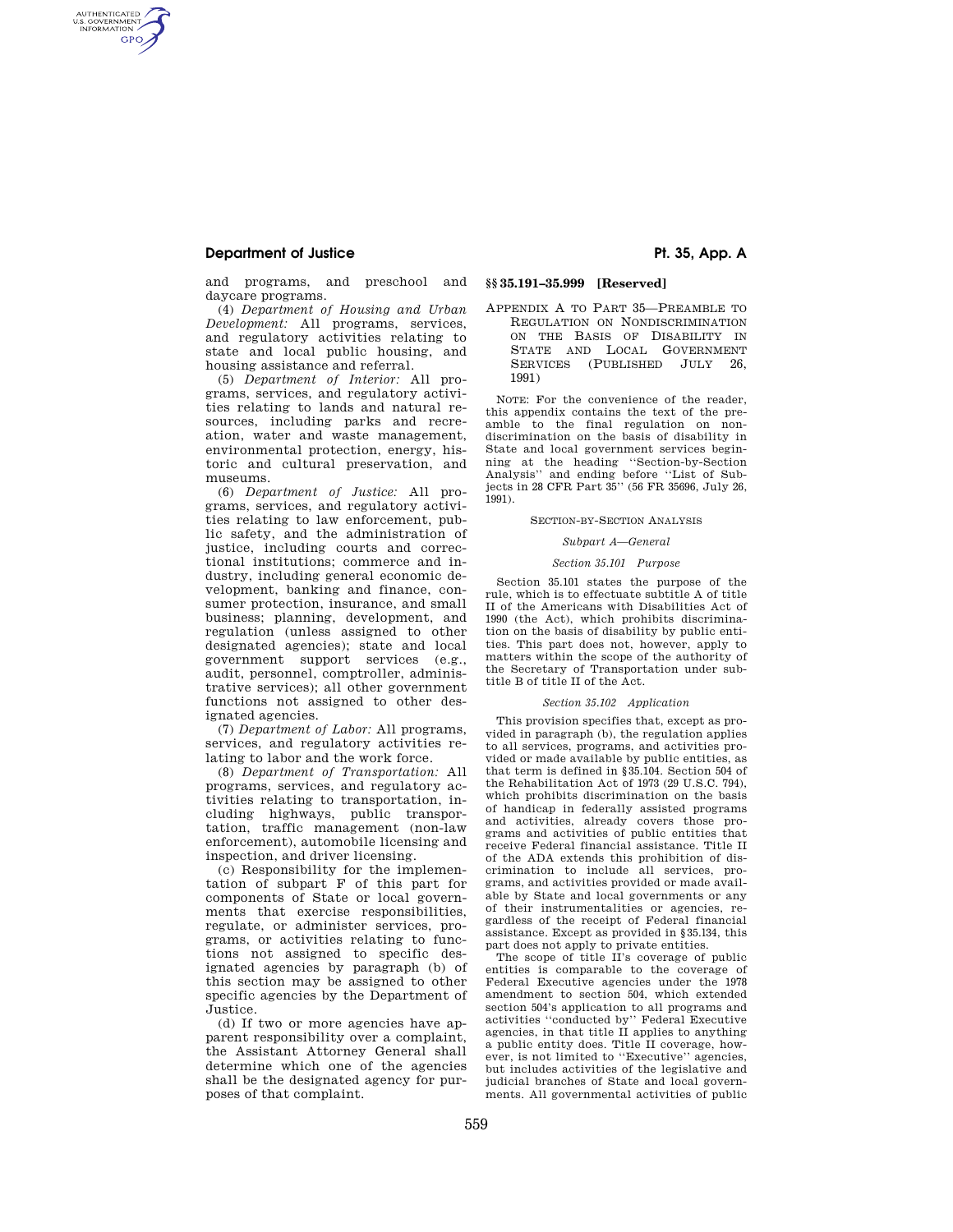AUTHENTICATED<br>U.S. GOVERNMENT<br>INFORMATION **GPO** 

> and programs, and preschool and daycare programs.

(4) *Department of Housing and Urban Development:* All programs, services, and regulatory activities relating to state and local public housing, and housing assistance and referral.

(5) *Department of Interior:* All programs, services, and regulatory activities relating to lands and natural resources, including parks and recreation, water and waste management, environmental protection, energy, historic and cultural preservation, and museums.

(6) *Department of Justice:* All programs, services, and regulatory activities relating to law enforcement, public safety, and the administration of justice, including courts and correctional institutions; commerce and industry, including general economic development, banking and finance, consumer protection, insurance, and small business; planning, development, and regulation (unless assigned to other designated agencies); state and local government support services (e.g., audit, personnel, comptroller, administrative services); all other government functions not assigned to other designated agencies.

(7) *Department of Labor:* All programs, services, and regulatory activities relating to labor and the work force.

(8) *Department of Transportation:* All programs, services, and regulatory activities relating to transportation, including highways, public transportation, traffic management (non-law enforcement), automobile licensing and inspection, and driver licensing.

(c) Responsibility for the implementation of subpart F of this part for components of State or local governments that exercise responsibilities, regulate, or administer services, programs, or activities relating to functions not assigned to specific designated agencies by paragraph (b) of this section may be assigned to other specific agencies by the Department of Justice.

(d) If two or more agencies have apparent responsibility over a complaint, the Assistant Attorney General shall determine which one of the agencies shall be the designated agency for purposes of that complaint.

# **§§ 35.191–35.999 [Reserved]**

APPENDIX A TO PART 35—PREAMBLE TO REGULATION ON NONDISCRIMINATION ON THE BASIS OF DISABILITY IN STATE AND LOCAL GOVERNMENT SERVICES (PUBLISHED JULY 26, 1991)

NOTE: For the convenience of the reader, this appendix contains the text of the preamble to the final regulation on nondiscrimination on the basis of disability in State and local government services beginning at the heading ''Section-by-Section Analysis'' and ending before ''List of Subjects in 28 CFR Part 35'' (56 FR 35696, July 26, 1991).

### SECTION-BY-SECTION ANALYSIS

#### *Subpart A—General*

### *Section 35.101 Purpose*

Section 35.101 states the purpose of the rule, which is to effectuate subtitle A of title II of the Americans with Disabilities Act of 1990 (the Act), which prohibits discrimination on the basis of disability by public entities. This part does not, however, apply to matters within the scope of the authority of the Secretary of Transportation under subtitle B of title II of the Act.

### *Section 35.102 Application*

This provision specifies that, except as provided in paragraph (b), the regulation applies to all services, programs, and activities provided or made available by public entities, as that term is defined in §35.104. Section 504 of the Rehabilitation Act of 1973 (29 U.S.C. 794), which prohibits discrimination on the basis of handicap in federally assisted programs and activities, already covers those programs and activities of public entities that receive Federal financial assistance. Title II of the ADA extends this prohibition of discrimination to include all services, programs, and activities provided or made available by State and local governments or any of their instrumentalities or agencies, regardless of the receipt of Federal financial assistance. Except as provided in §35.l34, this part does not apply to private entities.

The scope of title II's coverage of public entities is comparable to the coverage of Federal Executive agencies under the 1978 amendment to section 504, which extended section 504's application to all programs and activities ''conducted by'' Federal Executive agencies, in that title II applies to anything a public entity does. Title II coverage, however, is not limited to ''Executive'' agencies, but includes activities of the legislative and judicial branches of State and local governments. All governmental activities of public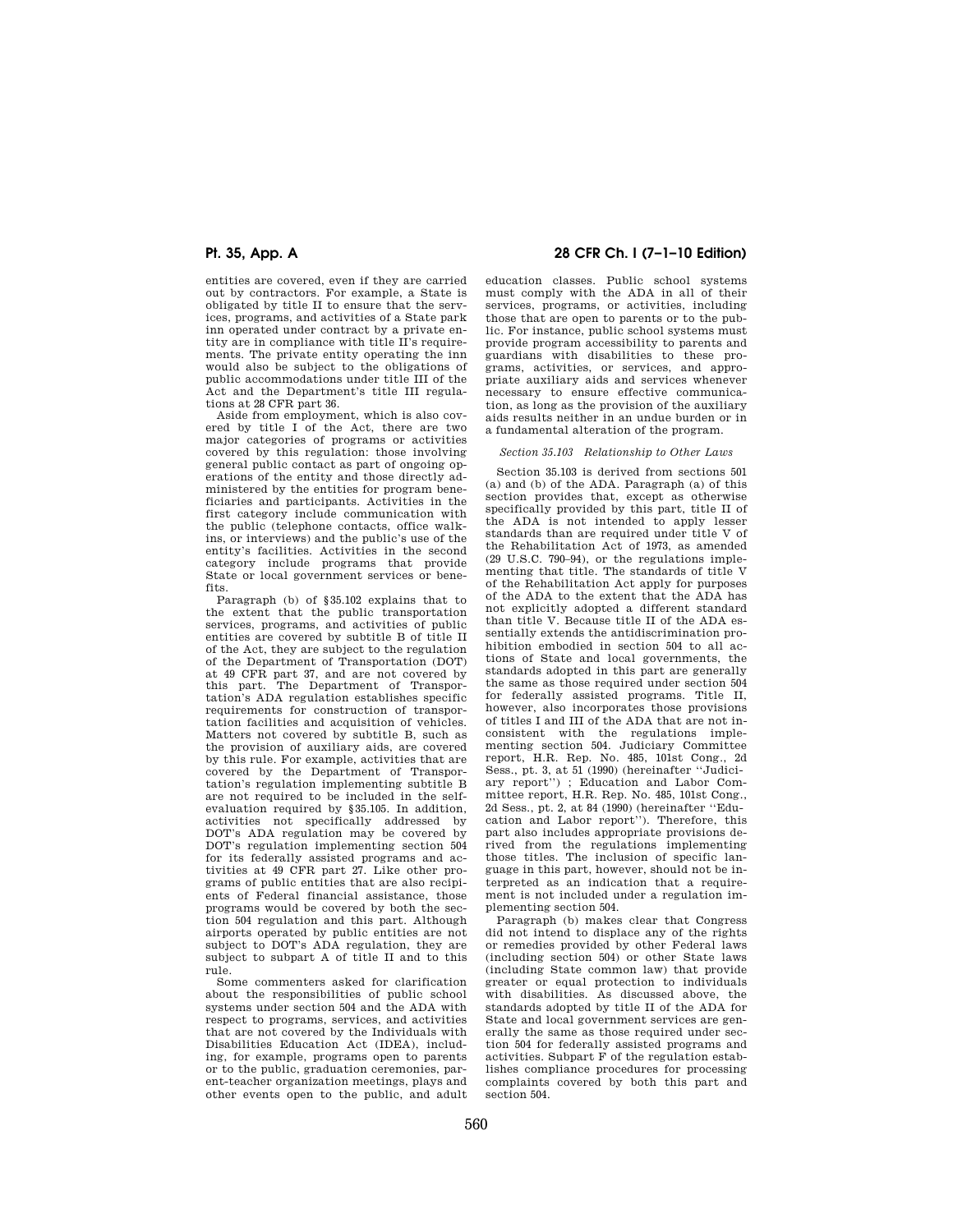entities are covered, even if they are carried out by contractors. For example, a State is obligated by title II to ensure that the services, programs, and activities of a State park inn operated under contract by a private entity are in compliance with title  $II$ 's requirements. The private entity operating the inn would also be subject to the obligations of public accommodations under title III of the Act and the Department's title III regulations at 28 CFR part 36.

Aside from employment, which is also covered by title I of the Act, there are two major categories of programs or activities covered by this regulation: those involving general public contact as part of ongoing operations of the entity and those directly administered by the entities for program beneficiaries and participants. Activities in the first category include communication with the public (telephone contacts, office walkins, or interviews) and the public's use of the entity's facilities. Activities in the second category include programs that provide State or local government services or benefits.

Paragraph (b) of §35.102 explains that to the extent that the public transportation services, programs, and activities of public entities are covered by subtitle B of title II of the Act, they are subject to the regulation of the Department of Transportation (DOT) at 49 CFR part 37, and are not covered by this part. The Department of Transpor-The Department of Transportation's ADA regulation establishes specific requirements for construction of transportation facilities and acquisition of vehicles. Matters not covered by subtitle B, such as the provision of auxiliary aids, are covered by this rule. For example, activities that are covered by the Department of Transportation's regulation implementing subtitle B are not required to be included in the selfevaluation required by §35.105. In addition, activities not specifically addressed by activities not specifically addressed DOT's ADA regulation may be covered by DOT's regulation implementing section 504 for its federally assisted programs and activities at 49 CFR part 27. Like other programs of public entities that are also recipients of Federal financial assistance, those programs would be covered by both the section 504 regulation and this part. Although airports operated by public entities are not subject to DOT's ADA regulation, they are subject to subpart A of title II and to this rule.

Some commenters asked for clarification about the responsibilities of public school systems under section 504 and the ADA with respect to programs, services, and activities that are not covered by the Individuals with Disabilities Education Act (IDEA), including, for example, programs open to parents or to the public, graduation ceremonies, parent-teacher organization meetings, plays and other events open to the public, and adult

# **Pt. 35, App. A 28 CFR Ch. I (7–1–10 Edition)**

education classes. Public school systems must comply with the ADA in all of their services, programs, or activities, including those that are open to parents or to the public. For instance, public school systems must provide program accessibility to parents and guardians with disabilities to these programs, activities, or services, and appropriate auxiliary aids and services whenever necessary to ensure effective communication, as long as the provision of the auxiliary aids results neither in an undue burden or in a fundamental alteration of the program.

### *Section 35.103 Relationship to Other Laws*

Section 35.103 is derived from sections 501 (a) and (b) of the ADA. Paragraph (a) of this section provides that, except as otherwise specifically provided by this part, title II of the ADA is not intended to apply lesser standards than are required under title V of the Rehabilitation Act of 1973, as amended (29 U.S.C. 790–94), or the regulations implementing that title. The standards of title V of the Rehabilitation Act apply for purposes of the ADA to the extent that the ADA has not explicitly adopted a different standard than title V. Because title II of the ADA essentially extends the antidiscrimination prohibition embodied in section 504 to all actions of State and local governments, the standards adopted in this part are generally the same as those required under section 504 for federally assisted programs. Title II, however, also incorporates those provisions of titles I and III of the ADA that are not inconsistent with the regulations implementing section 504. Judiciary Committee report, H.R. Rep. No. 485, 101st Cong., 2d Sess., pt. 3, at 51 (1990) (hereinafter ''Judiciary report'') ; Education and Labor Committee report, H.R. Rep. No. 485, 101st Cong., 2d Sess., pt. 2, at 84 (1990) (hereinafter ''Education and Labor report''). Therefore, this part also includes appropriate provisions derived from the regulations implementing those titles. The inclusion of specific language in this part, however, should not be interpreted as an indication that a requirement is not included under a regulation implementing section 504.

Paragraph (b) makes clear that Congress did not intend to displace any of the rights or remedies provided by other Federal laws (including section 504) or other State laws (including State common law) that provide greater or equal protection to individuals with disabilities. As discussed above, the standards adopted by title II of the ADA for State and local government services are generally the same as those required under section 504 for federally assisted programs and activities. Subpart F of the regulation establishes compliance procedures for processing complaints covered by both this part and section 504.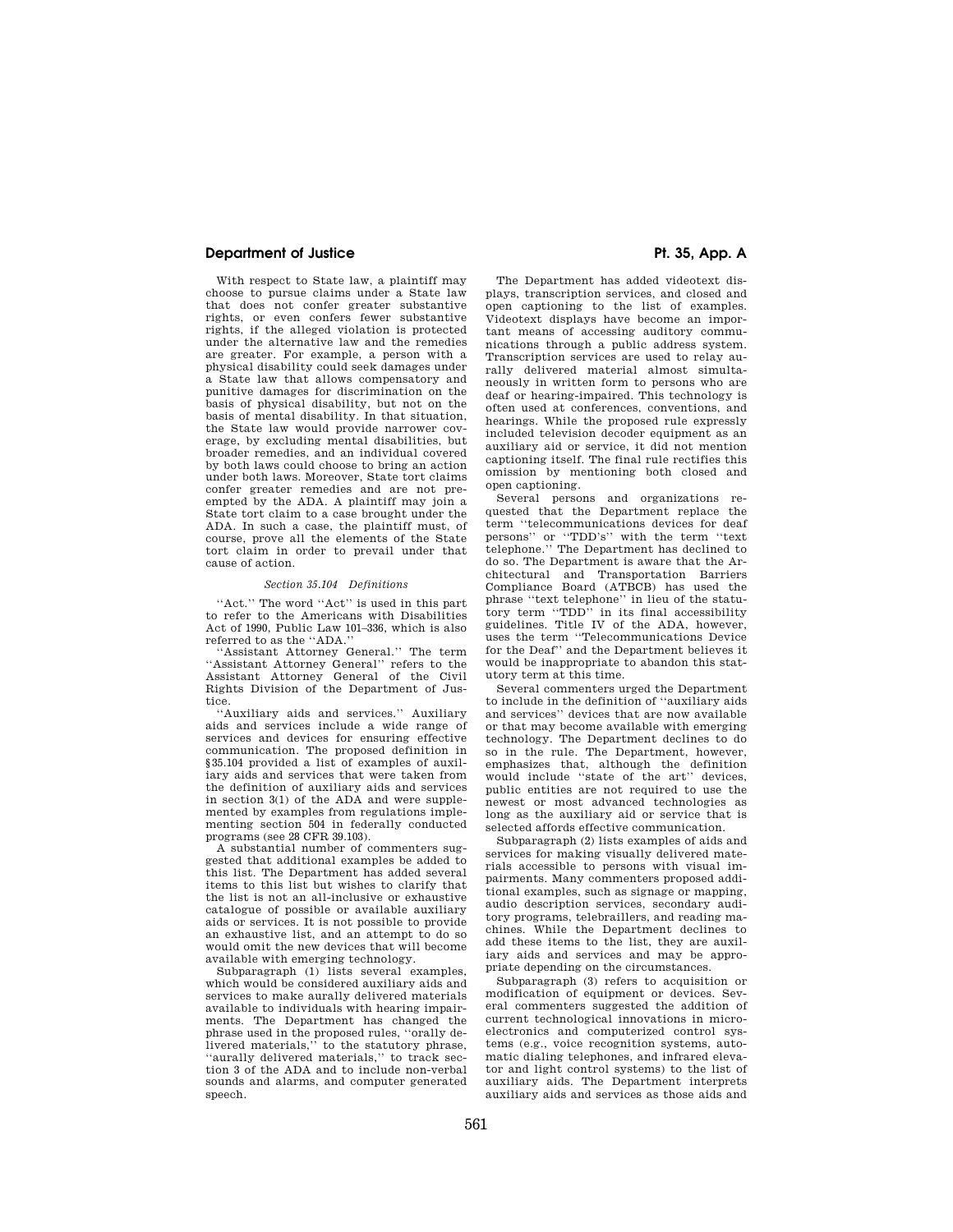With respect to State law, a plaintiff may choose to pursue claims under a State law that does not confer greater substantive rights, or even confers fewer substantive rights, if the alleged violation is protected under the alternative law and the remedies are greater. For example, a person with a physical disability could seek damages under a State law that allows compensatory and punitive damages for discrimination on the basis of physical disability, but not on the basis of mental disability. In that situation, the State law would provide narrower coverage, by excluding mental disabilities, but broader remedies, and an individual covered by both laws could choose to bring an action under both laws. Moreover, State tort claims confer greater remedies and are not preempted by the ADA. A plaintiff may join a State tort claim to a case brought under the ADA. In such a case, the plaintiff must, of course, prove all the elements of the State tort claim in order to prevail under that cause of action.

#### *Section 35.104 Definitions*

''Act.'' The word ''Act'' is used in this part to refer to the Americans with Disabilities Act of 1990, Public Law 101–336, which is also referred to as the ''ADA.''

''Assistant Attorney General.'' The term ''Assistant Attorney General'' refers to the Assistant Attorney General of the Civil Rights Division of the Department of Justice.

''Auxiliary aids and services.'' Auxiliary aids and services include a wide range of services and devices for ensuring effective communication. The proposed definition in §35.104 provided a list of examples of auxiliary aids and services that were taken from the definition of auxiliary aids and services in section 3(1) of the ADA and were supplemented by examples from regulations implementing section 504 in federally conducted programs (see 28 CFR 39.103).

A substantial number of commenters suggested that additional examples be added to this list. The Department has added several items to this list but wishes to clarify that the list is not an all-inclusive or exhaustive catalogue of possible or available auxiliary aids or services. It is not possible to provide an exhaustive list, and an attempt to do so would omit the new devices that will become available with emerging technology.

Subparagraph (1) lists several examples, which would be considered auxiliary aids and services to make aurally delivered materials available to individuals with hearing impairments. The Department has changed the phrase used in the proposed rules, ''orally delivered materials,'' to the statutory phrase, ''aurally delivered materials,'' to track section 3 of the ADA and to include non-verbal sounds and alarms, and computer generated speech.

The Department has added videotext displays, transcription services, and closed and open captioning to the list of examples. Videotext displays have become an important means of accessing auditory communications through a public address system. Transcription services are used to relay aurally delivered material almost simultaneously in written form to persons who are deaf or hearing-impaired. This technology is often used at conferences, conventions, and hearings. While the proposed rule expressly included television decoder equipment as an auxiliary aid or service, it did not mention captioning itself. The final rule rectifies this omission by mentioning both closed and open captioning.

Several persons and organizations requested that the Department replace the term ''telecommunications devices for deaf persons'' or ''TDD's'' with the term ''text telephone.'' The Department has declined to do so. The Department is aware that the Architectural and Transportation Barriers Compliance Board (ATBCB) has used the phrase ''text telephone'' in lieu of the statutory term ''TDD'' in its final accessibility guidelines. Title IV of the ADA, however, uses the term ''Telecommunications Device for the Deaf'' and the Department believes it would be inappropriate to abandon this statutory term at this time.

Several commenters urged the Department to include in the definition of ''auxiliary aids and services'' devices that are now available or that may become available with emerging technology. The Department declines to do so in the rule. The Department, however, emphasizes that, although the definition would include ''state of the art'' devices, public entities are not required to use the newest or most advanced technologies as long as the auxiliary aid or service that is selected affords effective communication.

Subparagraph (2) lists examples of aids and services for making visually delivered materials accessible to persons with visual impairments. Many commenters proposed additional examples, such as signage or mapping, audio description services, secondary auditory programs, telebraillers, and reading machines. While the Department declines to add these items to the list, they are auxiliary aids and services and may be appropriate depending on the circumstances.

Subparagraph (3) refers to acquisition or modification of equipment or devices. Several commenters suggested the addition of current technological innovations in microelectronics and computerized control systems (e.g., voice recognition systems, automatic dialing telephones, and infrared elevator and light control systems) to the list of auxiliary aids. The Department interprets auxiliary aids and services as those aids and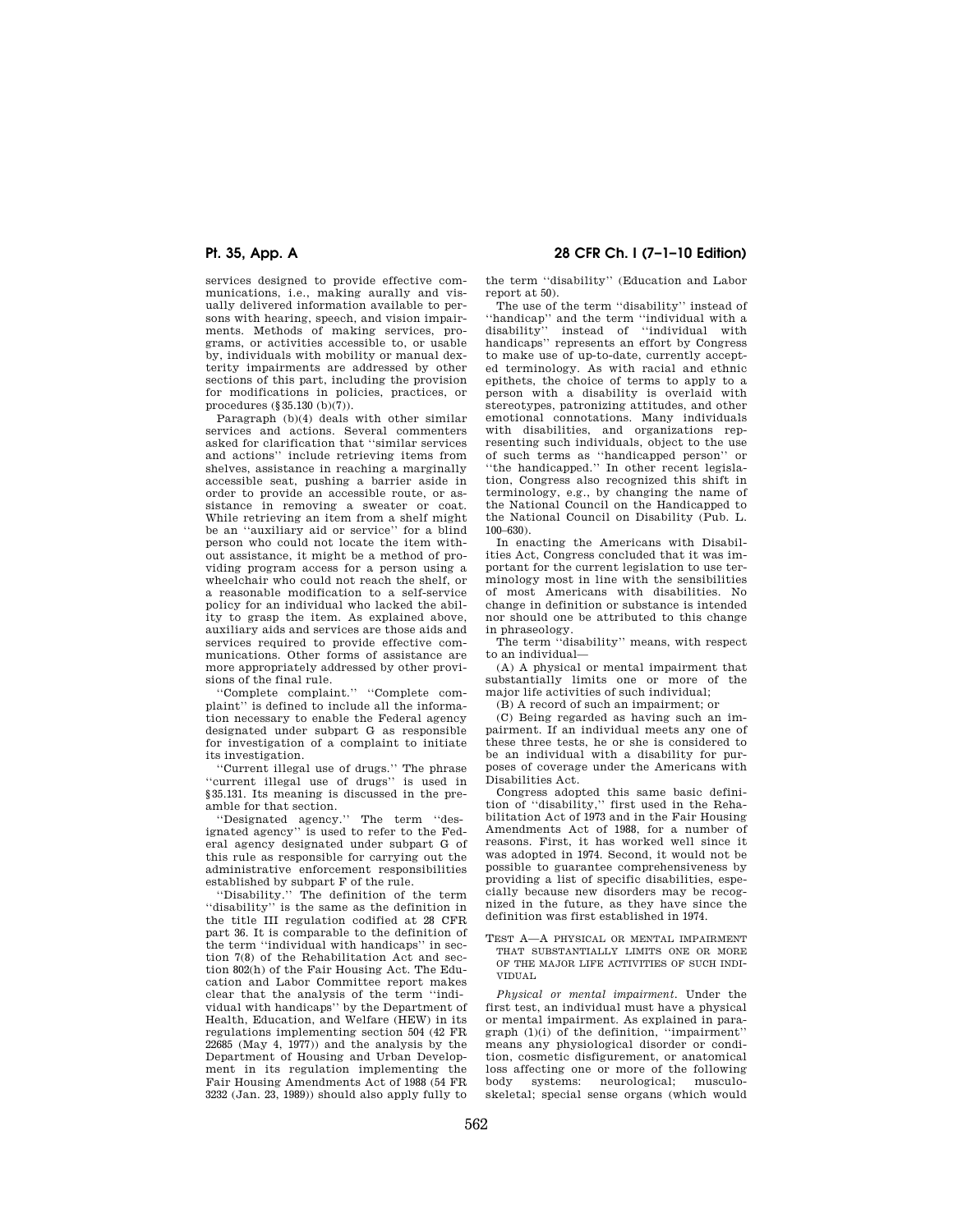services designed to provide effective communications, i.e., making aurally and visually delivered information available to persons with hearing, speech, and vision impairments. Methods of making services, programs, or activities accessible to, or usable by, individuals with mobility or manual dexterity impairments are addressed by other sections of this part, including the provision for modifications in policies, practices, or procedures (§35.130 (b)(7)).

Paragraph (b)(4) deals with other similar services and actions. Several commenters asked for clarification that ''similar services and actions'' include retrieving items from shelves, assistance in reaching a marginally accessible seat, pushing a barrier aside in order to provide an accessible route, or assistance in removing a sweater or coat. While retrieving an item from a shelf might be an ''auxiliary aid or service'' for a blind person who could not locate the item without assistance, it might be a method of providing program access for a person using a wheelchair who could not reach the shelf, or a reasonable modification to a self-service policy for an individual who lacked the ability to grasp the item. As explained above, auxiliary aids and services are those aids and services required to provide effective communications. Other forms of assistance are more appropriately addressed by other provisions of the final rule.

''Complete complaint.'' ''Complete complaint'' is defined to include all the information necessary to enable the Federal agency designated under subpart G as responsible for investigation of a complaint to initiate its investigation.

''Current illegal use of drugs.'' The phrase ''current illegal use of drugs'' is used in §35.131. Its meaning is discussed in the preamble for that section.

''Designated agency.'' The term ''designated agency'' is used to refer to the Federal agency designated under subpart G of this rule as responsible for carrying out the administrative enforcement responsibilities established by subpart F of the rule.

''Disability.'' The definition of the term ''disability'' is the same as the definition in the title III regulation codified at 28 CFR part 36. It is comparable to the definition of the term ''individual with handicaps'' in section 7(8) of the Rehabilitation Act and section 802(h) of the Fair Housing Act. The Education and Labor Committee report makes clear that the analysis of the term ''individual with handicaps'' by the Department of Health, Education, and Welfare (HEW) in its regulations implementing section 504 (42 FR 22685 (May 4, 1977)) and the analysis by the Department of Housing and Urban Development in its regulation implementing the Fair Housing Amendments Act of 1988 (54 FR 3232 (Jan. 23, 1989)) should also apply fully to

# **Pt. 35, App. A 28 CFR Ch. I (7–1–10 Edition)**

the term ''disability'' (Education and Labor report at 50).

The use of the term ''disability'' instead of ''handicap'' and the term ''individual with a disability'' instead of ''individual with handicaps'' represents an effort by Congress to make use of up-to-date, currently accepted terminology. As with racial and ethnic epithets, the choice of terms to apply to a person with a disability is overlaid with stereotypes, patronizing attitudes, and other emotional connotations. Many individuals with disabilities, and organizations representing such individuals, object to the use of such terms as ''handicapped person'' or ''the handicapped.'' In other recent legislation, Congress also recognized this shift in terminology, e.g., by changing the name of the National Council on the Handicapped to the National Council on Disability (Pub. L. 100–630).

In enacting the Americans with Disabilities Act, Congress concluded that it was important for the current legislation to use terminology most in line with the sensibilities of most Americans with disabilities. No change in definition or substance is intended nor should one be attributed to this change in phraseology.

The term ''disability'' means, with respect to an individual—

(A) A physical or mental impairment that substantially limits one or more of the major life activities of such individual;

(B) A record of such an impairment; or

(C) Being regarded as having such an impairment. If an individual meets any one of these three tests, he or she is considered to be an individual with a disability for purposes of coverage under the Americans with Disabilities Act.

Congress adopted this same basic definition of ''disability,'' first used in the Rehabilitation Act of 1973 and in the Fair Housing Amendments Act of 1988, for a number of reasons. First, it has worked well since it was adopted in 1974. Second, it would not be possible to guarantee comprehensiveness by providing a list of specific disabilities, especially because new disorders may be recognized in the future, as they have since the definition was first established in 1974.

TEST A-A PHYSICAL OR MENTAL IMPAIRMENT THAT SUBSTANTIALLY LIMITS ONE OR MORE OF THE MAJOR LIFE ACTIVITIES OF SUCH INDI-VIDUAL

*Physical or mental impairment.* Under the first test, an individual must have a physical or mental impairment. As explained in paragraph (1)(i) of the definition, ''impairment'' means any physiological disorder or condition, cosmetic disfigurement, or anatomical loss affecting one or more of the following body systems: neurological; musculoskeletal; special sense organs (which would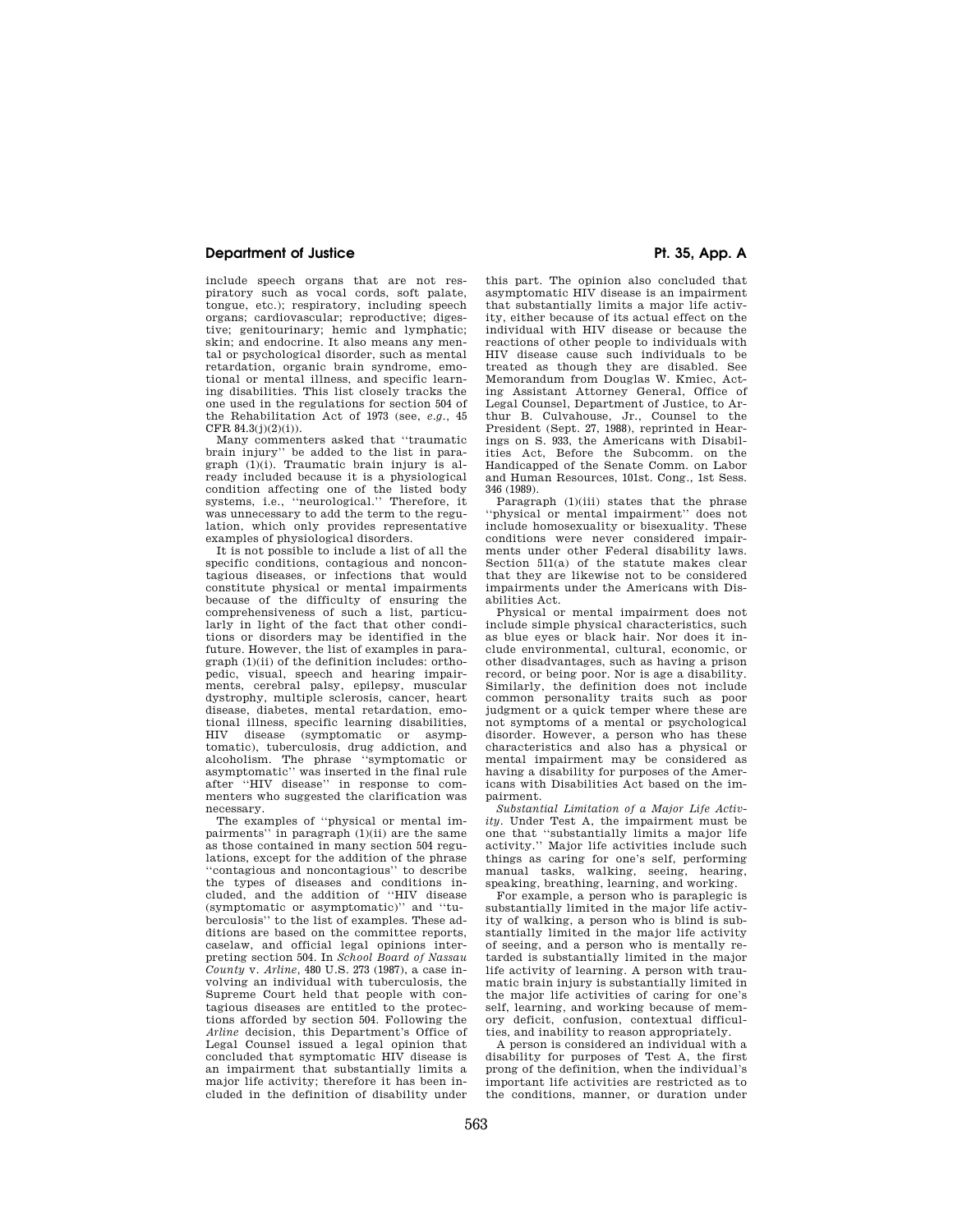include speech organs that are not respiratory such as vocal cords, soft palate, tongue, etc.); respiratory, including speech organs; cardiovascular; reproductive; digestive; genitourinary; hemic and lymphatic; skin; and endocrine. It also means any mental or psychological disorder, such as mental retardation, organic brain syndrome, emotional or mental illness, and specific learning disabilities. This list closely tracks the one used in the regulations for section 504 of the Rehabilitation Act of 1973 (see, *e.g.,* 45  $CFR 84.3(i)(2)(i)$ .

Many commenters asked that ''traumatic brain injury'' be added to the list in para-graph (1)(i). Traumatic brain injury is already included because it is a physiological condition affecting one of the listed body systems, i.e., ''neurological.'' Therefore, it was unnecessary to add the term to the regulation, which only provides representative examples of physiological disorders.

It is not possible to include a list of all the specific conditions, contagious and noncontagious diseases, or infections that would constitute physical or mental impairments because of the difficulty of ensuring the comprehensiveness of such a list, particularly in light of the fact that other conditions or disorders may be identified in the future. However, the list of examples in paragraph (1)(ii) of the definition includes: orthopedic, visual, speech and hearing impairments, cerebral palsy, epilepsy, muscular dystrophy, multiple sclerosis, cancer, heart disease, diabetes, mental retardation, emotional illness, specific learning disabilities, HIV disease (symptomatic or asymptomatic), tuberculosis, drug addiction, and alcoholism. The phrase ''symptomatic or asymptomatic'' was inserted in the final rule after ''HIV disease'' in response to commenters who suggested the clarification was necessary.

The examples of ''physical or mental impairments'' in paragraph (1)(ii) are the same as those contained in many section 504 regulations, except for the addition of the phrase ''contagious and noncontagious'' to describe the types of diseases and conditions included, and the addition of ''HIV disease (symptomatic or asymptomatic)'' and ''tuberculosis'' to the list of examples. These additions are based on the committee reports, caselaw, and official legal opinions interpreting section 504. In *School Board of Nassau County* v. *Arline,* 480 U.S. 273 (1987), a case involving an individual with tuberculosis, the Supreme Court held that people with contagious diseases are entitled to the protections afforded by section 504. Following the *Arline* decision, this Department's Office of Legal Counsel issued a legal opinion that concluded that symptomatic HIV disease is an impairment that substantially limits a major life activity; therefore it has been included in the definition of disability under

this part. The opinion also concluded that asymptomatic HIV disease is an impairment that substantially limits a major life activity, either because of its actual effect on the individual with HIV disease or because the reactions of other people to individuals with HIV disease cause such individuals to be treated as though they are disabled. See Memorandum from Douglas W. Kmiec, Acting Assistant Attorney General, Office of Legal Counsel, Department of Justice, to Arthur B. Culvahouse, Jr., Counsel to the President (Sept. 27, 1988), reprinted in Hearings on S. 933, the Americans with Disabilities Act, Before the Subcomm. on the Handicapped of the Senate Comm. on Labor and Human Resources, 101st. Cong., 1st Sess. 346 (1989).

Paragraph (1)(iii) states that the phrase ''physical or mental impairment'' does not include homosexuality or bisexuality. These conditions were never considered impairments under other Federal disability laws. Section 511(a) of the statute makes clear that they are likewise not to be considered impairments under the Americans with Disabilities Act.

Physical or mental impairment does not include simple physical characteristics, such as blue eyes or black hair. Nor does it include environmental, cultural, economic, or other disadvantages, such as having a prison record, or being poor. Nor is age a disability. Similarly, the definition does not include common personality traits such as poor judgment or a quick temper where these are not symptoms of a mental or psychological disorder. However, a person who has these characteristics and also has a physical or mental impairment may be considered as having a disability for purposes of the Americans with Disabilities Act based on the impairment.

*Substantial Limitation of a Major Life Activity.* Under Test A, the impairment must be one that ''substantially limits a major life activity.'' Major life activities include such things as caring for one's self, performing manual tasks, walking, seeing, hearing, speaking, breathing, learning, and working.

For example, a person who is paraplegic is substantially limited in the major life activity of walking, a person who is blind is substantially limited in the major life activity of seeing, and a person who is mentally retarded is substantially limited in the major life activity of learning. A person with traumatic brain injury is substantially limited in the major life activities of caring for one's self, learning, and working because of memory deficit, confusion, contextual difficulties, and inability to reason appropriately.

A person is considered an individual with a disability for purposes of Test A, the first prong of the definition, when the individual's important life activities are restricted as to the conditions, manner, or duration under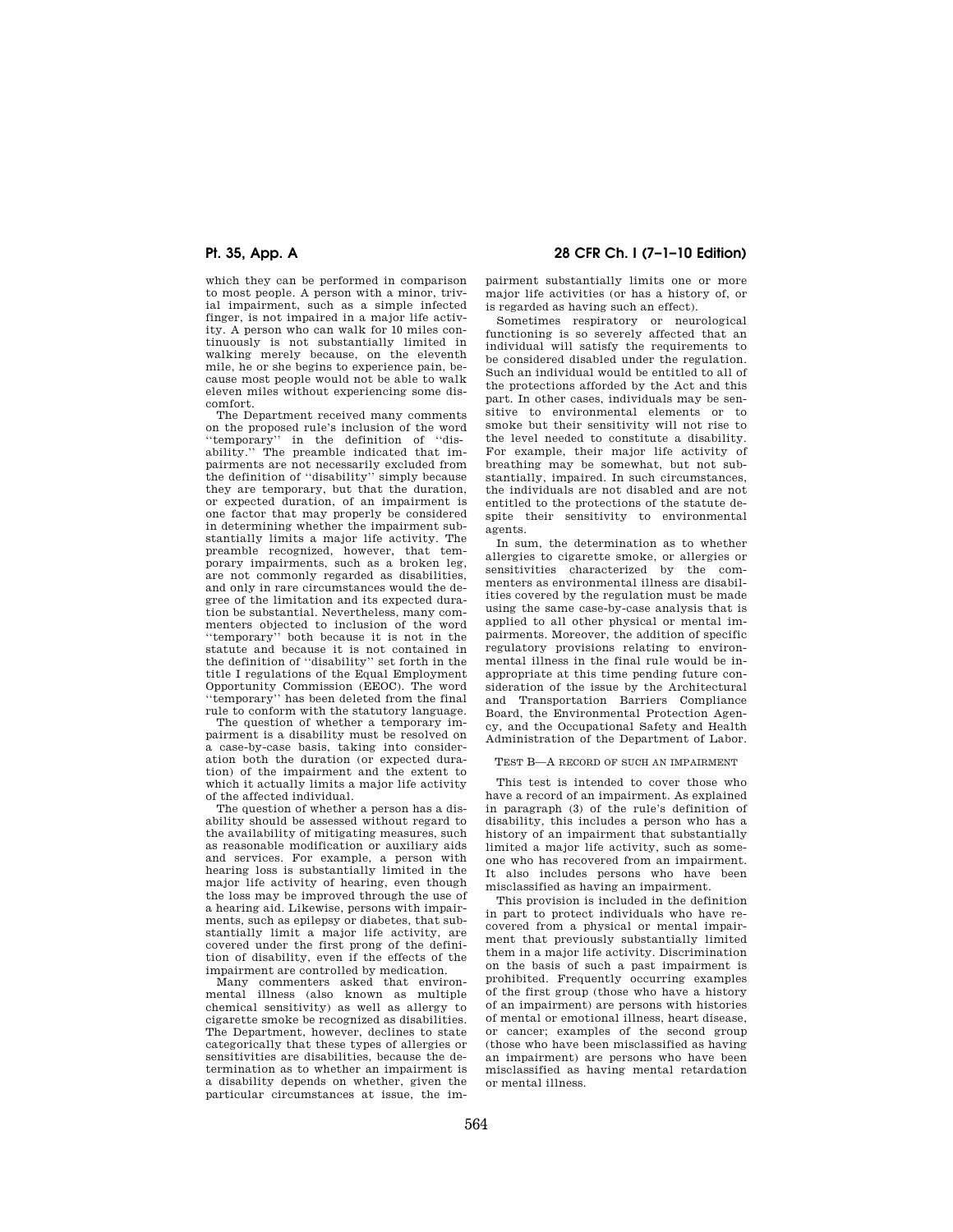which they can be performed in comparison to most people. A person with a minor, trivial impairment, such as a simple infected finger, is not impaired in a major life activity. A person who can walk for 10 miles continuously is not substantially limited in walking merely because, on the eleventh mile, he or she begins to experience pain, because most people would not be able to walk eleven miles without experiencing some discomfort.

The Department received many comments on the proposed rule's inclusion of the word<br>"temporary" in the definition of "disin the definition of "disability.'' The preamble indicated that impairments are not necessarily excluded from the definition of ''disability'' simply because they are temporary, but that the duration, or expected duration, of an impairment is one factor that may properly be considered in determining whether the impairment substantially limits a major life activity. The preamble recognized, however, that temporary impairments, such as a broken leg, are not commonly regarded as disabilities, and only in rare circumstances would the degree of the limitation and its expected duration be substantial. Nevertheless, many commenters objected to inclusion of the word ''temporary'' both because it is not in the statute and because it is not contained in the definition of ''disability'' set forth in the title I regulations of the Equal Employment Opportunity Commission (EEOC). The word ''temporary'' has been deleted from the final rule to conform with the statutory language.

The question of whether a temporary impairment is a disability must be resolved on a case-by-case basis, taking into consideration both the duration (or expected duration) of the impairment and the extent to which it actually limits a major life activity of the affected individual.

The question of whether a person has a disability should be assessed without regard to the availability of mitigating measures, such as reasonable modification or auxiliary aids and services. For example, a person with hearing loss is substantially limited in the major life activity of hearing, even though the loss may be improved through the use of a hearing aid. Likewise, persons with impairments, such as epilepsy or diabetes, that substantially limit a major life activity, are covered under the first prong of the definition of disability, even if the effects of the impairment are controlled by medication.

Many commenters asked that environmental illness (also known as multiple chemical sensitivity) as well as allergy to cigarette smoke be recognized as disabilities. The Department, however, declines to state categorically that these types of allergies or sensitivities are disabilities, because the determination as to whether an impairment is a disability depends on whether, given the particular circumstances at issue, the im-

# **Pt. 35, App. A 28 CFR Ch. I (7–1–10 Edition)**

pairment substantially limits one or more major life activities (or has a history of, or is regarded as having such an effect).

Sometimes respiratory or neurological functioning is so severely affected that an individual will satisfy the requirements to be considered disabled under the regulation. Such an individual would be entitled to all of the protections afforded by the Act and this part. In other cases, individuals may be sensitive to environmental elements or to smoke but their sensitivity will not rise to the level needed to constitute a disability. For example, their major life activity of breathing may be somewhat, but not substantially, impaired. In such circumstances, the individuals are not disabled and are not entitled to the protections of the statute despite their sensitivity to environmental agents.

In sum, the determination as to whether allergies to cigarette smoke, or allergies or sensitivities characterized by the commenters as environmental illness are disabilities covered by the regulation must be made using the same case-by-case analysis that is applied to all other physical or mental impairments. Moreover, the addition of specific regulatory provisions relating to environmental illness in the final rule would be inappropriate at this time pending future consideration of the issue by the Architectural and Transportation Barriers Compliance Board, the Environmental Protection Agency, and the Occupational Safety and Health Administration of the Department of Labor.

### TEST B—A RECORD OF SUCH AN IMPAIRMENT

This test is intended to cover those who have a record of an impairment. As explained in paragraph (3) of the rule's definition of disability, this includes a person who has a history of an impairment that substantially limited a major life activity, such as someone who has recovered from an impairment. It also includes persons who have been misclassified as having an impairment.

This provision is included in the definition in part to protect individuals who have recovered from a physical or mental impairment that previously substantially limited them in a major life activity. Discrimination on the basis of such a past impairment is prohibited. Frequently occurring examples of the first group (those who have a history of an impairment) are persons with histories of mental or emotional illness, heart disease, or cancer; examples of the second group (those who have been misclassified as having an impairment) are persons who have been misclassified as having mental retardation or mental illness.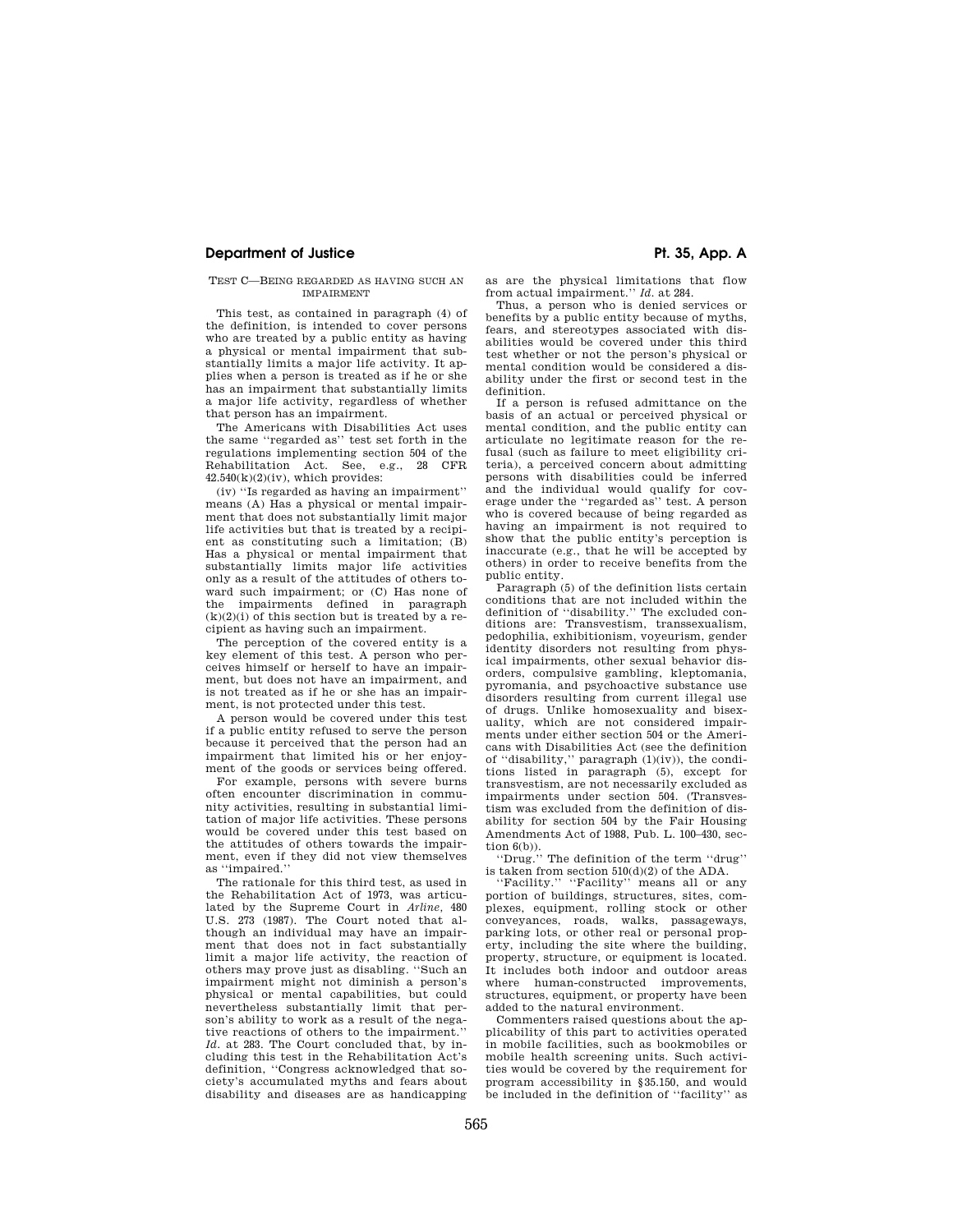### TEST C—BEING REGARDED AS HAVING SUCH AN IMPAIRMENT

This test, as contained in paragraph (4) of the definition, is intended to cover persons who are treated by a public entity as having a physical or mental impairment that substantially limits a major life activity. It applies when a person is treated as if he or she has an impairment that substantially limits a major life activity, regardless of whether that person has an impairment.

The Americans with Disabilities Act uses the same ''regarded as'' test set forth in the regulations implementing section 504 of the Rehabilitation Act. See, e.g., 28 CFR  $42.540(k)(2)(iv)$ , which provides:

(iv) ''Is regarded as having an impairment'' means (A) Has a physical or mental impairment that does not substantially limit major life activities but that is treated by a recipient as constituting such a limitation; (B) Has a physical or mental impairment that substantially limits major life activities only as a result of the attitudes of others toward such impairment; or (C) Has none of the impairments defined in paragraph  $(k)(2)(i)$  of this section but is treated by a recipient as having such an impairment.

The perception of the covered entity is a key element of this test. A person who perceives himself or herself to have an impairment, but does not have an impairment, and is not treated as if he or she has an impairment, is not protected under this test.

A person would be covered under this test if a public entity refused to serve the person because it perceived that the person had an impairment that limited his or her enjoyment of the goods or services being offered.

For example, persons with severe burns often encounter discrimination in community activities, resulting in substantial limitation of major life activities. These persons would be covered under this test based on the attitudes of others towards the impairment, even if they did not view themselves as ''impaired.''

The rationale for this third test, as used in the Rehabilitation Act of 1973, was articulated by the Supreme Court in *Arline,* 480 U.S. 273 (1987). The Court noted that although an individual may have an impairment that does not in fact substantially limit a major life activity, the reaction of others may prove just as disabling. ''Such an impairment might not diminish a person's physical or mental capabilities, but could nevertheless substantially limit that person's ability to work as a result of the negative reactions of others to the impairment.'' *Id.* at 283. The Court concluded that, by including this test in the Rehabilitation Act's definition, ''Congress acknowledged that society's accumulated myths and fears about disability and diseases are as handicapping

as are the physical limitations that flow from actual impairment.'' *Id.* at 284.

Thus, a person who is denied services or benefits by a public entity because of myths, fears, and stereotypes associated with disabilities would be covered under this third test whether or not the person's physical or mental condition would be considered a disability under the first or second test in the definition.

If a person is refused admittance on the basis of an actual or perceived physical or mental condition, and the public entity can articulate no legitimate reason for the refusal (such as failure to meet eligibility criteria), a perceived concern about admitting persons with disabilities could be inferred and the individual would qualify for coverage under the ''regarded as'' test. A person who is covered because of being regarded as having an impairment is not required to show that the public entity's perception is inaccurate (e.g., that he will be accepted by others) in order to receive benefits from the public entity.

Paragraph (5) of the definition lists certain conditions that are not included within the definition of ''disability.'' The excluded conditions are: Transvestism, transsexualism, pedophilia, exhibitionism, voyeurism, gender identity disorders not resulting from physical impairments, other sexual behavior disorders, compulsive gambling, kleptomania, pyromania, and psychoactive substance use disorders resulting from current illegal use of drugs. Unlike homosexuality and bisexuality, which are not considered impairments under either section 504 or the Americans with Disabilities Act (see the definition of ''disability,'' paragraph (1)(iv)), the conditions listed in paragraph (5), except for transvestism, are not necessarily excluded as impairments under section 504. (Transvestism was excluded from the definition of disability for section 504 by the Fair Housing Amendments Act of 1988, Pub. L. 100–430, section 6(b)). ''Drug.'' The definition of the term ''drug''

is taken from section 510(d)(2) of the ADA.

''Facility.'' ''Facility'' means all or any portion of buildings, structures, sites, complexes, equipment, rolling stock or other conveyances, roads, walks, passageways, parking lots, or other real or personal property, including the site where the building, property, structure, or equipment is located. It includes both indoor and outdoor areas where human-constructed improvements, structures, equipment, or property have been added to the natural environment.

Commenters raised questions about the applicability of this part to activities operated in mobile facilities, such as bookmobiles or mobile health screening units. Such activities would be covered by the requirement for program accessibility in §35.150, and would be included in the definition of ''facility'' as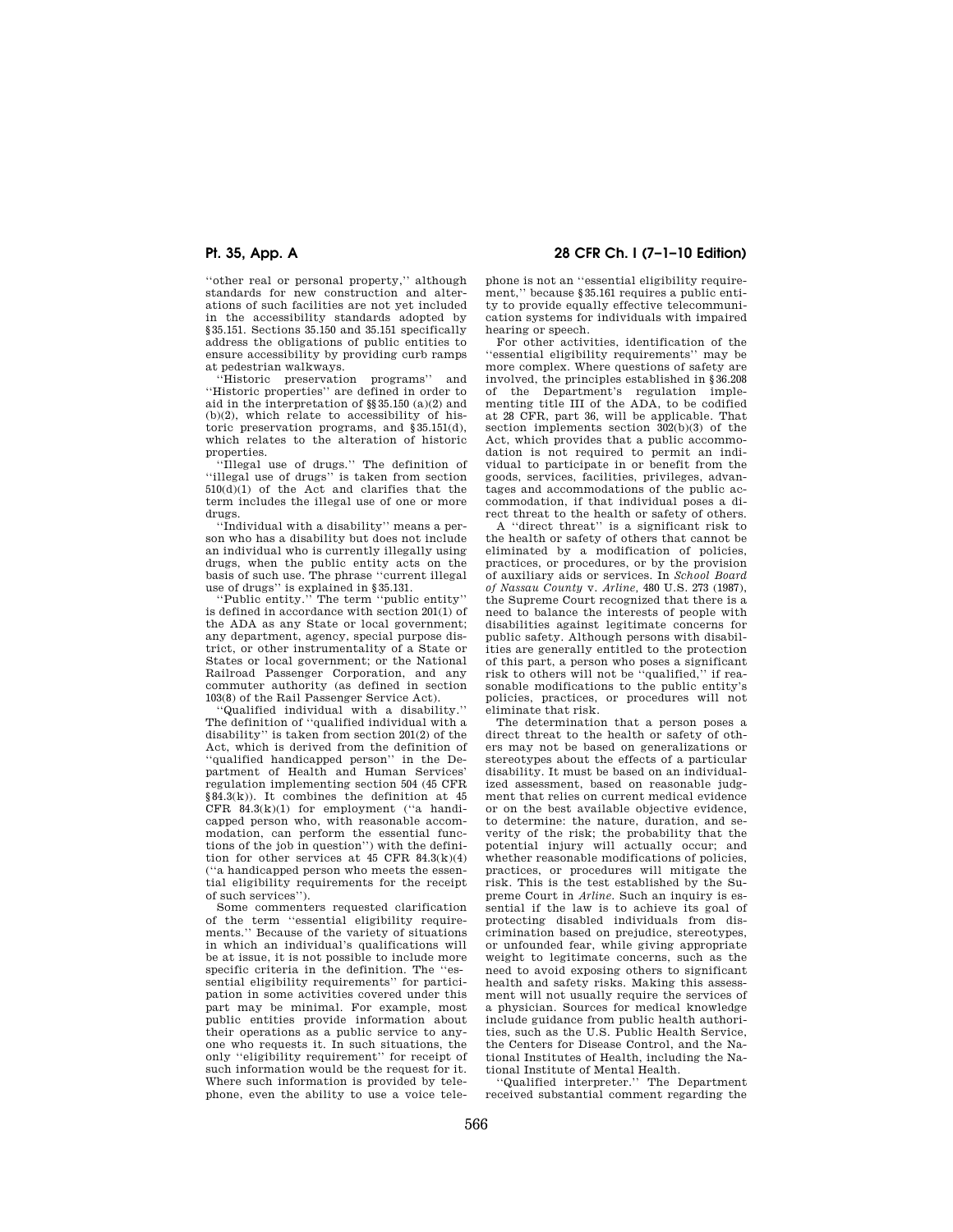''other real or personal property,'' although standards for new construction and alterations of such facilities are not yet included in the accessibility standards adopted by §35.151. Sections 35.150 and 35.151 specifically address the obligations of public entities to ensure accessibility by providing curb ramps at pedestrian walkways.

'Historic preservation programs'' and ''Historic properties'' are defined in order to aid in the interpretation of §§35.150 (a)(2) and  $(b)(2)$ , which relate to accessibility of historic preservation programs, and §35.151(d), which relates to the alteration of historic properties.

'Illegal use of drugs." The definition of ''illegal use of drugs'' is taken from section  $510(d)(1)$  of the Act and clarifies that the term includes the illegal use of one or more drugs.

''Individual with a disability'' means a person who has a disability but does not include an individual who is currently illegally using drugs, when the public entity acts on the basis of such use. The phrase ''current illegal

use of drugs'' is explained in §35.131. ''Public entity.'' The term ''public entity'' is defined in accordance with section 201(1) of the ADA as any State or local government; any department, agency, special purpose district, or other instrumentality of a State or States or local government; or the National Railroad Passenger Corporation, and any commuter authority (as defined in section 103(8) of the Rail Passenger Service Act).

''Qualified individual with a disability.'' The definition of ''qualified individual with a disability'' is taken from section 201(2) of the Act, which is derived from the definition of ''qualified handicapped person'' in the Department of Health and Human Services' regulation implementing section 504 (45 CFR §84.3(k)). It combines the definition at 45 CFR 84.3(k)(1) for employment (''a handicapped person who, with reasonable accommodation, can perform the essential functions of the job in question'') with the definition for other services at  $45$  CFR  $84.3(k)(4)$ (''a handicapped person who meets the essential eligibility requirements for the receipt of such services'').

Some commenters requested clarification of the term ''essential eligibility requirements.'' Because of the variety of situations in which an individual's qualifications will be at issue, it is not possible to include more specific criteria in the definition. The ''essential eligibility requirements'' for participation in some activities covered under this part may be minimal. For example, most public entities provide information about their operations as a public service to anyone who requests it. In such situations, the only ''eligibility requirement'' for receipt of such information would be the request for it. Where such information is provided by telephone, even the ability to use a voice tele-

**Pt. 35, App. A 28 CFR Ch. I (7–1–10 Edition)** 

phone is not an ''essential eligibility requirement,'' because §35.161 requires a public entity to provide equally effective telecommunication systems for individuals with impaired hearing or speech.

For other activities, identification of the 'essential eligibility requirements'' may be more complex. Where questions of safety are involved, the principles established in §36.208 of the Department's regulation implementing title III of the ADA, to be codified at 28 CFR, part 36, will be applicable. That section implements section 302(b)(3) of the Act, which provides that a public accommodation is not required to permit an individual to participate in or benefit from the goods, services, facilities, privileges, advantages and accommodations of the public accommodation, if that individual poses a direct threat to the health or safety of others.

A ''direct threat'' is a significant risk to the health or safety of others that cannot be eliminated by a modification of policies, practices, or procedures, or by the provision of auxiliary aids or services. In *School Board of Nassau County* v. *Arline,* 480 U.S. 273 (1987), the Supreme Court recognized that there is a need to balance the interests of people with disabilities against legitimate concerns for public safety. Although persons with disabilities are generally entitled to the protection of this part, a person who poses a significant risk to others will not be ''qualified,'' if reasonable modifications to the public entity's policies, practices, or procedures will not eliminate that risk.

The determination that a person poses a direct threat to the health or safety of others may not be based on generalizations or stereotypes about the effects of a particular disability. It must be based on an individualized assessment, based on reasonable judgment that relies on current medical evidence or on the best available objective evidence, to determine: the nature, duration, and severity of the risk; the probability that the potential injury will actually occur; and whether reasonable modifications of policies, practices, or procedures will mitigate the risk. This is the test established by the Supreme Court in *Arline.* Such an inquiry is essential if the law is to achieve its goal of protecting disabled individuals from discrimination based on prejudice, stereotypes, or unfounded fear, while giving appropriate weight to legitimate concerns, such as the need to avoid exposing others to significant health and safety risks. Making this assessment will not usually require the services of a physician. Sources for medical knowledge include guidance from public health authorities, such as the U.S. Public Health Service, the Centers for Disease Control, and the National Institutes of Health, including the National Institute of Mental Health.

''Qualified interpreter.'' The Department received substantial comment regarding the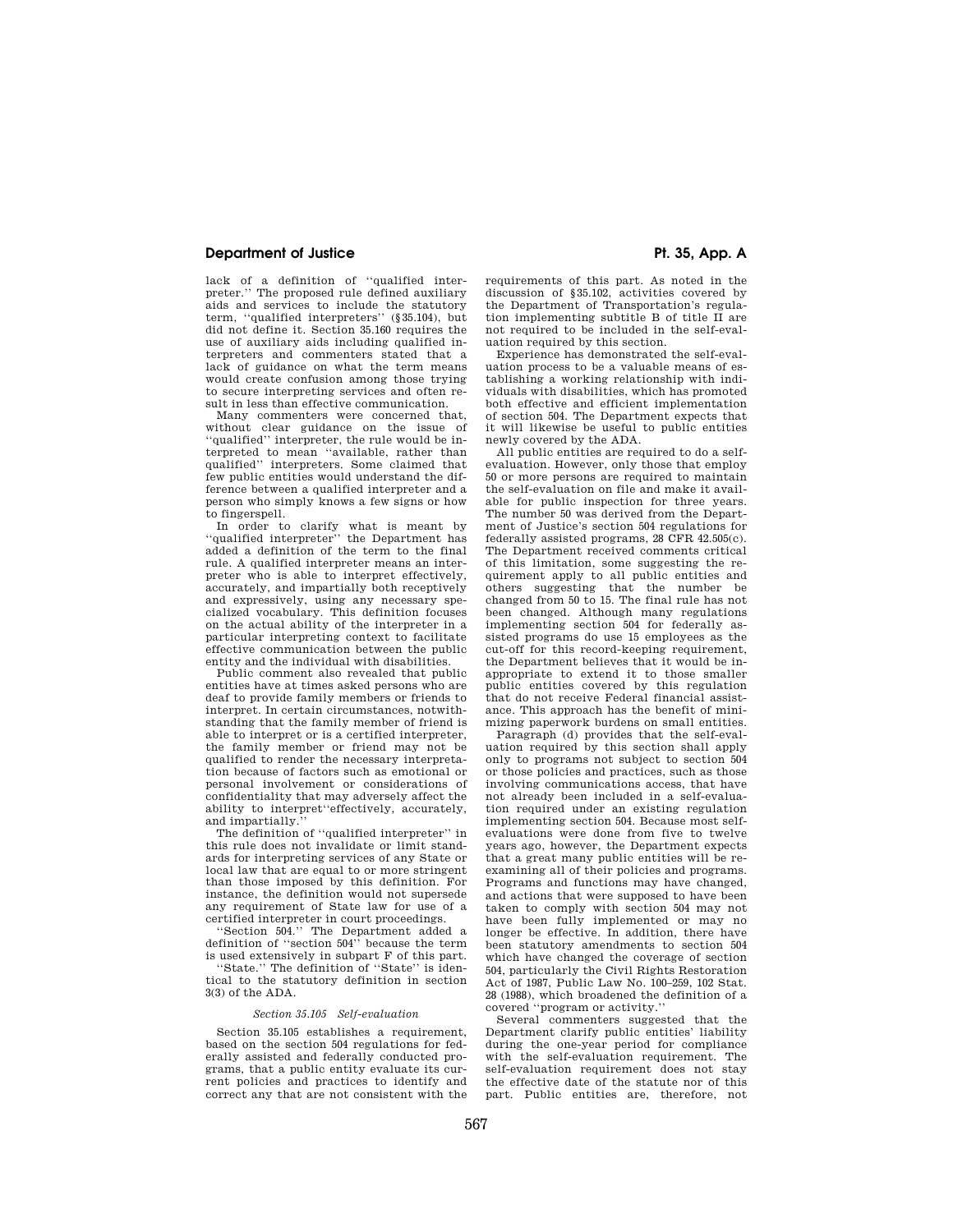lack of a definition of ''qualified interpreter.'' The proposed rule defined auxiliary aids and services to include the statutory term, ''qualified interpreters'' (§35.104), but did not define it. Section 35.160 requires the use of auxiliary aids including qualified interpreters and commenters stated that a lack of guidance on what the term means would create confusion among those trying to secure interpreting services and often result in less than effective communication.

Many commenters were concerned that, without clear guidance on the issue of 'qualified'' interpreter, the rule would be interpreted to mean ''available, rather than qualified'' interpreters. Some claimed that few public entities would understand the difference between a qualified interpreter and a person who simply knows a few signs or how to fingerspell.

In order to clarify what is meant by ''qualified interpreter'' the Department has added a definition of the term to the final rule. A qualified interpreter means an interpreter who is able to interpret effectively, accurately, and impartially both receptively and expressively, using any necessary specialized vocabulary. This definition focuses on the actual ability of the interpreter in a particular interpreting context to facilitate effective communication between the public entity and the individual with disabilities.

Public comment also revealed that public entities have at times asked persons who are deaf to provide family members or friends to interpret. In certain circumstances, notwithstanding that the family member of friend is able to interpret or is a certified interpreter, the family member or friend may not be qualified to render the necessary interpretation because of factors such as emotional or personal involvement or considerations of confidentiality that may adversely affect the ability to interpret''effectively, accurately, and impartially.

The definition of ''qualified interpreter'' in this rule does not invalidate or limit standards for interpreting services of any State or local law that are equal to or more stringent than those imposed by this definition. For instance, the definition would not supersede any requirement of State law for use of a certified interpreter in court proceedings.

''Section 504.'' The Department added a definition of ''section 504'' because the term is used extensively in subpart F of this part.

"State." The definition of "State" is identical to the statutory definition in section 3(3) of the ADA.

#### *Section 35.105 Self-evaluation*

Section 35.105 establishes a requirement, based on the section 504 regulations for federally assisted and federally conducted programs, that a public entity evaluate its current policies and practices to identify and correct any that are not consistent with the

requirements of this part. As noted in the discussion of §35.102, activities covered by the Department of Transportation's regulation implementing subtitle B of title II are not required to be included in the self-evaluation required by this section.

Experience has demonstrated the self-evaluation process to be a valuable means of establishing a working relationship with individuals with disabilities, which has promoted both effective and efficient implementation of section 504. The Department expects that it will likewise be useful to public entities newly covered by the ADA.

All public entities are required to do a selfevaluation. However, only those that employ 50 or more persons are required to maintain the self-evaluation on file and make it available for public inspection for three years. The number 50 was derived from the Department of Justice's section 504 regulations for federally assisted programs, 28 CFR 42.505(c). The Department received comments critical of this limitation, some suggesting the requirement apply to all public entities and others suggesting that the number be changed from 50 to 15. The final rule has not been changed. Although many regulations implementing section 504 for federally assisted programs do use 15 employees as the cut-off for this record-keeping requirement, the Department believes that it would be inappropriate to extend it to those smaller public entities covered by this regulation that do not receive Federal financial assistance. This approach has the benefit of minimizing paperwork burdens on small entities.

Paragraph (d) provides that the self-evaluation required by this section shall apply only to programs not subject to section 504 or those policies and practices, such as those involving communications access, that have not already been included in a self-evaluation required under an existing regulation implementing section 504. Because most selfevaluations were done from five to twelve years ago, however, the Department expects that a great many public entities will be reexamining all of their policies and programs. Programs and functions may have changed, and actions that were supposed to have been taken to comply with section 504 may not have been fully implemented or may no longer be effective. In addition, there have been statutory amendments to section 504 which have changed the coverage of section 504, particularly the Civil Rights Restoration Act of 1987, Public Law No. 100–259, 102 Stat. 28 (1988), which broadened the definition of a covered ''program or activity.''

Several commenters suggested that the Department clarify public entities' liability during the one-year period for compliance with the self-evaluation requirement. The self-evaluation requirement does not stay the effective date of the statute nor of this part. Public entities are, therefore, not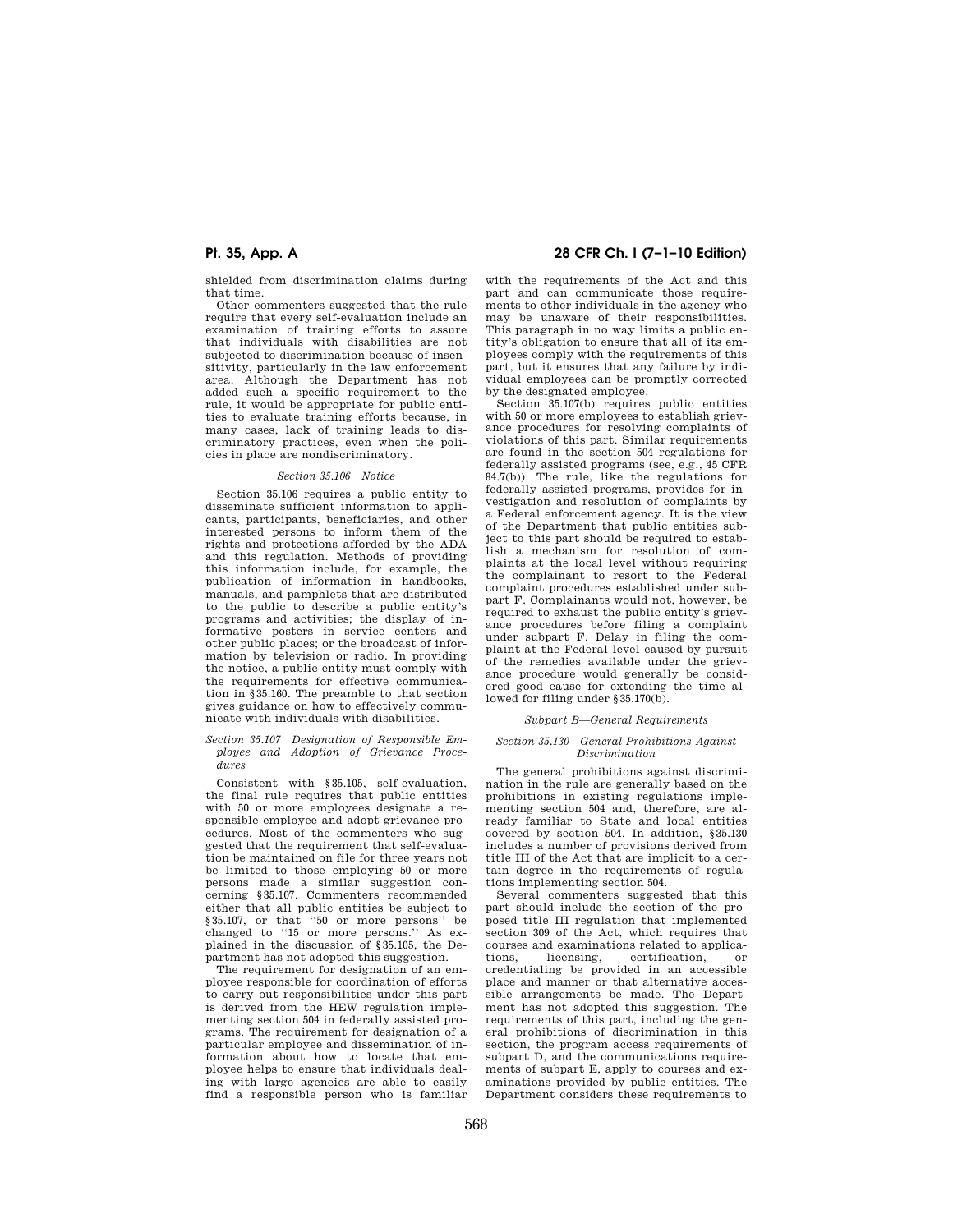shielded from discrimination claims during that time.

Other commenters suggested that the rule require that every self-evaluation include an examination of training efforts to assure that individuals with disabilities are not subjected to discrimination because of insensitivity, particularly in the law enforcement area. Although the Department has not added such a specific requirement to the rule, it would be appropriate for public entities to evaluate training efforts because, in many cases, lack of training leads to discriminatory practices, even when the policies in place are nondiscriminatory.

#### *Section 35.106 Notice*

Section 35.106 requires a public entity to disseminate sufficient information to applicants, participants, beneficiaries, and other interested persons to inform them of the rights and protections afforded by the ADA and this regulation. Methods of providing this information include, for example, the publication of information in handbooks, manuals, and pamphlets that are distributed to the public to describe a public entity's programs and activities; the display of informative posters in service centers and other public places; or the broadcast of information by television or radio. In providing the notice, a public entity must comply with the requirements for effective communication in §35.160. The preamble to that section gives guidance on how to effectively communicate with individuals with disabilities.

#### *Section 35.107 Designation of Responsible Employee and Adoption of Grievance Procedures*

Consistent with §35.105, self-evaluation, the final rule requires that public entities with 50 or more employees designate a responsible employee and adopt grievance procedures. Most of the commenters who suggested that the requirement that self-evaluation be maintained on file for three years not be limited to those employing 50 or more persons made a similar suggestion concerning §35.107. Commenters recommended either that all public entities be subject to §35.107, or that ''50 or more persons'' be changed to ''15 or more persons.'' As explained in the discussion of §35.105, the Department has not adopted this suggestion.

The requirement for designation of an employee responsible for coordination of efforts to carry out responsibilities under this part is derived from the HEW regulation implementing section 504 in federally assisted programs. The requirement for designation of a particular employee and dissemination of information about how to locate that employee helps to ensure that individuals dealing with large agencies are able to easily find a responsible person who is familiar

# **Pt. 35, App. A 28 CFR Ch. I (7–1–10 Edition)**

with the requirements of the Act and this part and can communicate those requirements to other individuals in the agency who may be unaware of their responsibilities. This paragraph in no way limits a public entity's obligation to ensure that all of its employees comply with the requirements of this part, but it ensures that any failure by individual employees can be promptly corrected by the designated employee.

Section 35.107(b) requires public entities with 50 or more employees to establish grievance procedures for resolving complaints of violations of this part. Similar requirements are found in the section 504 regulations for federally assisted programs (see, e.g., 45 CFR 84.7(b)). The rule, like the regulations for federally assisted programs, provides for investigation and resolution of complaints by a Federal enforcement agency. It is the view of the Department that public entities subject to this part should be required to establish a mechanism for resolution of complaints at the local level without requiring the complainant to resort to the Federal complaint procedures established under subpart F. Complainants would not, however, be required to exhaust the public entity's grievance procedures before filing a complaint under subpart F. Delay in filing the complaint at the Federal level caused by pursuit of the remedies available under the grievance procedure would generally be considered good cause for extending the time allowed for filing under §35.170(b).

### *Subpart B—General Requirements*

#### *Section 35.130 General Prohibitions Against Discrimination*

The general prohibitions against discrimination in the rule are generally based on the prohibitions in existing regulations implementing section 504 and, therefore, are already familiar to State and local entities covered by section 504. In addition, §35.130 includes a number of provisions derived from title III of the Act that are implicit to a certain degree in the requirements of regulations implementing section 504.

Several commenters suggested that this part should include the section of the proposed title III regulation that implemented section 309 of the Act, which requires that courses and examinations related to applications, licensing, certification, or certification, or credentialing be provided in an accessible place and manner or that alternative accessible arrangements be made. The Department has not adopted this suggestion. The requirements of this part, including the general prohibitions of discrimination in this section, the program access requirements of subpart D, and the communications requirements of subpart E, apply to courses and examinations provided by public entities. The Department considers these requirements to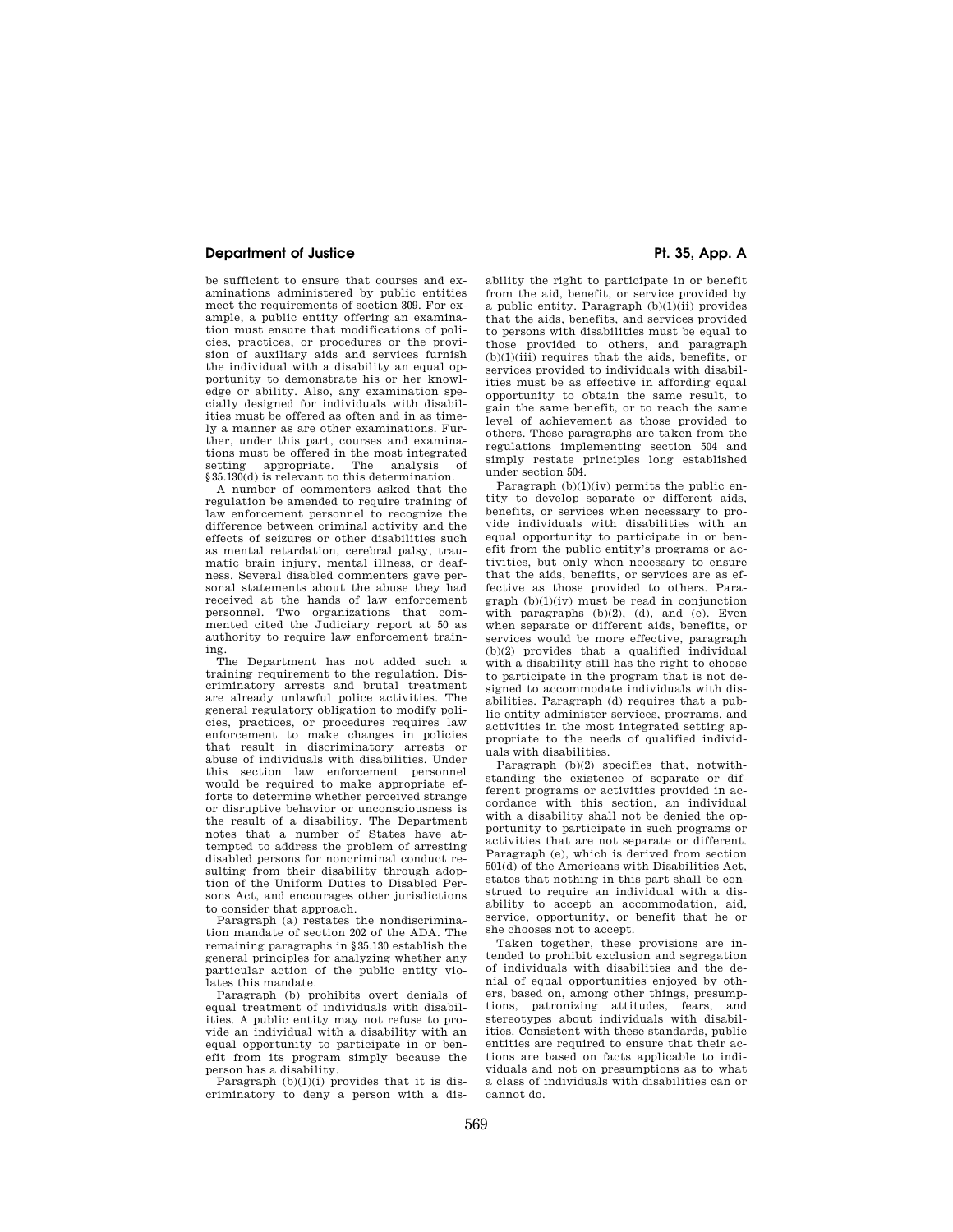be sufficient to ensure that courses and examinations administered by public entities meet the requirements of section 309. For example, a public entity offering an examination must ensure that modifications of policies, practices, or procedures or the provision of auxiliary aids and services furnish the individual with a disability an equal opportunity to demonstrate his or her knowledge or ability. Also, any examination spe-cially designed for individuals with disabilities must be offered as often and in as timely a manner as are other examinations. Further, under this part, courses and examinations must be offered in the most integrated<br>setting appropriate. The analysis of setting appropriate. §35.130(d) is relevant to this determination.

A number of commenters asked that the regulation be amended to require training of law enforcement personnel to recognize the difference between criminal activity and the effects of seizures or other disabilities such as mental retardation, cerebral palsy, traumatic brain injury, mental illness, or deafness. Several disabled commenters gave personal statements about the abuse they had received at the hands of law enforcement personnel. Two organizations that commented cited the Judiciary report at 50 as authority to require law enforcement training.

The Department has not added such a training requirement to the regulation. Discriminatory arrests and brutal treatment are already unlawful police activities. The general regulatory obligation to modify policies, practices, or procedures requires law enforcement to make changes in policies that result in discriminatory arrests or abuse of individuals with disabilities. Under this section law enforcement personnel would be required to make appropriate efforts to determine whether perceived strange or disruptive behavior or unconsciousness is the result of a disability. The Department notes that a number of States have attempted to address the problem of arresting disabled persons for noncriminal conduct resulting from their disability through adoption of the Uniform Duties to Disabled Persons Act, and encourages other jurisdictions to consider that approach.

Paragraph (a) restates the nondiscrimination mandate of section 202 of the ADA. The remaining paragraphs in §35.130 establish the general principles for analyzing whether any particular action of the public entity violates this mandate.

Paragraph (b) prohibits overt denials of equal treatment of individuals with disabilities. A public entity may not refuse to provide an individual with a disability with an equal opportunity to participate in or benefit from its program simply because the person has a disability.

Paragraph  $(b)(1)(i)$  provides that it is discriminatory to deny a person with a dis-

ability the right to participate in or benefit from the aid, benefit, or service provided by a public entity. Paragraph (b)(1)(ii) provides that the aids, benefits, and services provided to persons with disabilities must be equal to those provided to others, and paragraph  $(b)(1)(iii)$  requires that the aids, benefits, or services provided to individuals with disabilities must be as effective in affording equal opportunity to obtain the same result, to gain the same benefit, or to reach the same level of achievement as those provided to others. These paragraphs are taken from the regulations implementing section 504 and simply restate principles long established under section 504.

Paragraph (b)(1)(iv) permits the public entity to develop separate or different aids, benefits, or services when necessary to provide individuals with disabilities with an equal opportunity to participate in or benefit from the public entity's programs or activities, but only when necessary to ensure that the aids, benefits, or services are as effective as those provided to others. Paragraph  $(b)(1)(iv)$  must be read in conjunction with paragraphs  $(b)(2)$ ,  $(d)$ , and  $(e)$ . Even when separate or different aids, benefits, or services would be more effective, paragraph (b)(2) provides that a qualified individual with a disability still has the right to choose to participate in the program that is not designed to accommodate individuals with disabilities. Paragraph (d) requires that a public entity administer services, programs, and activities in the most integrated setting appropriate to the needs of qualified individuals with disabilities.

Paragraph (b)(2) specifies that, notwithstanding the existence of separate or different programs or activities provided in accordance with this section, an individual with a disability shall not be denied the opportunity to participate in such programs or activities that are not separate or different. Paragraph (e), which is derived from section 501(d) of the Americans with Disabilities Act, states that nothing in this part shall be construed to require an individual with a disability to accept an accommodation, aid, service, opportunity, or benefit that he or she chooses not to accept.

Taken together, these provisions are intended to prohibit exclusion and segregation of individuals with disabilities and the denial of equal opportunities enjoyed by others, based on, among other things, presumptions, patronizing attitudes, fears, and stereotypes about individuals with disabilities. Consistent with these standards, public entities are required to ensure that their actions are based on facts applicable to individuals and not on presumptions as to what a class of individuals with disabilities can or cannot do.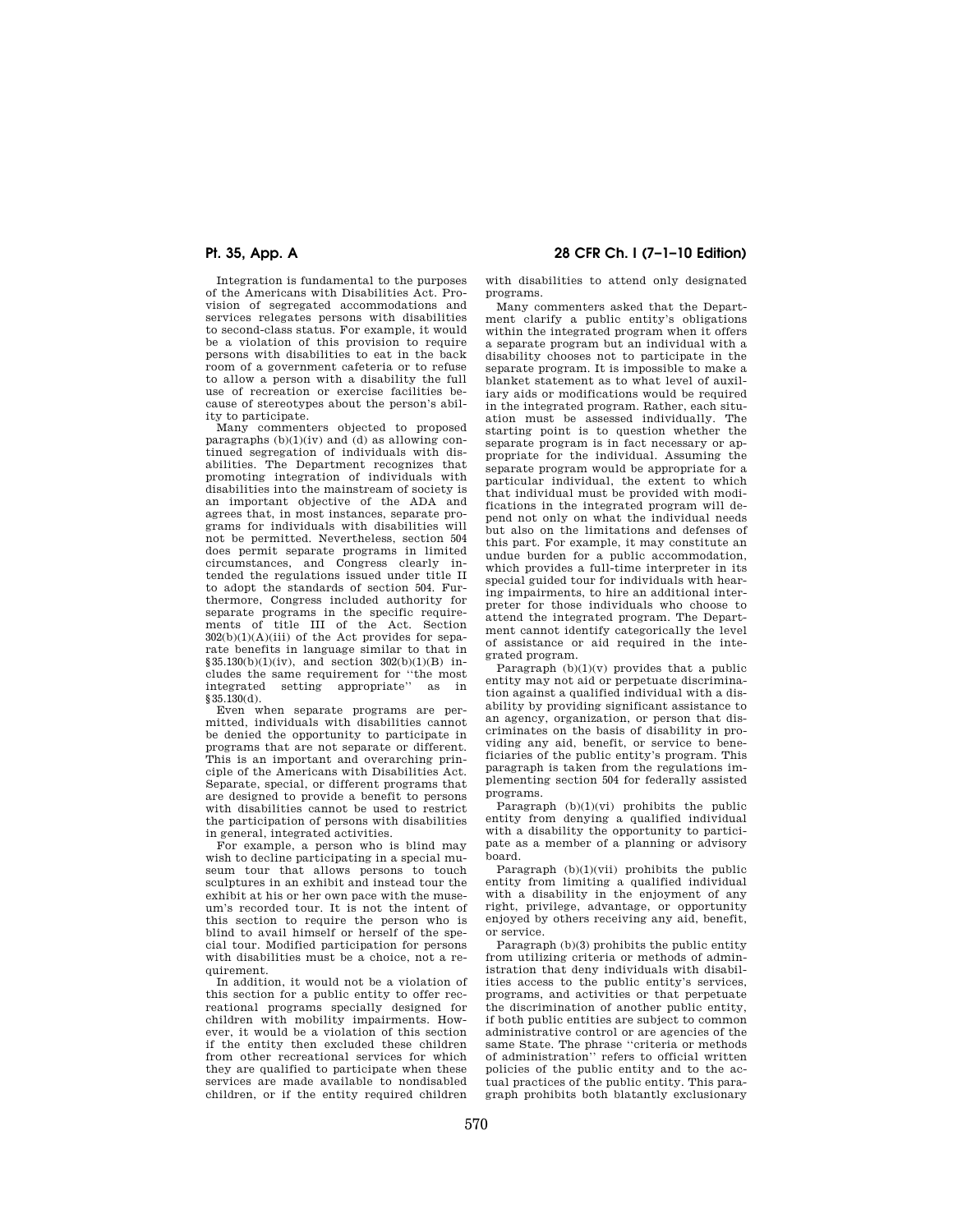Integration is fundamental to the purposes of the Americans with Disabilities Act. Provision of segregated accommodations and services relegates persons with disabilities to second-class status. For example, it would be a violation of this provision to require persons with disabilities to eat in the back room of a government cafeteria or to refuse to allow a person with a disability the full use of recreation or exercise facilities because of stereotypes about the person's ability to participate.

Many commenters objected to proposed paragraphs  $(b)(1)(iv)$  and  $(d)$  as allowing continued segregation of individuals with disabilities. The Department recognizes that promoting integration of individuals with disabilities into the mainstream of society is an important objective of the ADA and agrees that, in most instances, separate programs for individuals with disabilities will not be permitted. Nevertheless, section 504 does permit separate programs in limited circumstances, and Congress clearly intended the regulations issued under title II to adopt the standards of section 504. Furthermore, Congress included authority for separate programs in the specific requirements of title III of the Act. Section  $302(b)(1)(A)(iii)$  of the Act provides for separate benefits in language similar to that in §35.130(b)(1)(iv), and section  $302(b)(1)(B)$  includes the same requirement for ''the most integrated setting appropriate'' as in §35.130(d).

Even when separate programs are permitted, individuals with disabilities cannot be denied the opportunity to participate in programs that are not separate or different. This is an important and overarching principle of the Americans with Disabilities Act. Separate, special, or different programs that are designed to provide a benefit to persons with disabilities cannot be used to restrict the participation of persons with disabilities in general, integrated activities.

For example, a person who is blind may wish to decline participating in a special museum tour that allows persons to touch sculptures in an exhibit and instead tour the exhibit at his or her own pace with the museum's recorded tour. It is not the intent of this section to require the person who is blind to avail himself or herself of the special tour. Modified participation for persons with disabilities must be a choice, not a requirement.

In addition, it would not be a violation of this section for a public entity to offer recreational programs specially designed for children with mobility impairments. However, it would be a violation of this section if the entity then excluded these children from other recreational services for which they are qualified to participate when these services are made available to nondisabled children, or if the entity required children

**Pt. 35, App. A 28 CFR Ch. I (7–1–10 Edition)** 

with disabilities to attend only designated programs.

Many commenters asked that the Department clarify a public entity's obligations within the integrated program when it offers a separate program but an individual with a disability chooses not to participate in the separate program. It is impossible to make a blanket statement as to what level of auxiliary aids or modifications would be required in the integrated program. Rather, each situation must be assessed individually. The starting point is to question whether the separate program is in fact necessary or appropriate for the individual. Assuming the separate program would be appropriate for a particular individual, the extent to which that individual must be provided with modifications in the integrated program will depend not only on what the individual needs but also on the limitations and defenses of this part. For example, it may constitute an undue burden for a public accommodation, which provides a full-time interpreter in its special guided tour for individuals with hearing impairments, to hire an additional interpreter for those individuals who choose to attend the integrated program. The Department cannot identify categorically the level of assistance or aid required in the integrated program.

Paragraph  $(b)(1)(v)$  provides that a public entity may not aid or perpetuate discrimination against a qualified individual with a disability by providing significant assistance to an agency, organization, or person that discriminates on the basis of disability in providing any aid, benefit, or service to beneficiaries of the public entity's program. This paragraph is taken from the regulations implementing section 504 for federally assisted programs.

Paragraph  $(b)(1)(vi)$  prohibits the public entity from denying a qualified individual with a disability the opportunity to participate as a member of a planning or advisory board.

Paragraph (b)(1)(vii) prohibits the public entity from limiting a qualified individual with a disability in the enjoyment of any right, privilege, advantage, or opportunity enjoyed by others receiving any aid, benefit, or service.

Paragraph (b)(3) prohibits the public entity from utilizing criteria or methods of administration that deny individuals with disabilities access to the public entity's services, programs, and activities or that perpetuate the discrimination of another public entity, if both public entities are subject to common administrative control or are agencies of the same State. The phrase ''criteria or methods of administration'' refers to official written policies of the public entity and to the actual practices of the public entity. This paragraph prohibits both blatantly exclusionary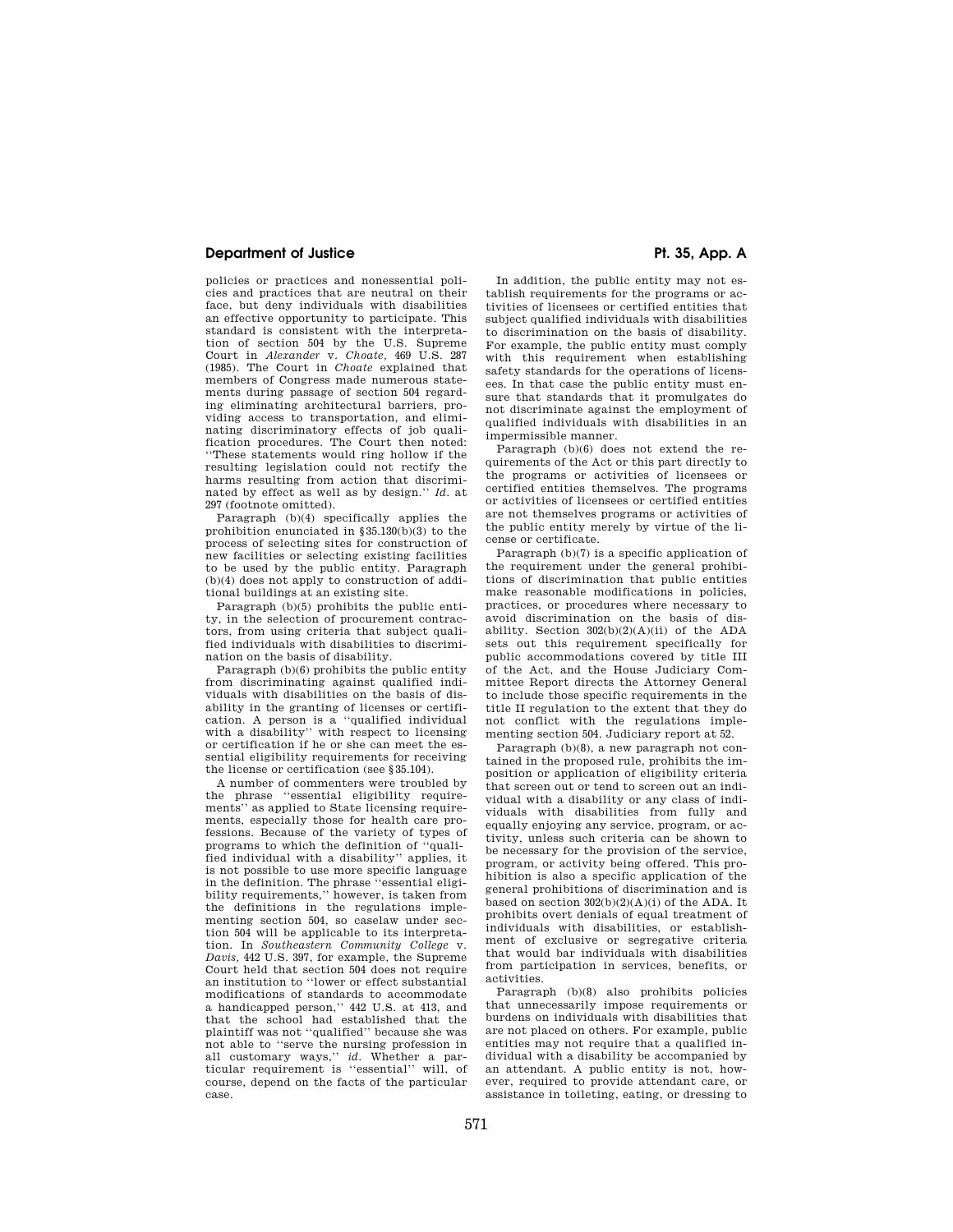policies or practices and nonessential policies and practices that are neutral on their face, but deny individuals with disabilities an effective opportunity to participate. This standard is consistent with the interpretation of section 504 by the U.S. Supreme Court in *Alexander* v. *Choate,* 469 U.S. 287 (1985). The Court in *Choate* explained that members of Congress made numerous statements during passage of section 504 regarding eliminating architectural barriers, providing access to transportation, and eliminating discriminatory effects of job qualification procedures. The Court then noted: ''These statements would ring hollow if the resulting legislation could not rectify the harms resulting from action that discriminated by effect as well as by design.'' *Id.* at 297 (footnote omitted).

Paragraph (b)(4) specifically applies the prohibition enunciated in  $\S 35.130(b)(3)$  to the process of selecting sites for construction of new facilities or selecting existing facilities to be used by the public entity. Paragraph (b)(4) does not apply to construction of additional buildings at an existing site.

Paragraph (b)(5) prohibits the public entity, in the selection of procurement contractors, from using criteria that subject qualified individuals with disabilities to discrimination on the basis of disability.

Paragraph (b)(6) prohibits the public entity from discriminating against qualified individuals with disabilities on the basis of disability in the granting of licenses or certification. A person is a ''qualified individual with a disability'' with respect to licensing or certification if he or she can meet the essential eligibility requirements for receiving the license or certification (see §35.104).

A number of commenters were troubled by the phrase ''essential eligibility requirements'' as applied to State licensing requirements, especially those for health care professions. Because of the variety of types of programs to which the definition of ''qualified individual with a disability'' applies, it is not possible to use more specific language in the definition. The phrase ''essential eligibility requirements,'' however, is taken from the definitions in the regulations implementing section 504, so caselaw under section 504 will be applicable to its interpretation. In *Southeastern Community College* v. *Davis,* 442 U.S. 397, for example, the Supreme Court held that section 504 does not require an institution to ''lower or effect substantial modifications of standards to accommodate a handicapped person,'' 442 U.S. at 413, and that the school had established that the plaintiff was not ''qualified'' because she was not able to ''serve the nursing profession in all customary ways,'' *id.* Whether a particular requirement is ''essential'' will, of course, depend on the facts of the particular case.

In addition, the public entity may not establish requirements for the programs or activities of licensees or certified entities that subject qualified individuals with disabilities to discrimination on the basis of disability. For example, the public entity must comply with this requirement when establishing safety standards for the operations of licensees. In that case the public entity must ensure that standards that it promulgates do not discriminate against the employment of qualified individuals with disabilities in an impermissible manner.

Paragraph (b)(6) does not extend the requirements of the Act or this part directly to the programs or activities of licensees or certified entities themselves. The programs or activities of licensees or certified entities are not themselves programs or activities of the public entity merely by virtue of the license or certificate.

Paragraph (b)(7) is a specific application of the requirement under the general prohibitions of discrimination that public entities make reasonable modifications in policies, practices, or procedures where necessary to avoid discrimination on the basis of disability. Section 302(b)(2)(A)(ii) of the ADA sets out this requirement specifically for public accommodations covered by title III of the Act, and the House Judiciary Committee Report directs the Attorney General to include those specific requirements in the title II regulation to the extent that they do not conflict with the regulations implementing section 504. Judiciary report at 52.

Paragraph (b)(8), a new paragraph not contained in the proposed rule, prohibits the imposition or application of eligibility criteria that screen out or tend to screen out an individual with a disability or any class of individuals with disabilities from fully and equally enjoying any service, program, or activity, unless such criteria can be shown to be necessary for the provision of the service, program, or activity being offered. This prohibition is also a specific application of the general prohibitions of discrimination and is based on section 302(b)(2)(A)(i) of the ADA. It prohibits overt denials of equal treatment of individuals with disabilities, or establishment of exclusive or segregative criteria that would bar individuals with disabilities from participation in services, benefits, or activities.

Paragraph (b)(8) also prohibits policies that unnecessarily impose requirements or burdens on individuals with disabilities that are not placed on others. For example, public entities may not require that a qualified individual with a disability be accompanied by an attendant. A public entity is not, however, required to provide attendant care, or assistance in toileting, eating, or dressing to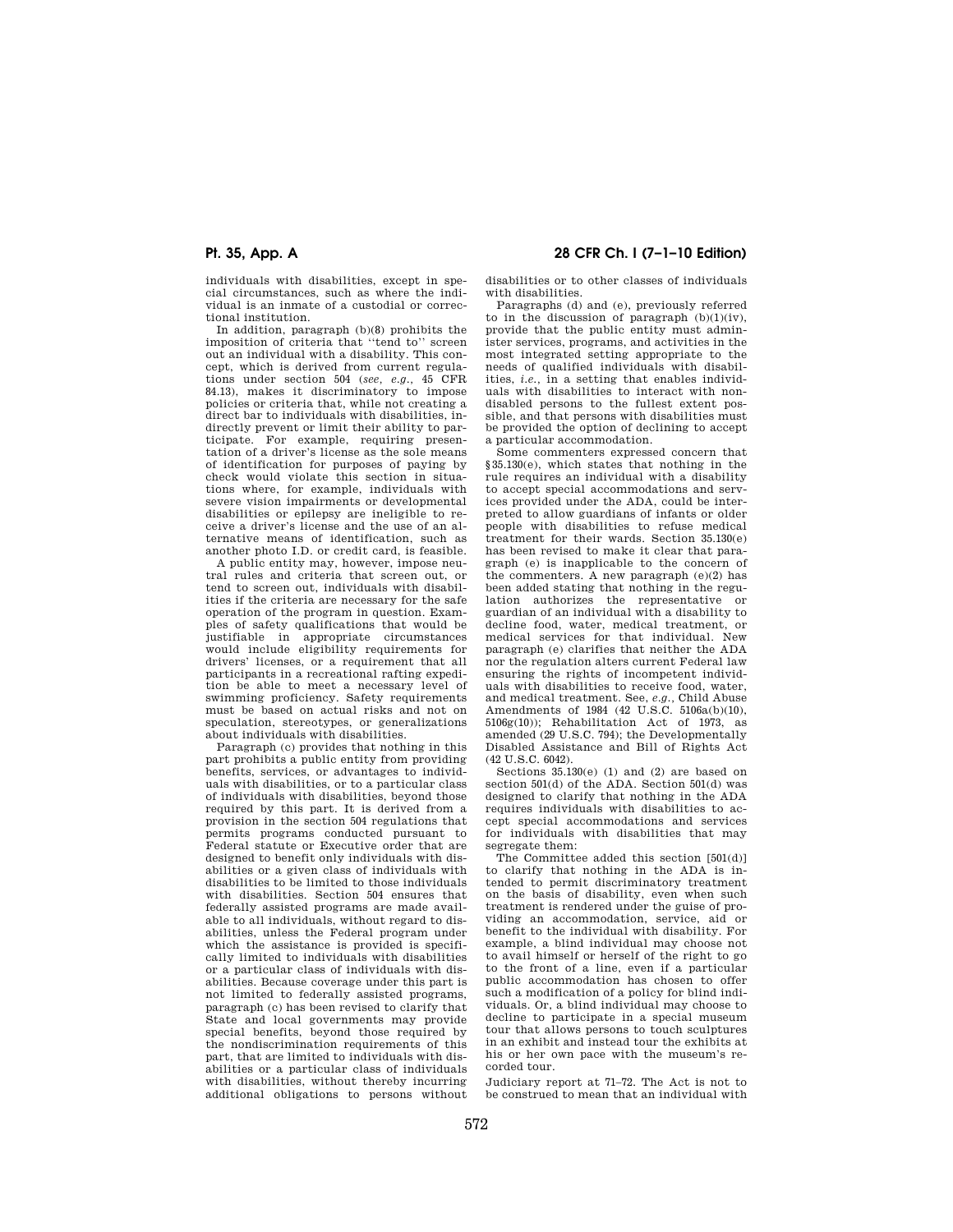individuals with disabilities, except in special circumstances, such as where the individual is an inmate of a custodial or correctional institution.

In addition, paragraph (b)(8) prohibits the imposition of criteria that ''tend to'' screen out an individual with a disability. This concept, which is derived from current regulations under section 504 (*see, e.g.,* 45 CFR 84.13), makes it discriminatory to impose policies or criteria that, while not creating a direct bar to individuals with disabilities, indirectly prevent or limit their ability to participate. For example, requiring presentation of a driver's license as the sole means of identification for purposes of paying by check would violate this section in situations where, for example, individuals with severe vision impairments or developmental disabilities or epilepsy are ineligible to receive a driver's license and the use of an alternative means of identification, such as another photo I.D. or credit card, is feasible.

A public entity may, however, impose neutral rules and criteria that screen out, or tend to screen out, individuals with disabilities if the criteria are necessary for the safe operation of the program in question. Examples of safety qualifications that would be justifiable in appropriate circumstances would include eligibility requirements for drivers' licenses, or a requirement that all participants in a recreational rafting expedition be able to meet a necessary level of swimming proficiency. Safety requirements must be based on actual risks and not on speculation, stereotypes, or generalizations about individuals with disabilities.

Paragraph (c) provides that nothing in this part prohibits a public entity from providing benefits, services, or advantages to individuals with disabilities, or to a particular class of individuals with disabilities, beyond those required by this part. It is derived from a provision in the section 504 regulations that permits programs conducted pursuant to Federal statute or Executive order that are designed to benefit only individuals with disabilities or a given class of individuals with disabilities to be limited to those individuals with disabilities. Section 504 ensures that federally assisted programs are made available to all individuals, without regard to disabilities, unless the Federal program under which the assistance is provided is specifically limited to individuals with disabilities or a particular class of individuals with disabilities. Because coverage under this part is not limited to federally assisted programs, paragraph (c) has been revised to clarify that State and local governments may provide special benefits, beyond those required by the nondiscrimination requirements of this part, that are limited to individuals with disabilities or a particular class of individuals with disabilities, without thereby incurring additional obligations to persons without

# **Pt. 35, App. A 28 CFR Ch. I (7–1–10 Edition)**

disabilities or to other classes of individuals with disabilities.

Paragraphs (d) and (e), previously referred to in the discussion of paragraph  $(b)(1)(iv)$ , provide that the public entity must administer services, programs, and activities in the most integrated setting appropriate to the needs of qualified individuals with disabilities, *i.e.,* in a setting that enables individuals with disabilities to interact with nondisabled persons to the fullest extent possible, and that persons with disabilities must be provided the option of declining to accept a particular accommodation.

Some commenters expressed concern that §35.130(e), which states that nothing in the rule requires an individual with a disability to accept special accommodations and services provided under the ADA, could be interpreted to allow guardians of infants or older people with disabilities to refuse medical treatment for their wards. Section 35.130(e) has been revised to make it clear that paragraph (e) is inapplicable to the concern of the commenters. A new paragraph (e)(2) has been added stating that nothing in the regulation authorizes the representative or guardian of an individual with a disability to decline food, water, medical treatment, or medical services for that individual. New paragraph (e) clarifies that neither the ADA nor the regulation alters current Federal law ensuring the rights of incompetent individuals with disabilities to receive food, water, and medical treatment. See, *e.g.,* Child Abuse Amendments of 1984 (42 U.S.C. 5106a(b)(10), 5106g(10)); Rehabilitation Act of 1973, as amended (29 U.S.C. 794); the Developmentally Disabled Assistance and Bill of Rights Act (42 U.S.C. 6042).

Sections 35.130(e) (1) and (2) are based on section 501(d) of the ADA. Section 501(d) was designed to clarify that nothing in the ADA requires individuals with disabilities to accept special accommodations and services for individuals with disabilities that may segregate them:

The Committee added this section [501(d)] to clarify that nothing in the ADA is intended to permit discriminatory treatment on the basis of disability, even when such treatment is rendered under the guise of providing an accommodation, service, aid or benefit to the individual with disability. For example, a blind individual may choose not to avail himself or herself of the right to go to the front of a line, even if a particular public accommodation has chosen to offer such a modification of a policy for blind individuals. Or, a blind individual may choose to decline to participate in a special museum tour that allows persons to touch sculptures in an exhibit and instead tour the exhibits at his or her own pace with the museum's recorded tour.

Judiciary report at 71–72. The Act is not to be construed to mean that an individual with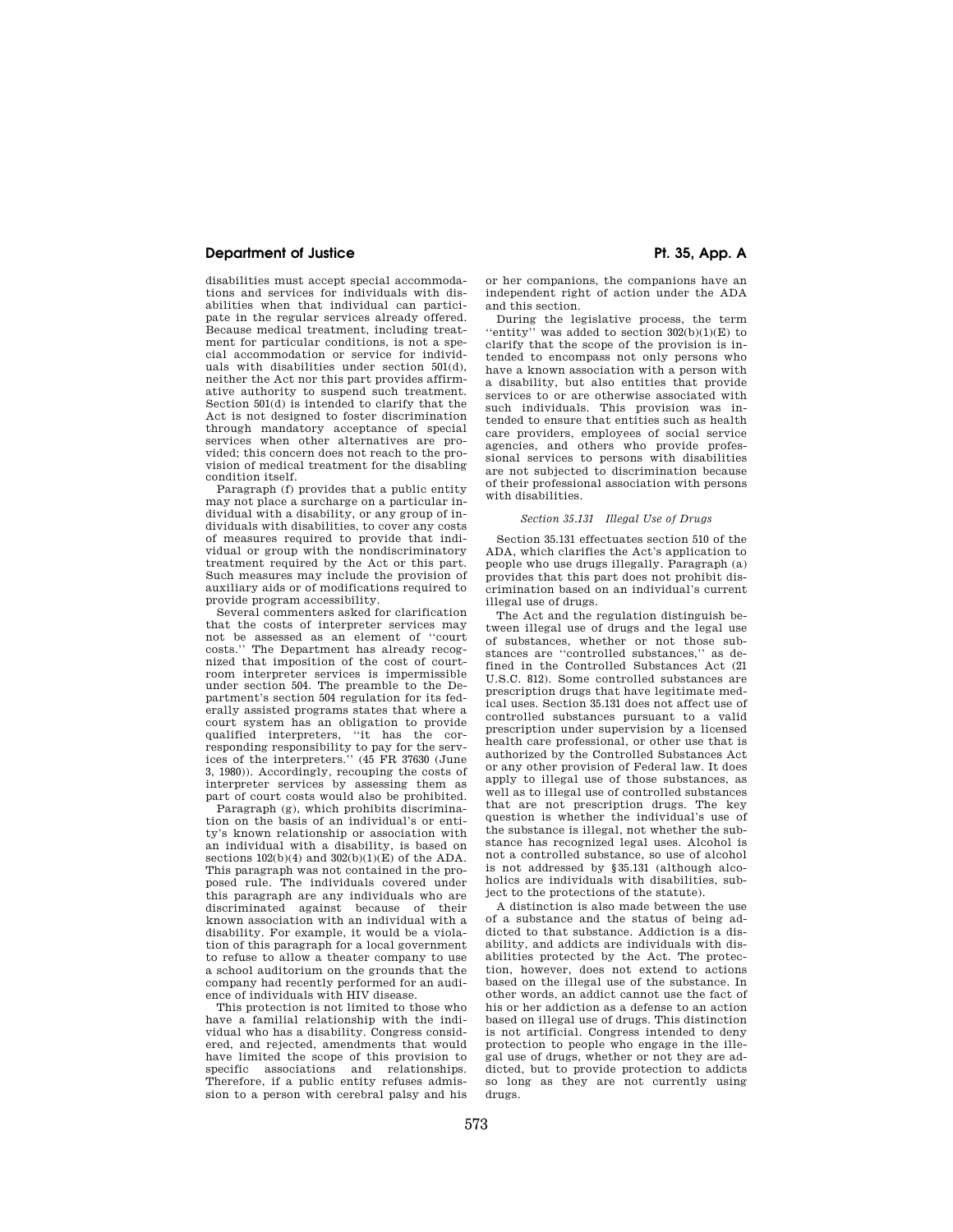disabilities must accept special accommodations and services for individuals with disabilities when that individual can participate in the regular services already offered. Because medical treatment, including treatment for particular conditions, is not a special accommodation or service for individuals with disabilities under section 501(d), neither the Act nor this part provides affirmative authority to suspend such treatment. Section 501(d) is intended to clarify that the Act is not designed to foster discrimination through mandatory acceptance of special services when other alternatives are provided; this concern does not reach to the provision of medical treatment for the disabling condition itself.

Paragraph (f) provides that a public entity may not place a surcharge on a particular individual with a disability, or any group of individuals with disabilities, to cover any costs of measures required to provide that individual or group with the nondiscriminatory treatment required by the Act or this part. Such measures may include the provision of auxiliary aids or of modifications required to provide program accessibility.

Several commenters asked for clarification that the costs of interpreter services may not be assessed as an element of ''court costs.'' The Department has already recognized that imposition of the cost of courtroom interpreter services is impermissible under section 504. The preamble to the Department's section 504 regulation for its federally assisted programs states that where a court system has an obligation to provide qualified interpreters, ''it has the corresponding responsibility to pay for the services of the interpreters.'' (45 FR 37630 (June 3, 1980)). Accordingly, recouping the costs of interpreter services by assessing them as part of court costs would also be prohibited.

Paragraph (g), which prohibits discrimination on the basis of an individual's or entity's known relationship or association with an individual with a disability, is based on sections  $102(b)(4)$  and  $302(b)(1)(E)$  of the ADA. This paragraph was not contained in the proposed rule. The individuals covered under this paragraph are any individuals who are discriminated against because of their known association with an individual with a disability. For example, it would be a violation of this paragraph for a local government to refuse to allow a theater company to use a school auditorium on the grounds that the company had recently performed for an audience of individuals with HIV disease.

This protection is not limited to those who have a familial relationship with the individual who has a disability. Congress considered, and rejected, amendments that would have limited the scope of this provision to specific associations and relationships. Therefore, if a public entity refuses admission to a person with cerebral palsy and his or her companions, the companions have an independent right of action under the ADA and this section.

During the legislative process, the term "entity" was added to section  $302(b)(1)(E)$  to clarify that the scope of the provision is intended to encompass not only persons who have a known association with a person with a disability, but also entities that provide services to or are otherwise associated with such individuals. This provision was intended to ensure that entities such as health care providers, employees of social service agencies, and others who provide professional services to persons with disabilities are not subjected to discrimination because of their professional association with persons with disabilities.

### *Section 35.131 Illegal Use of Drugs*

Section 35.131 effectuates section 510 of the ADA, which clarifies the Act's application to people who use drugs illegally. Paragraph (a) provides that this part does not prohibit discrimination based on an individual's current illegal use of drugs.

The Act and the regulation distinguish between illegal use of drugs and the legal use of substances, whether or not those substances are ''controlled substances,'' as defined in the Controlled Substances Act (21 U.S.C. 812). Some controlled substances are prescription drugs that have legitimate medical uses. Section 35.131 does not affect use of controlled substances pursuant to a valid prescription under supervision by a licensed health care professional, or other use that is authorized by the Controlled Substances Act or any other provision of Federal law. It does apply to illegal use of those substances, as well as to illegal use of controlled substances that are not prescription drugs. The key question is whether the individual's use of the substance is illegal, not whether the substance has recognized legal uses. Alcohol is not a controlled substance, so use of alcohol is not addressed by §35.131 (although alcoholics are individuals with disabilities, subject to the protections of the statute).

A distinction is also made between the use of a substance and the status of being addicted to that substance. Addiction is a disability, and addicts are individuals with disabilities protected by the Act. The protection, however, does not extend to actions based on the illegal use of the substance. In other words, an addict cannot use the fact of his or her addiction as a defense to an action based on illegal use of drugs. This distinction is not artificial. Congress intended to deny protection to people who engage in the illegal use of drugs, whether or not they are addicted, but to provide protection to addicts so long as they are not currently using drugs.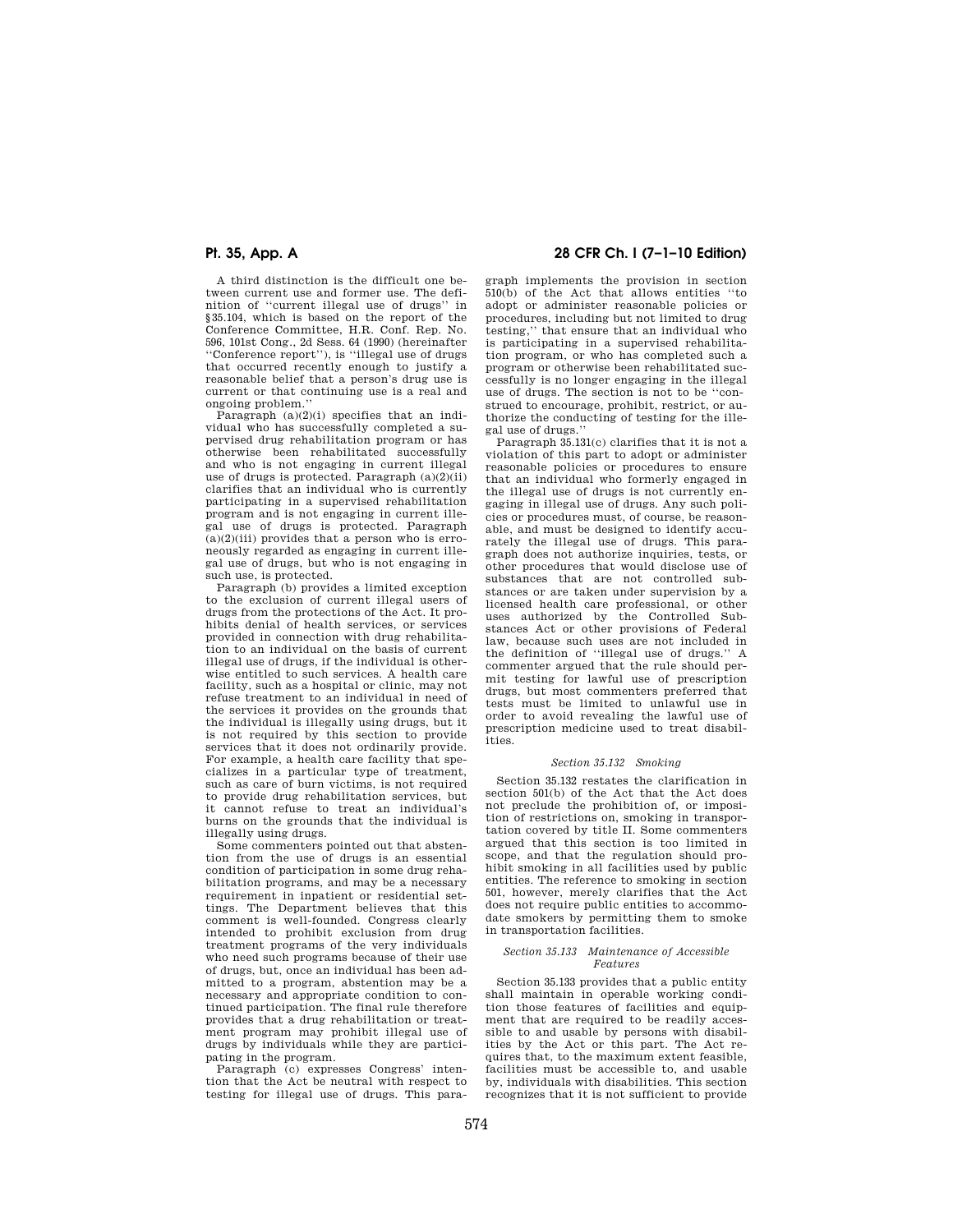A third distinction is the difficult one between current use and former use. The definition of ''current illegal use of drugs'' in §35.104, which is based on the report of the Conference Committee, H.R. Conf. Rep. No. 596, 101st Cong., 2d Sess. 64 (1990) (hereinafter ''Conference report''), is ''illegal use of drugs that occurred recently enough to justify a reasonable belief that a person's drug use is current or that continuing use is a real and ongoing problem.''

Paragraph  $(a)(2)(i)$  specifies that an individual who has successfully completed a supervised drug rehabilitation program or has otherwise been rehabilitated successfully and who is not engaging in current illegal use of drugs is protected. Paragraph  $(a)(2)(ii)$ clarifies that an individual who is currently participating in a supervised rehabilitation program and is not engaging in current illegal use of drugs is protected. Paragraph  $(a)(2)(iii)$  provides that a person who is erroneously regarded as engaging in current illegal use of drugs, but who is not engaging in such use, is protected.

Paragraph (b) provides a limited exception to the exclusion of current illegal users of drugs from the protections of the Act. It prohibits denial of health services, or services provided in connection with drug rehabilitation to an individual on the basis of current illegal use of drugs, if the individual is otherwise entitled to such services. A health care facility, such as a hospital or clinic, may not refuse treatment to an individual in need of the services it provides on the grounds that the individual is illegally using drugs, but it is not required by this section to provide services that it does not ordinarily provide. For example, a health care facility that specializes in a particular type of treatment, such as care of burn victims, is not required to provide drug rehabilitation services, but it cannot refuse to treat an individual's burns on the grounds that the individual is illegally using drugs.

Some commenters pointed out that abstention from the use of drugs is an essential condition of participation in some drug rehabilitation programs, and may be a necessary requirement in inpatient or residential settings. The Department believes that this comment is well-founded. Congress clearly intended to prohibit exclusion from drug treatment programs of the very individuals who need such programs because of their use of drugs, but, once an individual has been admitted to a program, abstention may be a necessary and appropriate condition to continued participation. The final rule therefore provides that a drug rehabilitation or treatment program may prohibit illegal use of drugs by individuals while they are participating in the program.

Paragraph (c) expresses Congress' intention that the Act be neutral with respect to testing for illegal use of drugs. This para-

# **Pt. 35, App. A 28 CFR Ch. I (7–1–10 Edition)**

graph implements the provision in section 510(b) of the Act that allows entities ''to adopt or administer reasonable policies or procedures, including but not limited to drug testing,'' that ensure that an individual who is participating in a supervised rehabilitation program, or who has completed such a program or otherwise been rehabilitated successfully is no longer engaging in the illegal use of drugs. The section is not to be ''construed to encourage, prohibit, restrict, or authorize the conducting of testing for the illegal use of drugs.''

Paragraph 35.131(c) clarifies that it is not a violation of this part to adopt or administer reasonable policies or procedures to ensure that an individual who formerly engaged in the illegal use of drugs is not currently engaging in illegal use of drugs. Any such policies or procedures must, of course, be reasonable, and must be designed to identify accurately the illegal use of drugs. This paragraph does not authorize inquiries, tests, or other procedures that would disclose use of substances that are not controlled substances or are taken under supervision by a licensed health care professional, or other uses authorized by the Controlled Substances Act or other provisions of Federal law, because such uses are not included in<br>the definition of "illegal use of drugs." A the definition of "illegal use of drugs." commenter argued that the rule should permit testing for lawful use of prescription drugs, but most commenters preferred that tests must be limited to unlawful use in order to avoid revealing the lawful use of prescription medicine used to treat disabilities.

### *Section 35.132 Smoking*

Section 35.132 restates the clarification in section 501(b) of the Act that the Act does not preclude the prohibition of, or imposition of restrictions on, smoking in transportation covered by title II. Some commenters argued that this section is too limited in scope, and that the regulation should prohibit smoking in all facilities used by public entities. The reference to smoking in section 501, however, merely clarifies that the Act does not require public entities to accommodate smokers by permitting them to smoke in transportation facilities.

### *Section 35.133 Maintenance of Accessible Features*

Section 35.133 provides that a public entity shall maintain in operable working condition those features of facilities and equipment that are required to be readily accessible to and usable by persons with disabilities by the Act or this part. The Act requires that, to the maximum extent feasible, facilities must be accessible to, and usable by, individuals with disabilities. This section recognizes that it is not sufficient to provide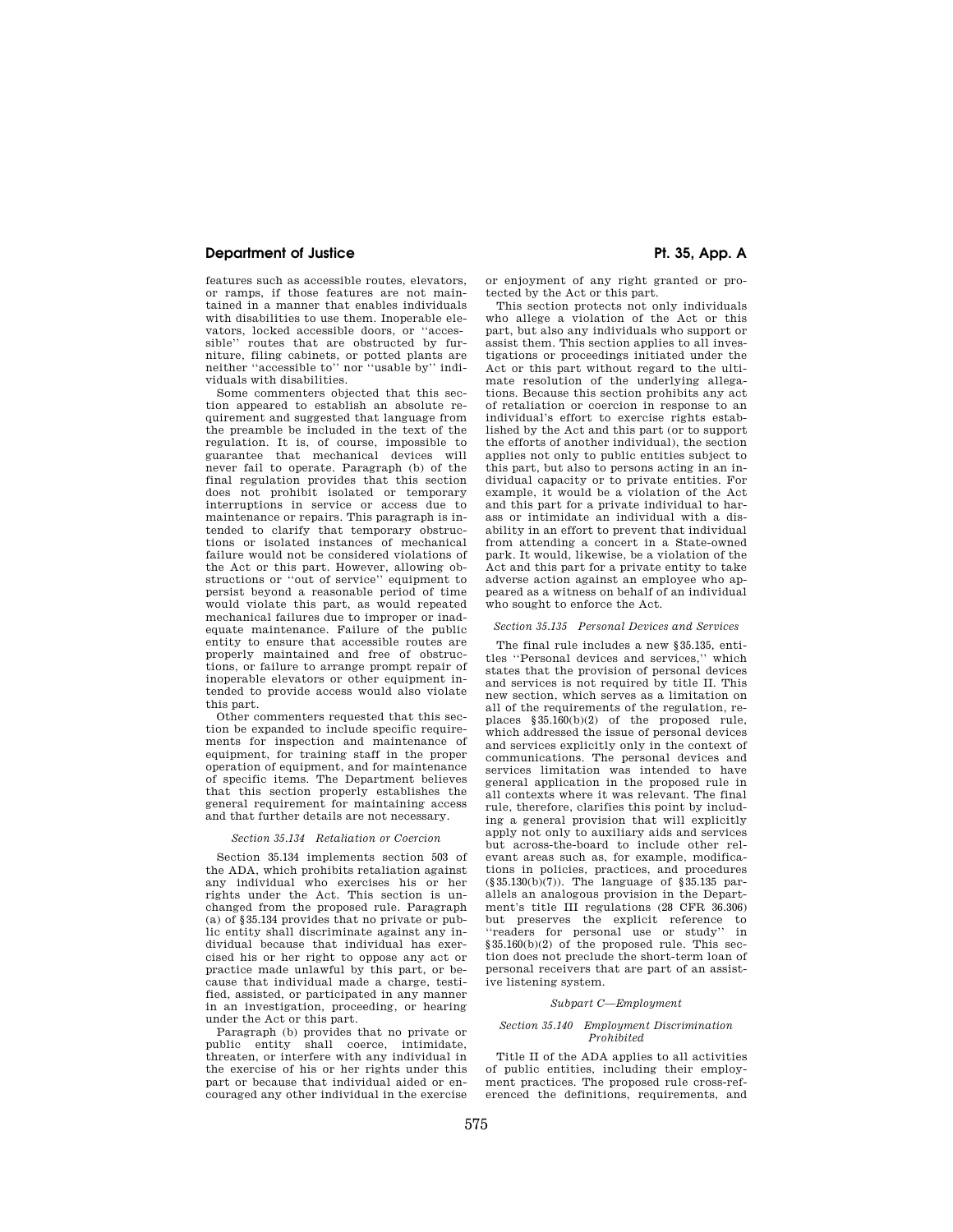features such as accessible routes, elevators, or ramps, if those features are not maintained in a manner that enables individuals with disabilities to use them. Inoperable elevators, locked accessible doors, or "accessible" routes that are obstructed by furroutes that are obstructed by furniture, filing cabinets, or potted plants are neither ''accessible to'' nor ''usable by'' individuals with disabilities.

Some commenters objected that this section appeared to establish an absolute requirement and suggested that language from the preamble be included in the text of the regulation. It is, of course, impossible to guarantee that mechanical devices will never fail to operate. Paragraph (b) of the final regulation provides that this section does not prohibit isolated or temporary interruptions in service or access due to maintenance or repairs. This paragraph is intended to clarify that temporary obstructions or isolated instances of mechanical failure would not be considered violations of the Act or this part. However, allowing obstructions or ''out of service'' equipment to persist beyond a reasonable period of time would violate this part, as would repeated mechanical failures due to improper or inadequate maintenance. Failure of the public entity to ensure that accessible routes are properly maintained and free of obstructions, or failure to arrange prompt repair of inoperable elevators or other equipment intended to provide access would also violate this part.

Other commenters requested that this section be expanded to include specific requirements for inspection and maintenance of equipment, for training staff in the proper operation of equipment, and for maintenance of specific items. The Department believes that this section properly establishes the general requirement for maintaining access and that further details are not necessary.

### *Section 35.134 Retaliation or Coercion*

Section 35.134 implements section 503 of the ADA, which prohibits retaliation against any individual who exercises his or her rights under the Act. This section is unchanged from the proposed rule. Paragraph (a) of §35.134 provides that no private or public entity shall discriminate against any individual because that individual has exercised his or her right to oppose any act or practice made unlawful by this part, or because that individual made a charge, testified, assisted, or participated in any manner in an investigation, proceeding, or hearing under the Act or this part.

Paragraph (b) provides that no private or public entity shall coerce, intimidate, threaten, or interfere with any individual in the exercise of his or her rights under this part or because that individual aided or encouraged any other individual in the exercise

or enjoyment of any right granted or protected by the Act or this part.

This section protects not only individuals who allege a violation of the Act or this part, but also any individuals who support or assist them. This section applies to all investigations or proceedings initiated under the Act or this part without regard to the ultimate resolution of the underlying allegations. Because this section prohibits any act of retaliation or coercion in response to an individual's effort to exercise rights established by the Act and this part (or to support the efforts of another individual), the section applies not only to public entities subject to this part, but also to persons acting in an individual capacity or to private entities. For example, it would be a violation of the Act and this part for a private individual to harass or intimidate an individual with a disability in an effort to prevent that individual from attending a concert in a State-owned park. It would, likewise, be a violation of the Act and this part for a private entity to take adverse action against an employee who appeared as a witness on behalf of an individual who sought to enforce the Act.

#### *Section 35.135 Personal Devices and Services*

The final rule includes a new §35.135, enti-<br>es "Personal devices and services" which tles "Personal devices and services," states that the provision of personal devices and services is not required by title II. This new section, which serves as a limitation on all of the requirements of the regulation, replaces §35.160(b)(2) of the proposed rule, which addressed the issue of personal devices and services explicitly only in the context of communications. The personal devices and services limitation was intended to have general application in the proposed rule in all contexts where it was relevant. The final rule, therefore, clarifies this point by including a general provision that will explicitly apply not only to auxiliary aids and services but across-the-board to include other relevant areas such as, for example, modifications in policies, practices, and procedures (§35.130(b)(7)). The language of §35.135 parallels an analogous provision in the Department's title III regulations (28 CFR 36.306) but preserves the explicit reference to ''readers for personal use or study'' in §35.160(b)(2) of the proposed rule. This section does not preclude the short-term loan of personal receivers that are part of an assistive listening system.

# *Subpart C—Employment*

#### *Section 35.140 Employment Discrimination Prohibited*

Title II of the ADA applies to all activities of public entities, including their employment practices. The proposed rule cross-referenced the definitions, requirements, and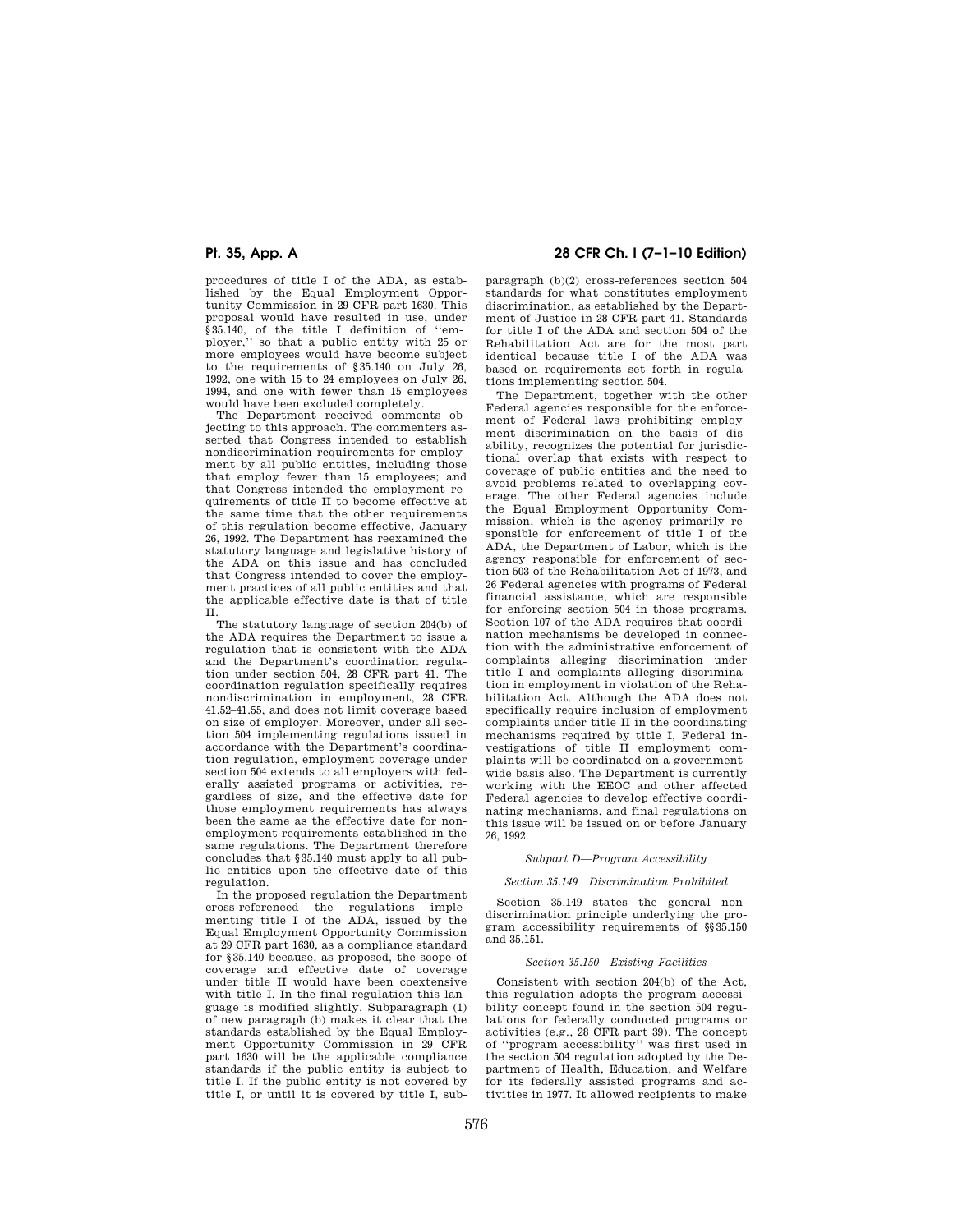procedures of title I of the ADA, as established by the Equal Employment Opportunity Commission in 29 CFR part 1630. This proposal would have resulted in use, under §35.140, of the title I definition of ''em-ployer,'' so that a public entity with 25 or more employees would have become subject to the requirements of §35.140 on July 26, 1992, one with 15 to 24 employees on July 26, 1994, and one with fewer than 15 employees would have been excluded completely.

The Department received comments objecting to this approach. The commenters asserted that Congress intended to establish nondiscrimination requirements for employment by all public entities, including those that employ fewer than 15 employees; and that Congress intended the employment requirements of title II to become effective at the same time that the other requirements of this regulation become effective, January 26, 1992. The Department has reexamined the statutory language and legislative history of the ADA on this issue and has concluded that Congress intended to cover the employment practices of all public entities and that the applicable effective date is that of title II.

The statutory language of section 204(b) of the ADA requires the Department to issue a regulation that is consistent with the ADA and the Department's coordination regulation under section 504, 28 CFR part 41. The coordination regulation specifically requires nondiscrimination in employment, 28 CFR 41.52–41.55, and does not limit coverage based on size of employer. Moreover, under all section 504 implementing regulations issued in accordance with the Department's coordination regulation, employment coverage under section 504 extends to all employers with federally assisted programs or activities, regardless of size, and the effective date for those employment requirements has always been the same as the effective date for nonemployment requirements established in the same regulations. The Department therefore concludes that §35.140 must apply to all public entities upon the effective date of this regulation.

In the proposed regulation the Department cross-referenced the regulations implementing title I of the ADA, issued by the Equal Employment Opportunity Commission at 29 CFR part 1630, as a compliance standard for §35.140 because, as proposed, the scope of coverage and effective date of coverage under title II would have been coextensive with title I. In the final regulation this language is modified slightly. Subparagraph (1) of new paragraph (b) makes it clear that the standards established by the Equal Employment Opportunity Commission in 29 CFR part 1630 will be the applicable compliance standards if the public entity is subject to title I. If the public entity is not covered by title I, or until it is covered by title I, sub-

# **Pt. 35, App. A 28 CFR Ch. I (7–1–10 Edition)**

paragraph (b)(2) cross-references section 504 standards for what constitutes employment discrimination, as established by the Department of Justice in 28 CFR part 41. Standards for title I of the ADA and section 504 of the Rehabilitation Act are for the most part identical because title I of the ADA was based on requirements set forth in regulations implementing section 504.

The Department, together with the other Federal agencies responsible for the enforcement of Federal laws prohibiting employment discrimination on the basis of disability, recognizes the potential for jurisdictional overlap that exists with respect to coverage of public entities and the need to avoid problems related to overlapping coverage. The other Federal agencies include the Equal Employment Opportunity Commission, which is the agency primarily responsible for enforcement of title I of the ADA, the Department of Labor, which is the agency responsible for enforcement of section 503 of the Rehabilitation Act of 1973, and 26 Federal agencies with programs of Federal financial assistance, which are responsible for enforcing section 504 in those programs. Section 107 of the ADA requires that coordination mechanisms be developed in connection with the administrative enforcement of complaints alleging discrimination under title I and complaints alleging discrimination in employment in violation of the Rehabilitation Act. Although the ADA does not specifically require inclusion of employment complaints under title II in the coordinating mechanisms required by title I, Federal investigations of title II employment complaints will be coordinated on a governmentwide basis also. The Department is currently working with the EEOC and other affected Federal agencies to develop effective coordinating mechanisms, and final regulations on this issue will be issued on or before January 26, 1992.

### *Subpart D—Program Accessibility*

### *Section 35.149 Discrimination Prohibited*

Section 35.149 states the general nondiscrimination principle underlying the program accessibility requirements of §§35.150 and 35.151.

### *Section 35.150 Existing Facilities*

Consistent with section 204(b) of the Act, this regulation adopts the program accessibility concept found in the section 504 regulations for federally conducted programs or activities (e.g., 28 CFR part 39). The concept of ''program accessibility'' was first used in the section 504 regulation adopted by the Department of Health, Education, and Welfare for its federally assisted programs and activities in 1977. It allowed recipients to make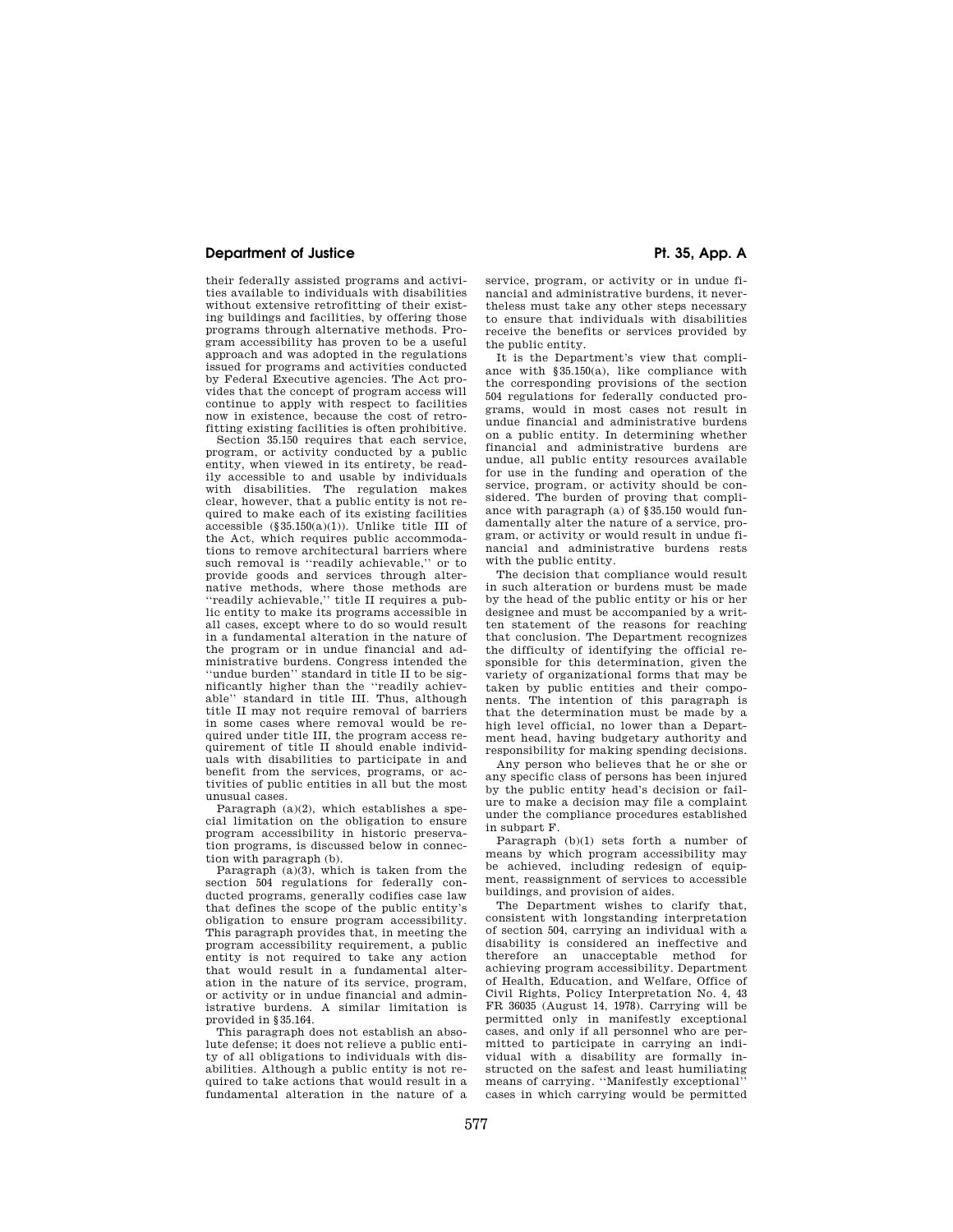their federally assisted programs and activities available to individuals with disabilities without extensive retrofitting of their existing buildings and facilities, by offering those programs through alternative methods. Program accessibility has proven to be a useful approach and was adopted in the regulations issued for programs and activities conducted by Federal Executive agencies. The Act provides that the concept of program access will continue to apply with respect to facilities now in existence, because the cost of retrofitting existing facilities is often prohibitive.

Section 35.150 requires that each service, program, or activity conducted by a public entity, when viewed in its entirety, be readily accessible to and usable by individuals with disabilities. The regulation makes clear, however, that a public entity is not required to make each of its existing facilities accessible  $(\S 35.150(a)(1))$ . Unlike title III of the Act, which requires public accommodations to remove architectural barriers where such removal is ''readily achievable,'' or to provide goods and services through alternative methods, where those methods are 'readily achievable," title II requires a public entity to make its programs accessible in all cases, except where to do so would result in a fundamental alteration in the nature of the program or in undue financial and administrative burdens. Congress intended the ''undue burden'' standard in title II to be significantly higher than the ''readily achievable'' standard in title III. Thus, although title II may not require removal of barriers in some cases where removal would be required under title III, the program access requirement of title II should enable individuals with disabilities to participate in and benefit from the services, programs, or activities of public entities in all but the most unusual cases.

Paragraph (a)(2), which establishes a special limitation on the obligation to ensure program accessibility in historic preservation programs, is discussed below in connection with paragraph (b).

Paragraph  $(a)(3)$ , which is taken from the section 504 regulations for federally conducted programs, generally codifies case law that defines the scope of the public entity's obligation to ensure program accessibility. This paragraph provides that, in meeting the program accessibility requirement, a public entity is not required to take any action that would result in a fundamental alteration in the nature of its service, program, or activity or in undue financial and administrative burdens. A similar limitation is provided in §35.164.

This paragraph does not establish an absolute defense; it does not relieve a public entity of all obligations to individuals with disabilities. Although a public entity is not required to take actions that would result in a fundamental alteration in the nature of a service, program, or activity or in undue financial and administrative burdens, it nevertheless must take any other steps necessary to ensure that individuals with disabilities receive the benefits or services provided by the public entity.

It is the Department's view that compliance with §35.150(a), like compliance with the corresponding provisions of the section 504 regulations for federally conducted programs, would in most cases not result in undue financial and administrative burdens on a public entity. In determining whether financial and administrative burdens are undue, all public entity resources available for use in the funding and operation of the service, program, or activity should be considered. The burden of proving that compliance with paragraph  $(a)$  of  $835.150$  would fundamentally alter the nature of a service, program, or activity or would result in undue financial and administrative burdens rests with the public entity.

The decision that compliance would result in such alteration or burdens must be made by the head of the public entity or his or her designee and must be accompanied by a written statement of the reasons for reaching that conclusion. The Department recognizes the difficulty of identifying the official responsible for this determination, given the variety of organizational forms that may be taken by public entities and their components. The intention of this paragraph is that the determination must be made by a high level official, no lower than a Department head, having budgetary authority and responsibility for making spending decisions.

Any person who believes that he or she or any specific class of persons has been injured by the public entity head's decision or failure to make a decision may file a complaint under the compliance procedures established in subpart F.

Paragraph (b)(1) sets forth a number of means by which program accessibility may be achieved, including redesign of equipment, reassignment of services to accessible buildings, and provision of aides.

The Department wishes to clarify that consistent with longstanding interpretation of section 504, carrying an individual with a disability is considered an ineffective and therefore an unacceptable method for achieving program accessibility. Department of Health, Education, and Welfare, Office of Civil Rights, Policy Interpretation No. 4, 43 FR 36035 (August 14, 1978). Carrying will be permitted only in manifestly exceptional cases, and only if all personnel who are permitted to participate in carrying an individual with a disability are formally instructed on the safest and least humiliating means of carrying. ''Manifestly exceptional'' cases in which carrying would be permitted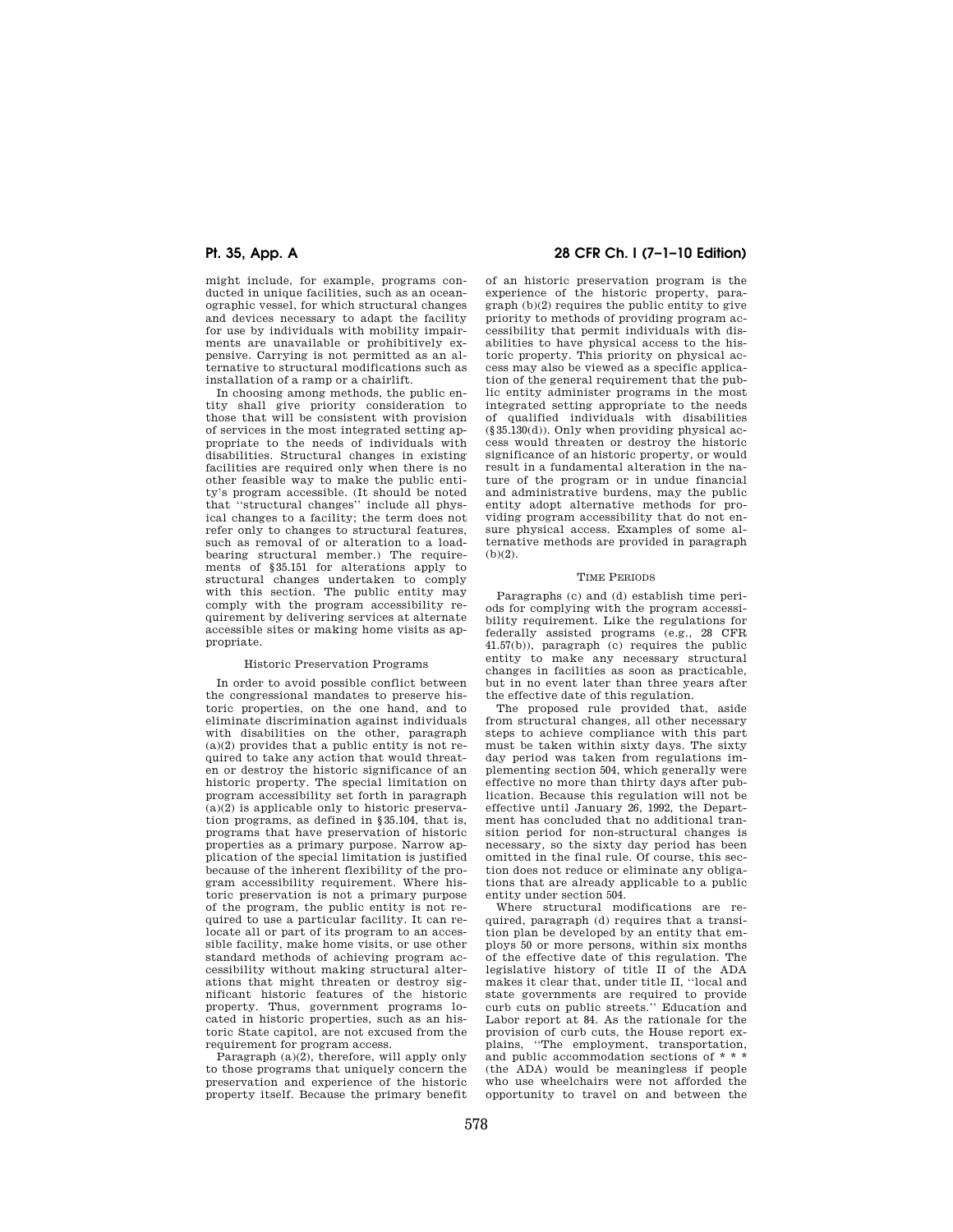might include, for example, programs conducted in unique facilities, such as an oceanographic vessel, for which structural changes and devices necessary to adapt the facility for use by individuals with mobility impairments are unavailable or prohibitively expensive. Carrying is not permitted as an alternative to structural modifications such as installation of a ramp or a chairlift.

In choosing among methods, the public entity shall give priority consideration to those that will be consistent with provision of services in the most integrated setting appropriate to the needs of individuals with disabilities. Structural changes in existing facilities are required only when there is no other feasible way to make the public entity's program accessible. (It should be noted "structural changes" include all physical changes to a facility; the term does not refer only to changes to structural features, such as removal of or alteration to a loadbearing structural member.) The requirements of §35.151 for alterations apply to structural changes undertaken to comply with this section. The public entity may comply with the program accessibility requirement by delivering services at alternate accessible sites or making home visits as appropriate.

# Historic Preservation Programs

In order to avoid possible conflict between the congressional mandates to preserve historic properties, on the one hand, and to eliminate discrimination against individuals with disabilities on the other, paragraph  $(a)(2)$  provides that a public entity is not required to take any action that would threaten or destroy the historic significance of an historic property. The special limitation on program accessibility set forth in paragraph  $(a)(2)$  is applicable only to historic preservation programs, as defined in §35.104, that is, programs that have preservation of historic properties as a primary purpose. Narrow application of the special limitation is justified because of the inherent flexibility of the program accessibility requirement. Where historic preservation is not a primary purpose of the program, the public entity is not required to use a particular facility. It can relocate all or part of its program to an accessible facility, make home visits, or use other standard methods of achieving program accessibility without making structural alterations that might threaten or destroy significant historic features of the historic property. Thus, government programs located in historic properties, such as an historic State capitol, are not excused from the requirement for program access.

Paragraph  $(a)(2)$ , therefore, will apply only to those programs that uniquely concern the preservation and experience of the historic property itself. Because the primary benefit

# **Pt. 35, App. A 28 CFR Ch. I (7–1–10 Edition)**

of an historic preservation program is the experience of the historic property, paragraph (b)(2) requires the public entity to give priority to methods of providing program accessibility that permit individuals with disabilities to have physical access to the historic property. This priority on physical access may also be viewed as a specific application of the general requirement that the public entity administer programs in the most integrated setting appropriate to the needs of qualified individuals with disabilities (§35.130(d)). Only when providing physical access would threaten or destroy the historic significance of an historic property, or would result in a fundamental alteration in the nature of the program or in undue financial and administrative burdens, may the public entity adopt alternative methods for providing program accessibility that do not ensure physical access. Examples of some alternative methods are provided in paragraph (b)(2).

#### TIME PERIODS

Paragraphs (c) and (d) establish time periods for complying with the program accessibility requirement. Like the regulations for federally assisted programs (e.g., 28 CFR 41.57(b)), paragraph (c) requires the public entity to make any necessary structural changes in facilities as soon as practicable, but in no event later than three years after the effective date of this regulation.

The proposed rule provided that, aside from structural changes, all other necessary steps to achieve compliance with this part must be taken within sixty days. The sixty day period was taken from regulations implementing section 504, which generally were effective no more than thirty days after publication. Because this regulation will not be effective until January 26, 1992, the Department has concluded that no additional transition period for non-structural changes is necessary, so the sixty day period has been omitted in the final rule. Of course, this section does not reduce or eliminate any obligations that are already applicable to a public entity under section 504.

Where structural modifications are required, paragraph (d) requires that a transition plan be developed by an entity that employs 50 or more persons, within six months of the effective date of this regulation. The legislative history of title II of the ADA makes it clear that, under title II, ''local and state governments are required to provide curb cuts on public streets.'' Education and Labor report at 84. As the rationale for the provision of curb cuts, the House report explains, ''The employment, transportation, and public accommodation sections of  $*$ (the ADA) would be meaningless if people who use wheelchairs were not afforded the opportunity to travel on and between the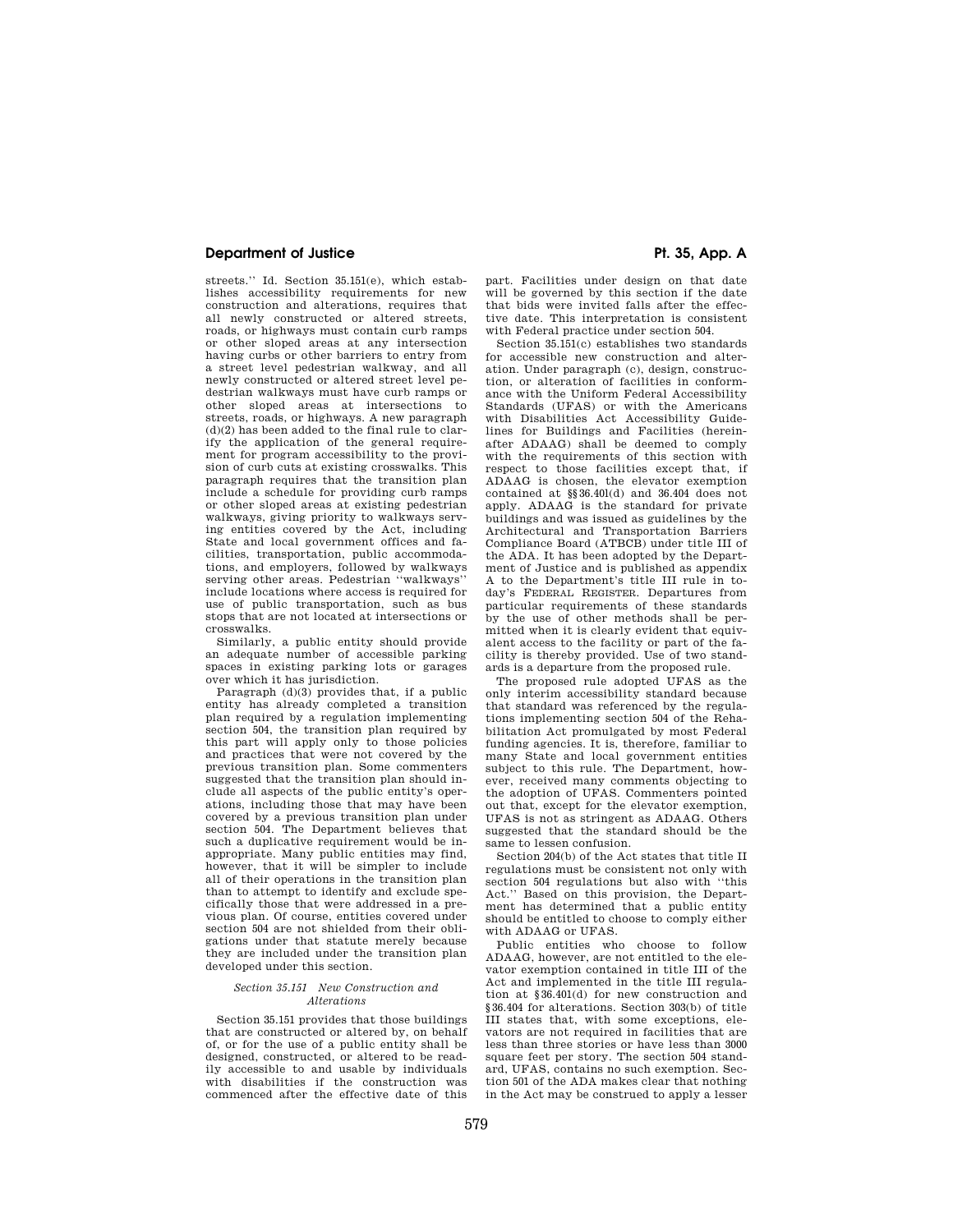streets.'' Id. Section 35.151(e), which establishes accessibility requirements for new construction and alterations, requires that all newly constructed or altered streets, roads, or highways must contain curb ramps or other sloped areas at any intersection having curbs or other barriers to entry from a street level pedestrian walkway, and all newly constructed or altered street level pedestrian walkways must have curb ramps or other sloped areas at intersections to streets, roads, or highways. A new paragraph (d)(2) has been added to the final rule to clarify the application of the general requirement for program accessibility to the provision of curb cuts at existing crosswalks. This paragraph requires that the transition plan include a schedule for providing curb ramps or other sloped areas at existing pedestrian walkways, giving priority to walkways serving entities covered by the Act, including State and local government offices and facilities, transportation, public accommodations, and employers, followed by walkways serving other areas. Pedestrian ''walkways'' include locations where access is required for use of public transportation, such as bus stops that are not located at intersections or crosswalks.

Similarly, a public entity should provide an adequate number of accessible parking spaces in existing parking lots or garages over which it has jurisdiction.

Paragraph (d)(3) provides that, if a public entity has already completed a transition plan required by a regulation implementing section 504, the transition plan required by this part will apply only to those policies and practices that were not covered by the previous transition plan. Some commenters suggested that the transition plan should include all aspects of the public entity's operations, including those that may have been covered by a previous transition plan under section 504. The Department believes that such a duplicative requirement would be inappropriate. Many public entities may find, however, that it will be simpler to include all of their operations in the transition plan than to attempt to identify and exclude specifically those that were addressed in a previous plan. Of course, entities covered under section 504 are not shielded from their obligations under that statute merely because they are included under the transition plan developed under this section.

#### *Section 35.151 New Construction and Alterations*

Section 35.151 provides that those buildings that are constructed or altered by, on behalf of, or for the use of a public entity shall be designed, constructed, or altered to be readily accessible to and usable by individuals with disabilities if the construction was commenced after the effective date of this part. Facilities under design on that date will be governed by this section if the date that bids were invited falls after the effective date. This interpretation is consistent with Federal practice under section 504.

Section 35.151(c) establishes two standards for accessible new construction and alteration. Under paragraph (c), design, construction, or alteration of facilities in conformance with the Uniform Federal Accessibility Standards (UFAS) or with the Americans with Disabilities Act Accessibility Guidelines for Buildings and Facilities (hereinafter ADAAG) shall be deemed to comply with the requirements of this section with respect to those facilities except that, if ADAAG is chosen, the elevator exemption contained at §§36.40l(d) and 36.404 does not apply. ADAAG is the standard for private buildings and was issued as guidelines by the Architectural and Transportation Barriers Compliance Board (ATBCB) under title III of the ADA. It has been adopted by the Department of Justice and is published as appendix A to the Department's title III rule in today's FEDERAL REGISTER. Departures from particular requirements of these standards by the use of other methods shall be permitted when it is clearly evident that equivalent access to the facility or part of the facility is thereby provided. Use of two standards is a departure from the proposed rule.

The proposed rule adopted UFAS as the only interim accessibility standard because that standard was referenced by the regulations implementing section 504 of the Rehabilitation Act promulgated by most Federal funding agencies. It is, therefore, familiar to many State and local government entities subject to this rule. The Department, however, received many comments objecting to the adoption of UFAS. Commenters pointed out that, except for the elevator exemption, UFAS is not as stringent as ADAAG. Others suggested that the standard should be the same to lessen confusion.

Section 204(b) of the Act states that title II regulations must be consistent not only with section 504 regulations but also with ''this Act.'' Based on this provision, the Department has determined that a public entity should be entitled to choose to comply either with ADAAG or UFAS.

Public entities who choose to follow ADAAG, however, are not entitled to the elevator exemption contained in title III of the Act and implemented in the title III regulation at §36.401(d) for new construction and §36.404 for alterations. Section 303(b) of title III states that, with some exceptions, elevators are not required in facilities that are less than three stories or have less than 3000 square feet per story. The section 504 standard, UFAS, contains no such exemption. Section 501 of the ADA makes clear that nothing in the Act may be construed to apply a lesser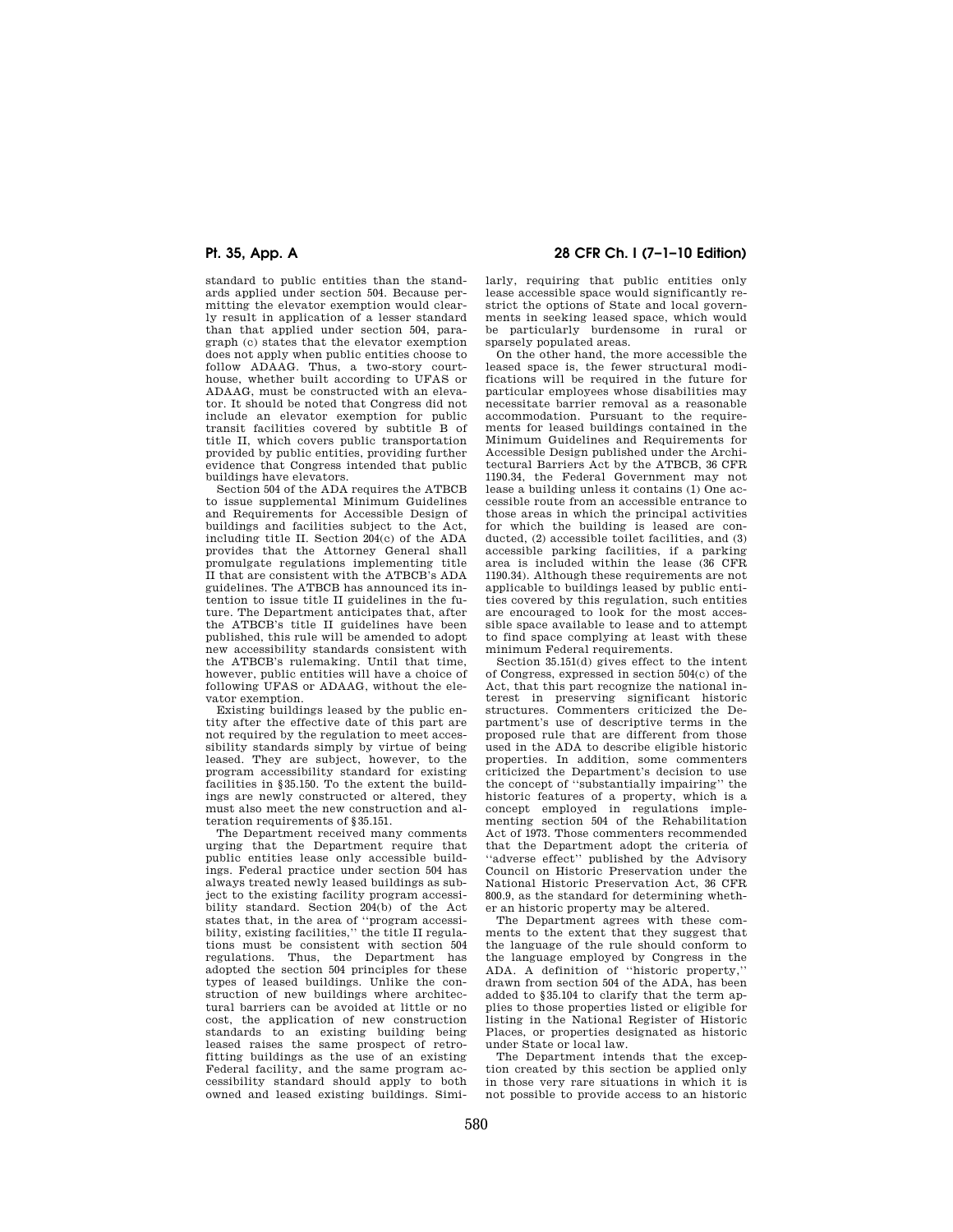standard to public entities than the standards applied under section 504. Because permitting the elevator exemption would clearly result in application of a lesser standard than that applied under section 504, paragraph (c) states that the elevator exemption does not apply when public entities choose to follow ADAAG. Thus, a two-story courthouse, whether built according to UFAS or ADAAG, must be constructed with an elevator. It should be noted that Congress did not include an elevator exemption for public transit facilities covered by subtitle B of title II, which covers public transportation provided by public entities, providing further evidence that Congress intended that public buildings have elevators.

Section 504 of the ADA requires the ATBCB to issue supplemental Minimum Guidelines and Requirements for Accessible Design of buildings and facilities subject to the Act, including title II. Section 204(c) of the ADA provides that the Attorney General shall promulgate regulations implementing title II that are consistent with the ATBCB's ADA guidelines. The ATBCB has announced its intention to issue title II guidelines in the future. The Department anticipates that, after the ATBCB's title II guidelines have been published, this rule will be amended to adopt new accessibility standards consistent with the ATBCB's rulemaking. Until that time, however, public entities will have a choice of following UFAS or ADAAG, without the elevator exemption.

Existing buildings leased by the public entity after the effective date of this part are not required by the regulation to meet accessibility standards simply by virtue of being leased. They are subject, however, to the program accessibility standard for existing facilities in §35.150. To the extent the buildings are newly constructed or altered, they must also meet the new construction and alteration requirements of §35.151.

The Department received many comments urging that the Department require that public entities lease only accessible buildings. Federal practice under section 504 has always treated newly leased buildings as subject to the existing facility program accessibility standard. Section  $204(b)$  of the Act states that, in the area of ''program accessibility, existing facilities,'' the title II regulations must be consistent with section 504 regulations. Thus, the Department has adopted the section 504 principles for these types of leased buildings. Unlike the construction of new buildings where architectural barriers can be avoided at little or no cost, the application of new construction standards to an existing building being leased raises the same prospect of retrofitting buildings as the use of an existing Federal facility, and the same program accessibility standard should apply to both owned and leased existing buildings. Simi-

# **Pt. 35, App. A 28 CFR Ch. I (7–1–10 Edition)**

larly, requiring that public entities only lease accessible space would significantly restrict the options of State and local governments in seeking leased space, which would be particularly burdensome in rural or sparsely populated areas.

On the other hand, the more accessible the leased space is, the fewer structural modifications will be required in the future for particular employees whose disabilities may necessitate barrier removal as a reasonable accommodation. Pursuant to the requirements for leased buildings contained in the Minimum Guidelines and Requirements for Accessible Design published under the Architectural Barriers Act by the ATBCB, 36 CFR 1190.34, the Federal Government may not lease a building unless it contains (1) One accessible route from an accessible entrance to those areas in which the principal activities for which the building is leased are conducted, (2) accessible toilet facilities, and (3) accessible parking facilities, if a parking area is included within the lease (36 CFR 1190.34). Although these requirements are not applicable to buildings leased by public entities covered by this regulation, such entities are encouraged to look for the most accessible space available to lease and to attempt to find space complying at least with these minimum Federal requirements.

Section 35.151(d) gives effect to the intent of Congress, expressed in section 504(c) of the Act, that this part recognize the national interest in preserving significant historic structures. Commenters criticized the Department's use of descriptive terms in the proposed rule that are different from those used in the ADA to describe eligible historic properties. In addition, some commenters criticized the Department's decision to use the concept of ''substantially impairing'' the historic features of a property, which is a concept employed in regulations implementing section 504 of the Rehabilitation Act of 1973. Those commenters recommended that the Department adopt the criteria of "adverse effect" published by the Advisory Council on Historic Preservation under the National Historic Preservation Act, 36 CFR 800.9, as the standard for determining whether an historic property may be altered.

The Department agrees with these comments to the extent that they suggest that the language of the rule should conform to the language employed by Congress in the ADA. A definition of ''historic property,'' drawn from section 504 of the ADA, has been added to §35.104 to clarify that the term applies to those properties listed or eligible for listing in the National Register of Historic Places, or properties designated as historic under State or local law.

The Department intends that the exception created by this section be applied only in those very rare situations in which it is not possible to provide access to an historic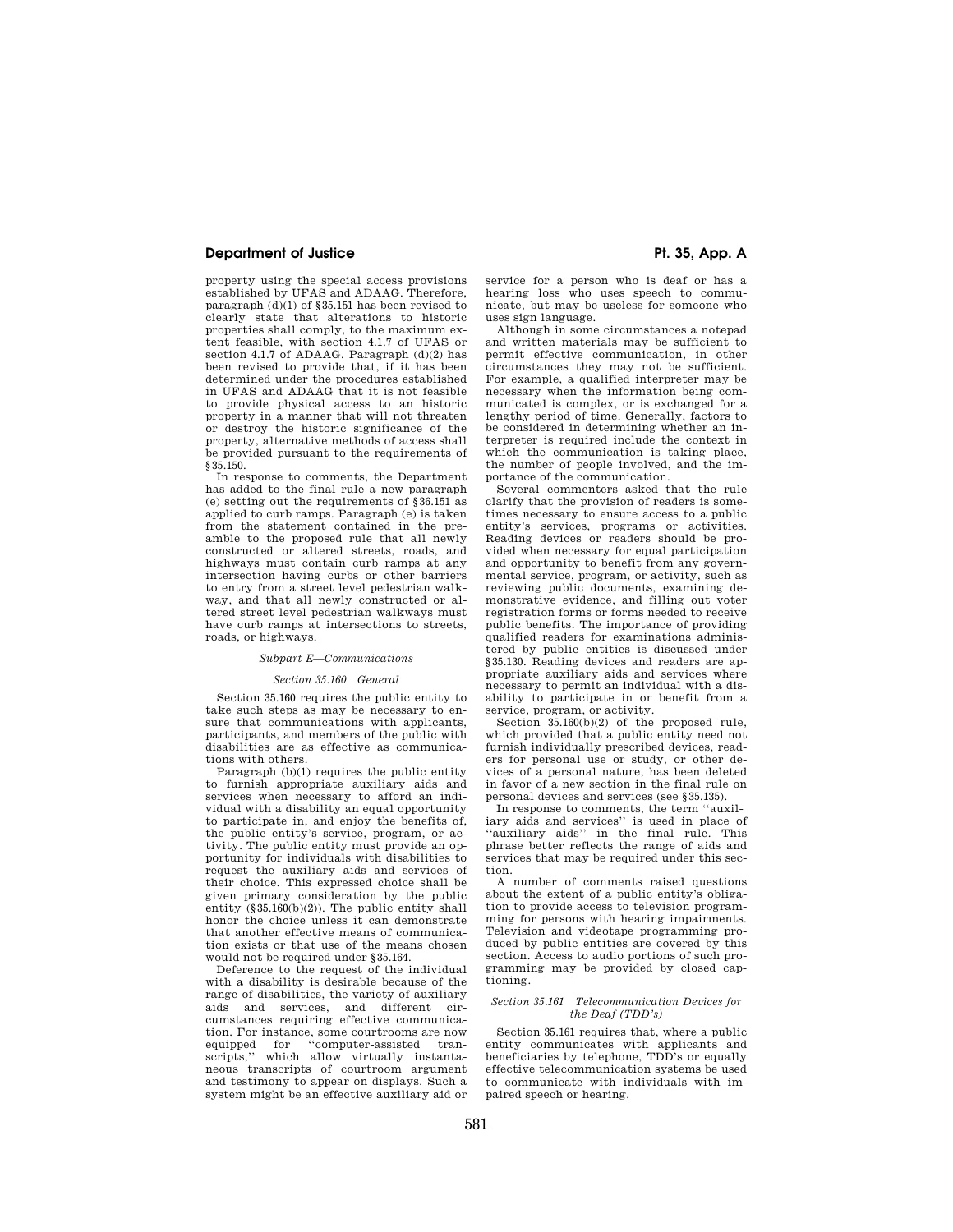property using the special access provisions established by UFAS and ADAAG. Therefore, paragraph (d)(1) of §35.151 has been revised to clearly state that alterations to historic properties shall comply, to the maximum extent feasible, with section 4.1.7 of UFAS or section 4.1.7 of ADAAG. Paragraph (d)(2) has been revised to provide that, if it has been determined under the procedures established in UFAS and ADAAG that it is not feasible to provide physical access to an historic property in a manner that will not threaten or destroy the historic significance of the property, alternative methods of access shall be provided pursuant to the requirements of §35.150.

In response to comments, the Department has added to the final rule a new paragraph (e) setting out the requirements of §36.151 as applied to curb ramps. Paragraph (e) is taken from the statement contained in the preamble to the proposed rule that all newly constructed or altered streets, roads, and highways must contain curb ramps at any intersection having curbs or other barriers to entry from a street level pedestrian walkway, and that all newly constructed or altered street level pedestrian walkways must have curb ramps at intersections to streets, roads, or highways.

#### *Subpart E—Communications*

#### *Section 35.160 General*

Section 35.160 requires the public entity to take such steps as may be necessary to ensure that communications with applicants, participants, and members of the public with disabilities are as effective as communications with others.

Paragraph (b)(1) requires the public entity to furnish appropriate auxiliary aids and services when necessary to afford an individual with a disability an equal opportunity to participate in, and enjoy the benefits of, the public entity's service, program, or activity. The public entity must provide an opportunity for individuals with disabilities to request the auxiliary aids and services of their choice. This expressed choice shall be given primary consideration by the public entity (§35.160(b)(2)). The public entity shall honor the choice unless it can demonstrate that another effective means of communication exists or that use of the means chosen would not be required under §35.164.

Deference to the request of the individual with a disability is desirable because of the range of disabilities, the variety of auxiliary aids and services, and different circumstances requiring effective communication. For instance, some courtrooms are now equipped for "computer-assisted tran-<br>scripts," which allow virtually instantawhich allow virtually instantaneous transcripts of courtroom argument and testimony to appear on displays. Such a system might be an effective auxiliary aid or

service for a person who is deaf or has a hearing loss who uses speech to communicate, but may be useless for someone who uses sign language.

Although in some circumstances a notepad and written materials may be sufficient to permit effective communication, in other circumstances they may not be sufficient. For example, a qualified interpreter may be necessary when the information being communicated is complex, or is exchanged for a lengthy period of time. Generally, factors to be considered in determining whether an interpreter is required include the context in which the communication is taking place, the number of people involved, and the importance of the communication.

Several commenters asked that the rule clarify that the provision of readers is sometimes necessary to ensure access to a public entity's services, programs or activities. Reading devices or readers should be provided when necessary for equal participation and opportunity to benefit from any governmental service, program, or activity, such as reviewing public documents, examining demonstrative evidence, and filling out voter registration forms or forms needed to receive public benefits. The importance of providing qualified readers for examinations administered by public entities is discussed under §35.130. Reading devices and readers are appropriate auxiliary aids and services where necessary to permit an individual with a disability to participate in or benefit from a service, program, or activity.

Section 35.160(b)(2) of the proposed rule, which provided that a public entity need not furnish individually prescribed devices, readers for personal use or study, or other devices of a personal nature, has been deleted in favor of a new section in the final rule on personal devices and services (see §35.135).

In response to comments, the term ''auxiliary aids and services'' is used in place of ''auxiliary aids'' in the final rule. This phrase better reflects the range of aids and services that may be required under this section.

A number of comments raised questions about the extent of a public entity's obligation to provide access to television programming for persons with hearing impairments. Television and videotape programming produced by public entities are covered by this section. Access to audio portions of such programming may be provided by closed captioning.

### *Section 35.161 Telecommunication Devices for the Deaf (TDD's)*

Section 35.161 requires that, where a public entity communicates with applicants and beneficiaries by telephone, TDD's or equally effective telecommunication systems be used to communicate with individuals with impaired speech or hearing.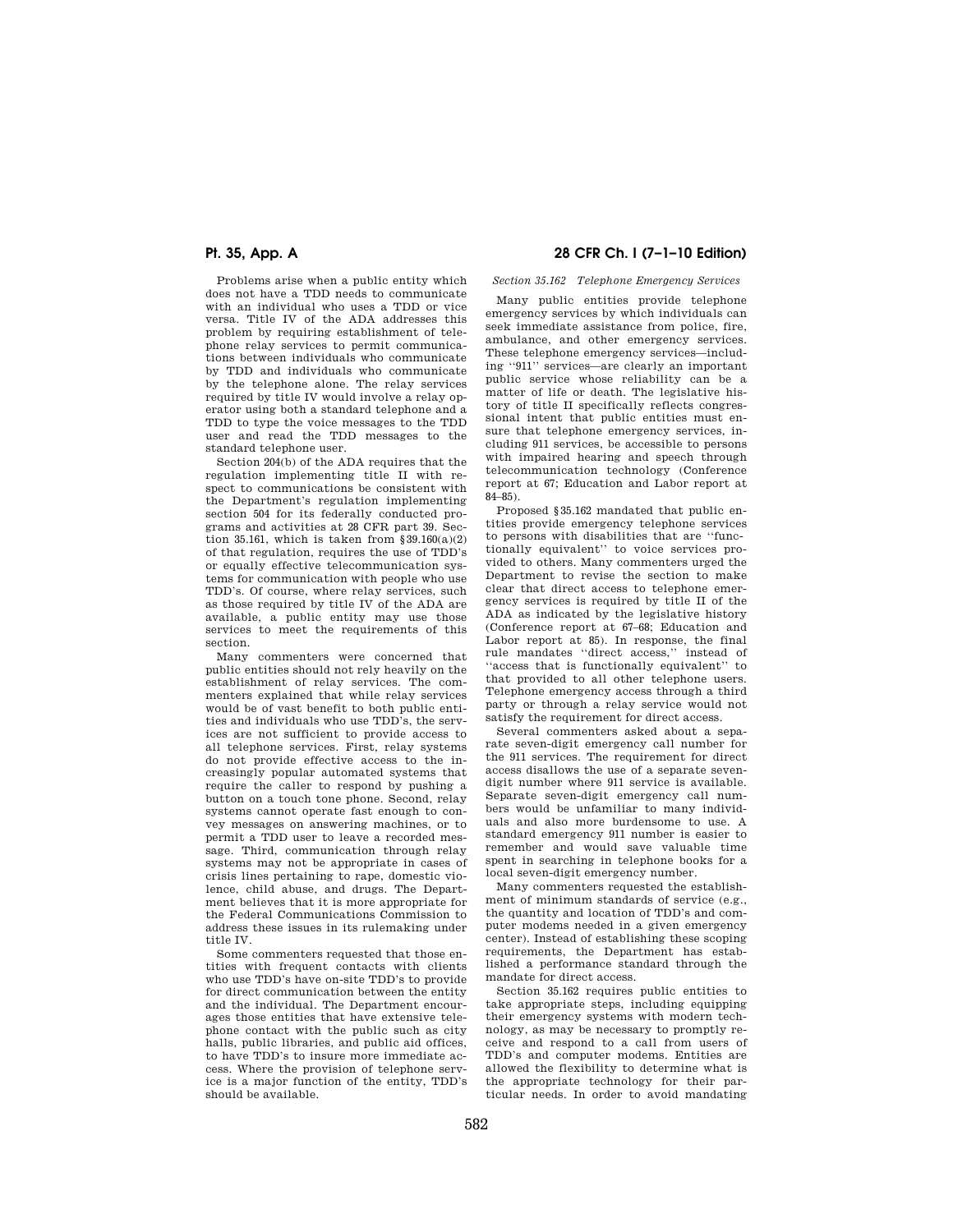Problems arise when a public entity which does not have a TDD needs to communicate with an individual who uses a TDD or vice versa. Title IV of the ADA addresses this problem by requiring establishment of telephone relay services to permit communications between individuals who communicate by TDD and individuals who communicate by the telephone alone. The relay services required by title IV would involve a relay operator using both a standard telephone and a TDD to type the voice messages to the TDD user and read the TDD messages to the standard telephone user.

Section 204(b) of the ADA requires that the regulation implementing title II with respect to communications be consistent with the Department's regulation implementing section 504 for its federally conducted programs and activities at 28 CFR part 39. Section 35.161, which is taken from  $$39.160(a)(2)$ of that regulation, requires the use of TDD's or equally effective telecommunication systems for communication with people who use TDD's. Of course, where relay services, such as those required by title IV of the ADA are available, a public entity may use those services to meet the requirements of this section.

Many commenters were concerned that public entities should not rely heavily on the establishment of relay services. The commenters explained that while relay services would be of vast benefit to both public entities and individuals who use TDD's, the services are not sufficient to provide access to all telephone services. First, relay systems do not provide effective access to the increasingly popular automated systems that require the caller to respond by pushing a button on a touch tone phone. Second, relay systems cannot operate fast enough to convey messages on answering machines, or to permit a TDD user to leave a recorded message. Third, communication through relay systems may not be appropriate in cases of crisis lines pertaining to rape, domestic violence, child abuse, and drugs. The Department believes that it is more appropriate for the Federal Communications Commission to address these issues in its rulemaking under title IV.

Some commenters requested that those entities with frequent contacts with clients who use TDD's have on-site TDD's to provide for direct communication between the entity and the individual. The Department encourages those entities that have extensive telephone contact with the public such as city halls, public libraries, and public aid offices, to have TDD's to insure more immediate access. Where the provision of telephone service is a major function of the entity, TDD's should be available.

# **Pt. 35, App. A 28 CFR Ch. I (7–1–10 Edition)**

# *Section 35.162 Telephone Emergency Services*

Many public entities provide telephone emergency services by which individuals can seek immediate assistance from police, fire, ambulance, and other emergency services. These telephone emergency services—including ''911'' services—are clearly an important public service whose reliability can be a matter of life or death. The legislative history of title II specifically reflects congressional intent that public entities must ensure that telephone emergency services, including 911 services, be accessible to persons with impaired hearing and speech through telecommunication technology (Conference report at 67; Education and Labor report at 84–85).

Proposed §35.162 mandated that public entities provide emergency telephone services to persons with disabilities that are ''functionally equivalent'' to voice services provided to others. Many commenters urged the Department to revise the section to make clear that direct access to telephone emergency services is required by title II of the ADA as indicated by the legislative history (Conference report at 67–68; Education and Labor report at 85). In response, the final rule mandates ''direct access,'' instead of 'access that is functionally equivalent'' to that provided to all other telephone users. Telephone emergency access through a third party or through a relay service would not satisfy the requirement for direct access.

Several commenters asked about a separate seven-digit emergency call number for the 911 services. The requirement for direct access disallows the use of a separate sevendigit number where 911 service is available. Separate seven-digit emergency call numbers would be unfamiliar to many individuals and also more burdensome to use. A standard emergency 911 number is easier to remember and would save valuable time spent in searching in telephone books for a local seven-digit emergency number.

Many commenters requested the establishment of minimum standards of service (e.g., the quantity and location of TDD's and computer modems needed in a given emergency center). Instead of establishing these scoping requirements, the Department has established a performance standard through the mandate for direct access.

Section 35.162 requires public entities to take appropriate steps, including equipping their emergency systems with modern technology, as may be necessary to promptly receive and respond to a call from users of TDD's and computer modems. Entities are allowed the flexibility to determine what is the appropriate technology for their particular needs. In order to avoid mandating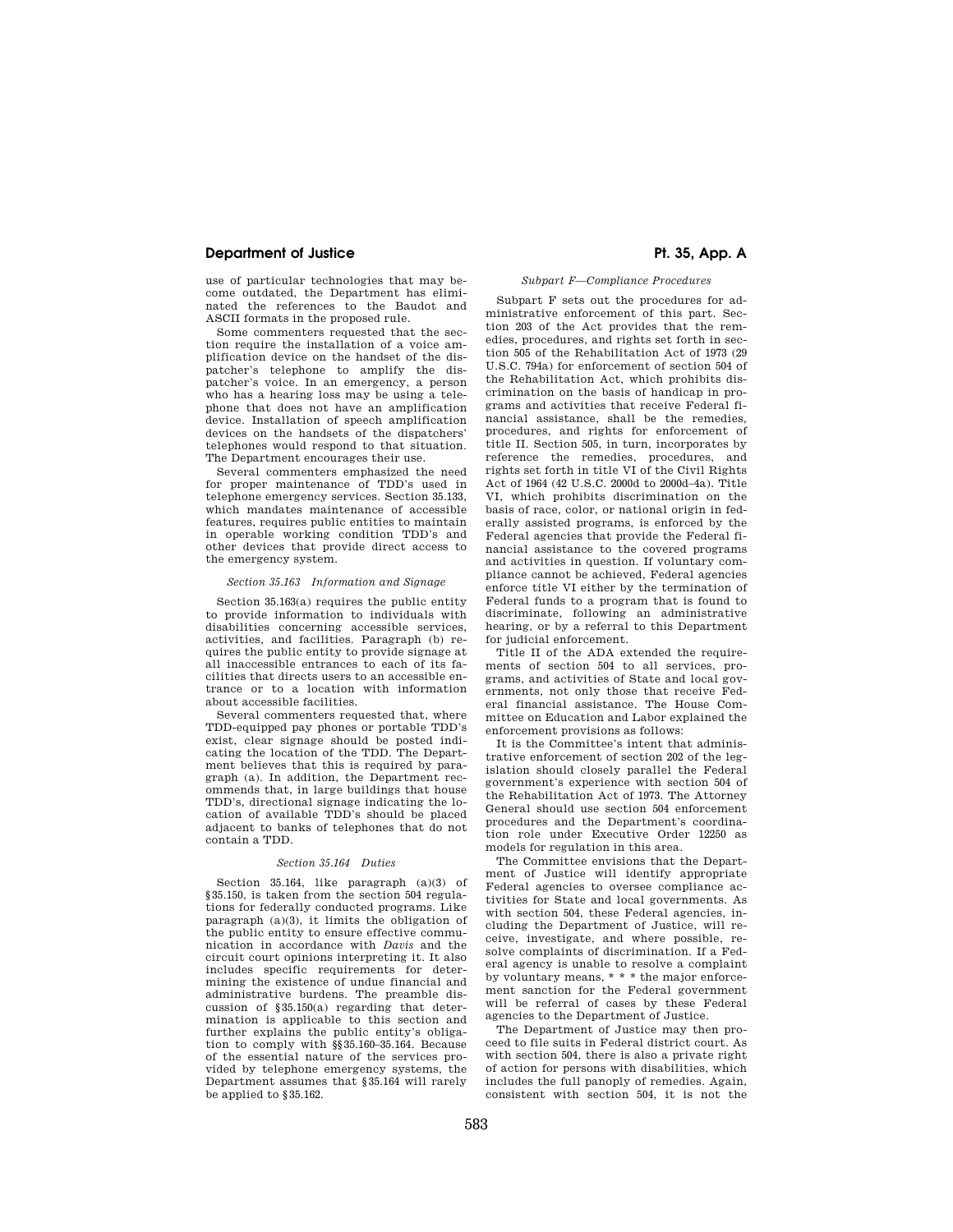use of particular technologies that may become outdated, the Department has eliminated the references to the Baudot and ASCII formats in the proposed rule.

Some commenters requested that the section require the installation of a voice amplification device on the handset of the dispatcher's telephone to amplify the dispatcher's voice. In an emergency, a person who has a hearing loss may be using a telephone that does not have an amplification device. Installation of speech amplification devices on the handsets of the dispatchers' telephones would respond to that situation. The Department encourages their use.

Several commenters emphasized the need for proper maintenance of TDD's used in telephone emergency services. Section 35.133, which mandates maintenance of accessible features, requires public entities to maintain in operable working condition TDD's and other devices that provide direct access to the emergency system.

### *Section 35.163 Information and Signage*

Section 35.163(a) requires the public entity to provide information to individuals with disabilities concerning accessible services, activities, and facilities. Paragraph (b) requires the public entity to provide signage at all inaccessible entrances to each of its facilities that directs users to an accessible entrance or to a location with information about accessible facilities.

Several commenters requested that, where TDD-equipped pay phones or portable TDD's exist, clear signage should be posted indicating the location of the TDD. The Department believes that this is required by paragraph (a). In addition, the Department recommends that, in large buildings that house TDD's, directional signage indicating the location of available TDD's should be placed adjacent to banks of telephones that do not contain a TDD.

### *Section 35.164 Duties*

Section 35.164, like paragraph (a)(3) of §35.150, is taken from the section 504 regulations for federally conducted programs. Like paragraph (a)(3), it limits the obligation of the public entity to ensure effective communication in accordance with *Davis* and the circuit court opinions interpreting it. It also includes specific requirements for determining the existence of undue financial and administrative burdens. The preamble discussion of §35.150(a) regarding that determination is applicable to this section and further explains the public entity's obligation to comply with §§35.160–35.164. Because of the essential nature of the services provided by telephone emergency systems, the Department assumes that §35.164 will rarely be applied to §35.162.

# *Subpart F—Compliance Procedures*

Subpart F sets out the procedures for administrative enforcement of this part. Section 203 of the Act provides that the remedies, procedures, and rights set forth in section 505 of the Rehabilitation Act of 1973 (29 U.S.C. 794a) for enforcement of section 504 of the Rehabilitation Act, which prohibits discrimination on the basis of handicap in programs and activities that receive Federal financial assistance, shall be the remedies, procedures, and rights for enforcement of title II. Section 505, in turn, incorporates by reference the remedies, procedures, and rights set forth in title VI of the Civil Rights Act of 1964 (42 U.S.C. 2000d to 2000d–4a). Title VI, which prohibits discrimination on the basis of race, color, or national origin in federally assisted programs, is enforced by the Federal agencies that provide the Federal financial assistance to the covered programs and activities in question. If voluntary compliance cannot be achieved, Federal agencies enforce title VI either by the termination of Federal funds to a program that is found to discriminate, following an administrative hearing, or by a referral to this Department for judicial enforcement.

Title II of the ADA extended the requirements of section 504 to all services, programs, and activities of State and local governments, not only those that receive Federal financial assistance. The House Committee on Education and Labor explained the enforcement provisions as follows:

It is the Committee's intent that administrative enforcement of section 202 of the legislation should closely parallel the Federal government's experience with section 504 of the Rehabilitation Act of 1973. The Attorney General should use section 504 enforcement procedures and the Department's coordination role under Executive Order 12250 as models for regulation in this area.

The Committee envisions that the Department of Justice will identify appropriate Federal agencies to oversee compliance activities for State and local governments. As with section 504, these Federal agencies, including the Department of Justice, will receive, investigate, and where possible, resolve complaints of discrimination. If a Federal agency is unable to resolve a complaint by voluntary means, \* \* \* the major enforcement sanction for the Federal government will be referral of cases by these Federal agencies to the Department of Justice.

The Department of Justice may then proceed to file suits in Federal district court. As with section 504, there is also a private right of action for persons with disabilities, which includes the full panoply of remedies. Again, consistent with section 504, it is not the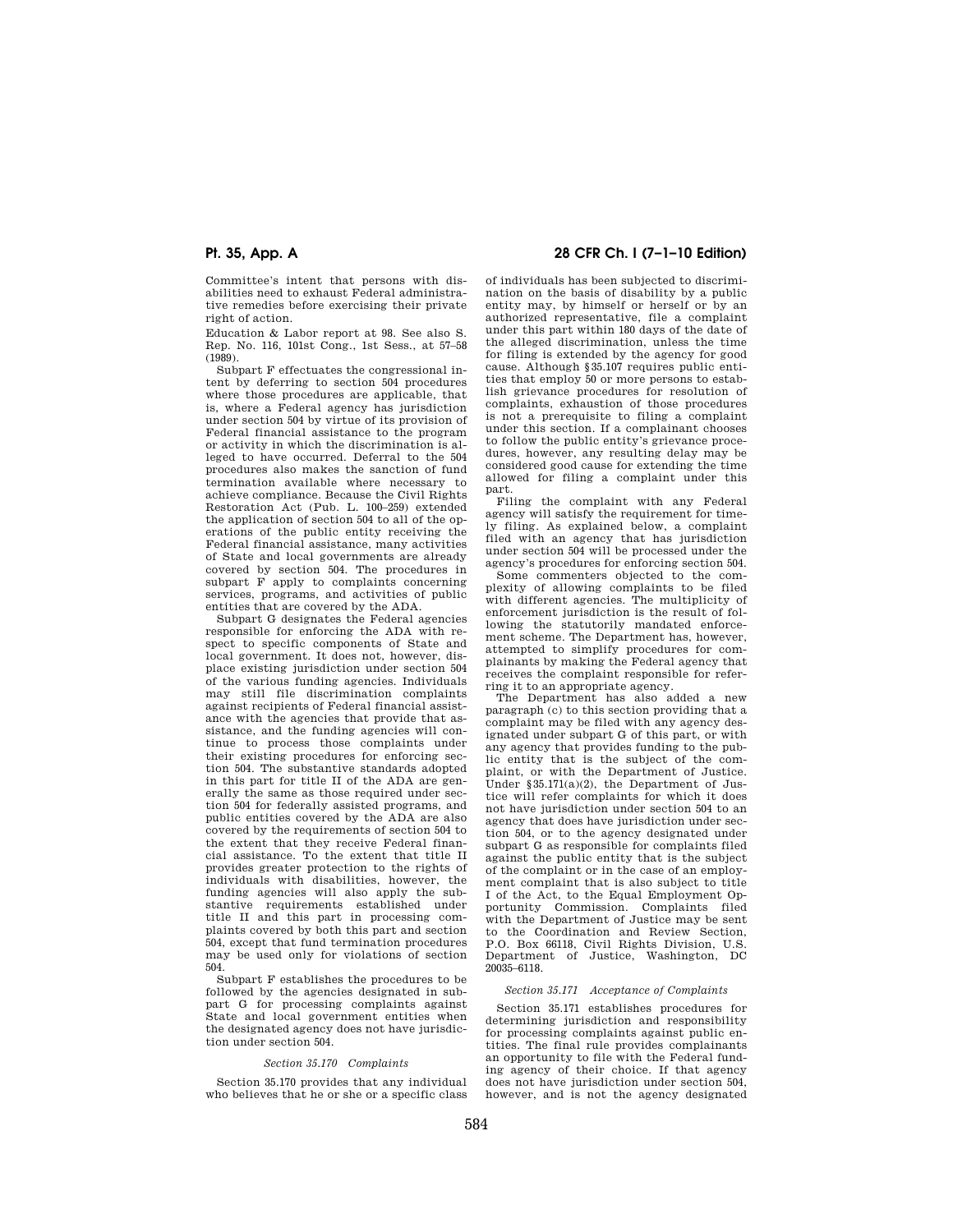Committee's intent that persons with disabilities need to exhaust Federal administrative remedies before exercising their private right of action.

Education & Labor report at 98. See also S. Rep. No. 116, 101st Cong., 1st Sess., at 57–58  $(1989)$ 

Subpart F effectuates the congressional intent by deferring to section 504 procedures where those procedures are applicable, that is, where a Federal agency has jurisdiction under section 504 by virtue of its provision of Federal financial assistance to the program or activity in which the discrimination is alleged to have occurred. Deferral to the 504 procedures also makes the sanction of fund termination available where necessary to achieve compliance. Because the Civil Rights Restoration Act (Pub. L. 100–259) extended the application of section 504 to all of the operations of the public entity receiving the Federal financial assistance, many activities of State and local governments are already covered by section 504. The procedures in subpart F apply to complaints concerning services, programs, and activities of public entities that are covered by the ADA.

Subpart G designates the Federal agencies responsible for enforcing the ADA with respect to specific components of State and local government. It does not, however, displace existing jurisdiction under section 504 of the various funding agencies. Individuals may still file discrimination complaints against recipients of Federal financial assistance with the agencies that provide that assistance, and the funding agencies will continue to process those complaints under their existing procedures for enforcing section 504. The substantive standards adopted in this part for title II of the ADA are generally the same as those required under section 504 for federally assisted programs, and public entities covered by the ADA are also covered by the requirements of section 504 to the extent that they receive Federal financial assistance. To the extent that title II provides greater protection to the rights of individuals with disabilities, however, the funding agencies will also apply the substantive requirements established under title II and this part in processing complaints covered by both this part and section 504, except that fund termination procedures may be used only for violations of section 504.

Subpart F establishes the procedures to be followed by the agencies designated in subpart G for processing complaints against State and local government entities when the designated agency does not have jurisdiction under section 504.

#### *Section 35.170 Complaints*

Section 35.170 provides that any individual who believes that he or she or a specific class

# **Pt. 35, App. A 28 CFR Ch. I (7–1–10 Edition)**

of individuals has been subjected to discrimination on the basis of disability by a public entity may, by himself or herself or by an authorized representative, file a complaint under this part within 180 days of the date of the alleged discrimination, unless the time for filing is extended by the agency for good cause. Although §35.107 requires public entities that employ 50 or more persons to establish grievance procedures for resolution of complaints, exhaustion of those procedures is not a prerequisite to filing a complaint under this section. If a complainant chooses to follow the public entity's grievance procedures, however, any resulting delay may be considered good cause for extending the time allowed for filing a complaint under this part.

Filing the complaint with any Federal agency will satisfy the requirement for timely filing. As explained below, a complaint filed with an agency that has jurisdiction under section 504 will be processed under the agency's procedures for enforcing section 504.

Some commenters objected to the complexity of allowing complaints to be filed with different agencies. The multiplicity of enforcement jurisdiction is the result of following the statutorily mandated enforcement scheme. The Department has, however, attempted to simplify procedures for complainants by making the Federal agency that receives the complaint responsible for referring it to an appropriate agency.

The Department has also added a new paragraph (c) to this section providing that a complaint may be filed with any agency designated under subpart G of this part, or with any agency that provides funding to the public entity that is the subject of the complaint, or with the Department of Justice. Under §35.171(a)(2), the Department of Justice will refer complaints for which it does not have jurisdiction under section 504 to an agency that does have jurisdiction under section 504, or to the agency designated under subpart G as responsible for complaints filed against the public entity that is the subject of the complaint or in the case of an employment complaint that is also subject to title I of the Act, to the Equal Employment Opportunity Commission. Complaints filed with the Department of Justice may be sent to the Coordination and Review Section, P.O. Box 66118, Civil Rights Division, U.S. Department of Justice, Washington, DC 20035–6118.

# *Section 35.171 Acceptance of Complaints*

Section 35.171 establishes procedures for determining jurisdiction and responsibility for processing complaints against public entities. The final rule provides complainants an opportunity to file with the Federal funding agency of their choice. If that agency does not have jurisdiction under section 504, however, and is not the agency designated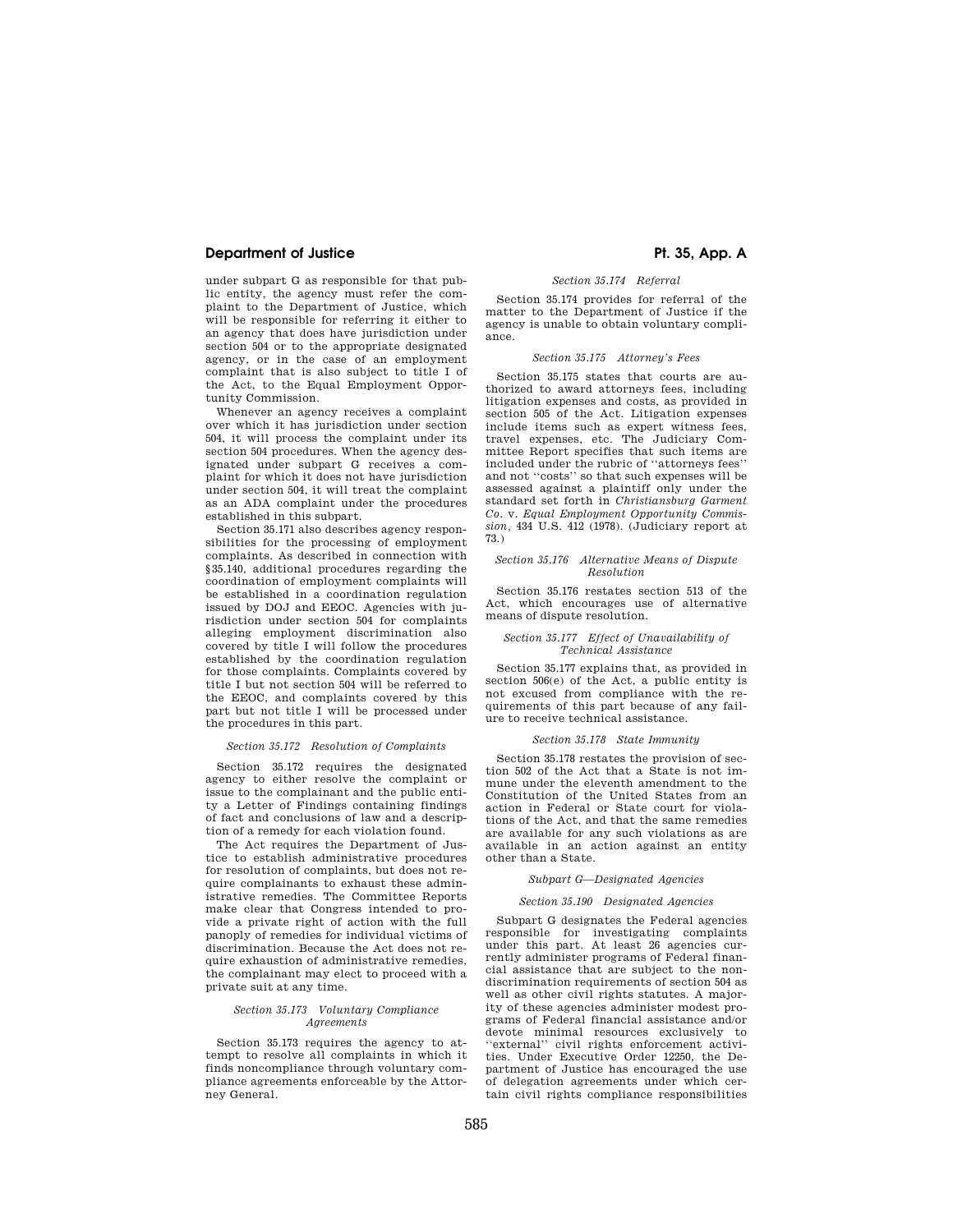under subpart G as responsible for that public entity, the agency must refer the complaint to the Department of Justice, which will be responsible for referring it either to an agency that does have jurisdiction under section 504 or to the appropriate designated agency, or in the case of an employment complaint that is also subject to title I of the Act, to the Equal Employment Opportunity Commission.

Whenever an agency receives a complaint over which it has jurisdiction under section 504, it will process the complaint under its section 504 procedures. When the agency designated under subpart G receives a complaint for which it does not have jurisdiction under section 504, it will treat the complaint as an ADA complaint under the procedures established in this subpart.

Section 35.171 also describes agency responsibilities for the processing of employment complaints. As described in connection with §35.140, additional procedures regarding the coordination of employment complaints will be established in a coordination regulation issued by DOJ and EEOC. Agencies with jurisdiction under section 504 for complaints alleging employment discrimination also covered by title I will follow the procedures established by the coordination regulation for those complaints. Complaints covered by title I but not section 504 will be referred to the EEOC, and complaints covered by this part but not title I will be processed under the procedures in this part.

### *Section 35.172 Resolution of Complaints*

Section 35.172 requires the designated agency to either resolve the complaint or issue to the complainant and the public entity a Letter of Findings containing findings of fact and conclusions of law and a description of a remedy for each violation found.

The Act requires the Department of Justice to establish administrative procedures for resolution of complaints, but does not require complainants to exhaust these administrative remedies. The Committee Reports make clear that Congress intended to provide a private right of action with the full panoply of remedies for individual victims of discrimination. Because the Act does not require exhaustion of administrative remedies, the complainant may elect to proceed with a private suit at any time.

#### *Section 35.173 Voluntary Compliance Agreements*

Section 35.173 requires the agency to attempt to resolve all complaints in which it finds noncompliance through voluntary compliance agreements enforceable by the Attorney General.

# *Section 35.174 Referral*

Section 35.174 provides for referral of the matter to the Department of Justice if the agency is unable to obtain voluntary compliance.

### *Section 35.175 Attorney's Fees*

Section 35.175 states that courts are authorized to award attorneys fees, including litigation expenses and costs, as provided in section 505 of the Act. Litigation expenses include items such as expert witness fees, travel expenses, etc. The Judiciary Committee Report specifies that such items are included under the rubric of ''attorneys fees'' and not ''costs'' so that such expenses will be assessed against a plaintiff only under the standard set forth in *Christiansburg Garment Co.* v. *Equal Employment Opportunity Commission,* 434 U.S. 412 (1978). (Judiciary report at 73.)

#### *Section 35.176 Alternative Means of Dispute Resolution*

Section 35.176 restates section 513 of the Act, which encourages use of alternative means of dispute resolution.

#### *Section 35.177 Effect of Unavailability of Technical Assistance*

Section 35.177 explains that, as provided in section 506(e) of the Act, a public entity is not excused from compliance with the requirements of this part because of any failure to receive technical assistance.

### *Section 35.178 State Immunity*

Section 35.178 restates the provision of section 502 of the Act that a State is not immune under the eleventh amendment to the Constitution of the United States from an action in Federal or State court for violations of the Act, and that the same remedies are available for any such violations as are available in an action against an entity other than a State.

### *Subpart G—Designated Agencies*

# *Section 35.190 Designated Agencies*

Subpart G designates the Federal agencies responsible for investigating complaints under this part. At least 26 agencies currently administer programs of Federal financial assistance that are subject to the nondiscrimination requirements of section 504 as well as other civil rights statutes. A majority of these agencies administer modest programs of Federal financial assistance and/or devote minimal resources exclusively to 'external'' civil rights enforcement activities. Under Executive Order 12250, the Department of Justice has encouraged the use of delegation agreements under which certain civil rights compliance responsibilities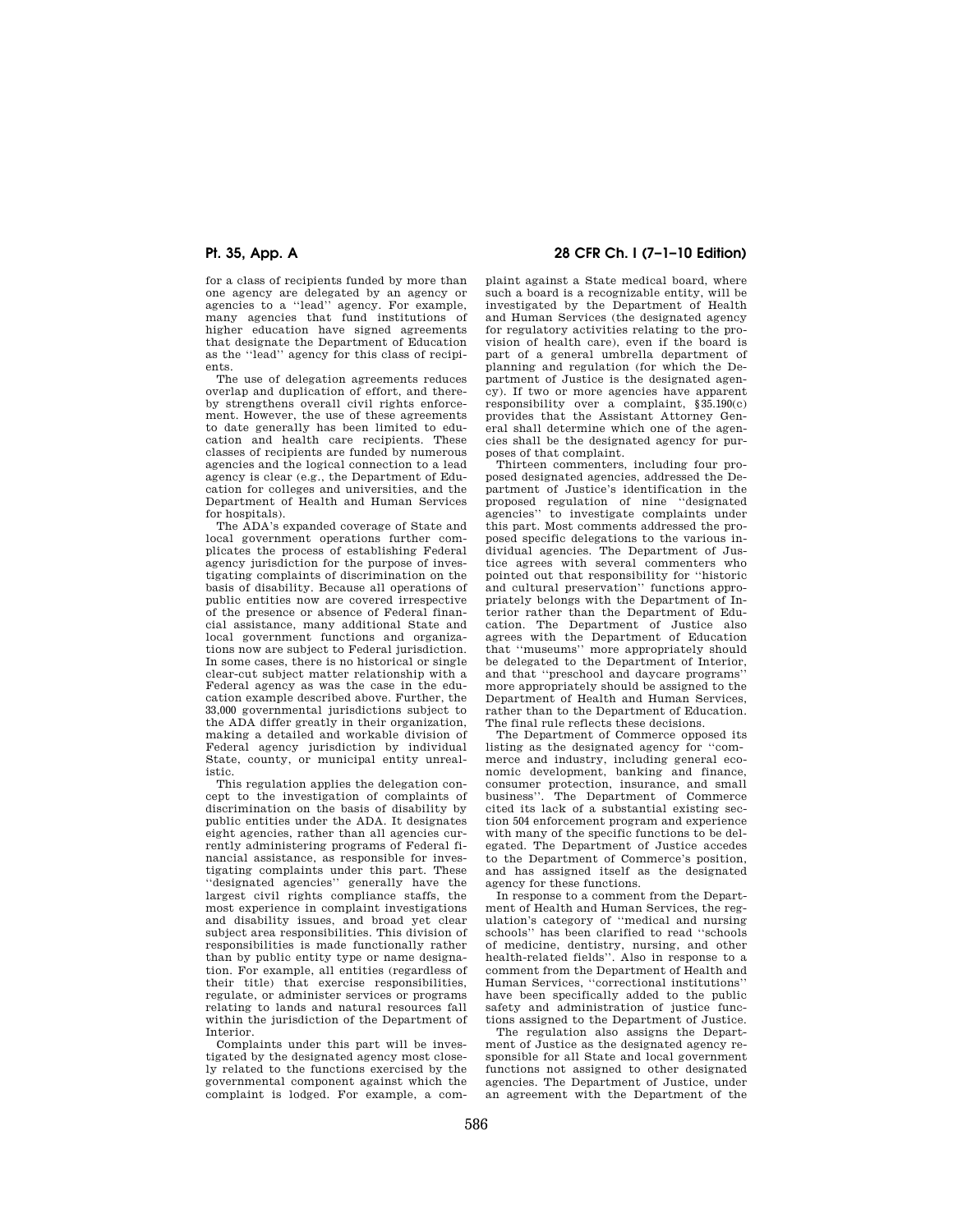for a class of recipients funded by more than one agency are delegated by an agency or agencies to a ''lead'' agency. For example, many agencies that fund institutions of higher education have signed agreements that designate the Department of Education as the ''lead'' agency for this class of recipients.

The use of delegation agreements reduces overlap and duplication of effort, and thereby strengthens overall civil rights enforcement. However, the use of these agreements to date generally has been limited to education and health care recipients. These classes of recipients are funded by numerous agencies and the logical connection to a lead agency is clear (e.g., the Department of Education for colleges and universities, and the Department of Health and Human Services for hospitals).

The ADA's expanded coverage of State and local government operations further complicates the process of establishing Federal agency jurisdiction for the purpose of investigating complaints of discrimination on the basis of disability. Because all operations of public entities now are covered irrespective of the presence or absence of Federal financial assistance, many additional State and local government functions and organizations now are subject to Federal jurisdiction. In some cases, there is no historical or single clear-cut subject matter relationship with a Federal agency as was the case in the education example described above. Further, the 33,000 governmental jurisdictions subject to the ADA differ greatly in their organization, making a detailed and workable division of Federal agency jurisdiction by individual State, county, or municipal entity unrealistic.

This regulation applies the delegation concept to the investigation of complaints of discrimination on the basis of disability by public entities under the ADA. It designates eight agencies, rather than all agencies currently administering programs of Federal financial assistance, as responsible for investigating complaints under this part. These 'designated agencies'' generally have the largest civil rights compliance staffs, the most experience in complaint investigations and disability issues, and broad yet clear subject area responsibilities. This division of responsibilities is made functionally rather than by public entity type or name designation. For example, all entities (regardless of their title) that exercise responsibilities, regulate, or administer services or programs relating to lands and natural resources fall within the jurisdiction of the Department of Interior.

Complaints under this part will be investigated by the designated agency most closely related to the functions exercised by the governmental component against which the complaint is lodged. For example, a com-

# **Pt. 35, App. A 28 CFR Ch. I (7–1–10 Edition)**

plaint against a State medical board, where such a board is a recognizable entity, will be investigated by the Department of Health and Human Services (the designated agency for regulatory activities relating to the provision of health care), even if the board is part of a general umbrella department of planning and regulation (for which the Department of Justice is the designated agency). If two or more agencies have apparent responsibility over a complaint,  $$35.190(c)$ provides that the Assistant Attorney General shall determine which one of the agencies shall be the designated agency for purposes of that complaint.

Thirteen commenters, including four proposed designated agencies, addressed the Department of Justice's identification in the proposed regulation of nine agencies'' to investigate complaints under this part. Most comments addressed the proposed specific delegations to the various individual agencies. The Department of Justice agrees with several commenters who pointed out that responsibility for ''historic and cultural preservation'' functions appropriately belongs with the Department of Interior rather than the Department of Education. The Department of Justice also agrees with the Department of Education that ''museums'' more appropriately should be delegated to the Department of Interior, and that ''preschool and daycare programs'' more appropriately should be assigned to the Department of Health and Human Services, rather than to the Department of Education. The final rule reflects these decisions.

The Department of Commerce opposed its listing as the designated agency for ''commerce and industry, including general economic development, banking and finance, consumer protection, insurance, and small business''. The Department of Commerce cited its lack of a substantial existing section 504 enforcement program and experience with many of the specific functions to be delegated. The Department of Justice accedes to the Department of Commerce's position, and has assigned itself as the designated agency for these functions.

In response to a comment from the Department of Health and Human Services, the regulation's category of ''medical and nursing schools'' has been clarified to read ''schools of medicine, dentistry, nursing, and other health-related fields''. Also in response to a comment from the Department of Health and Human Services, ''correctional institutions'' have been specifically added to the public safety and administration of justice functions assigned to the Department of Justice.

The regulation also assigns the Department of Justice as the designated agency responsible for all State and local government functions not assigned to other designated agencies. The Department of Justice, under an agreement with the Department of the